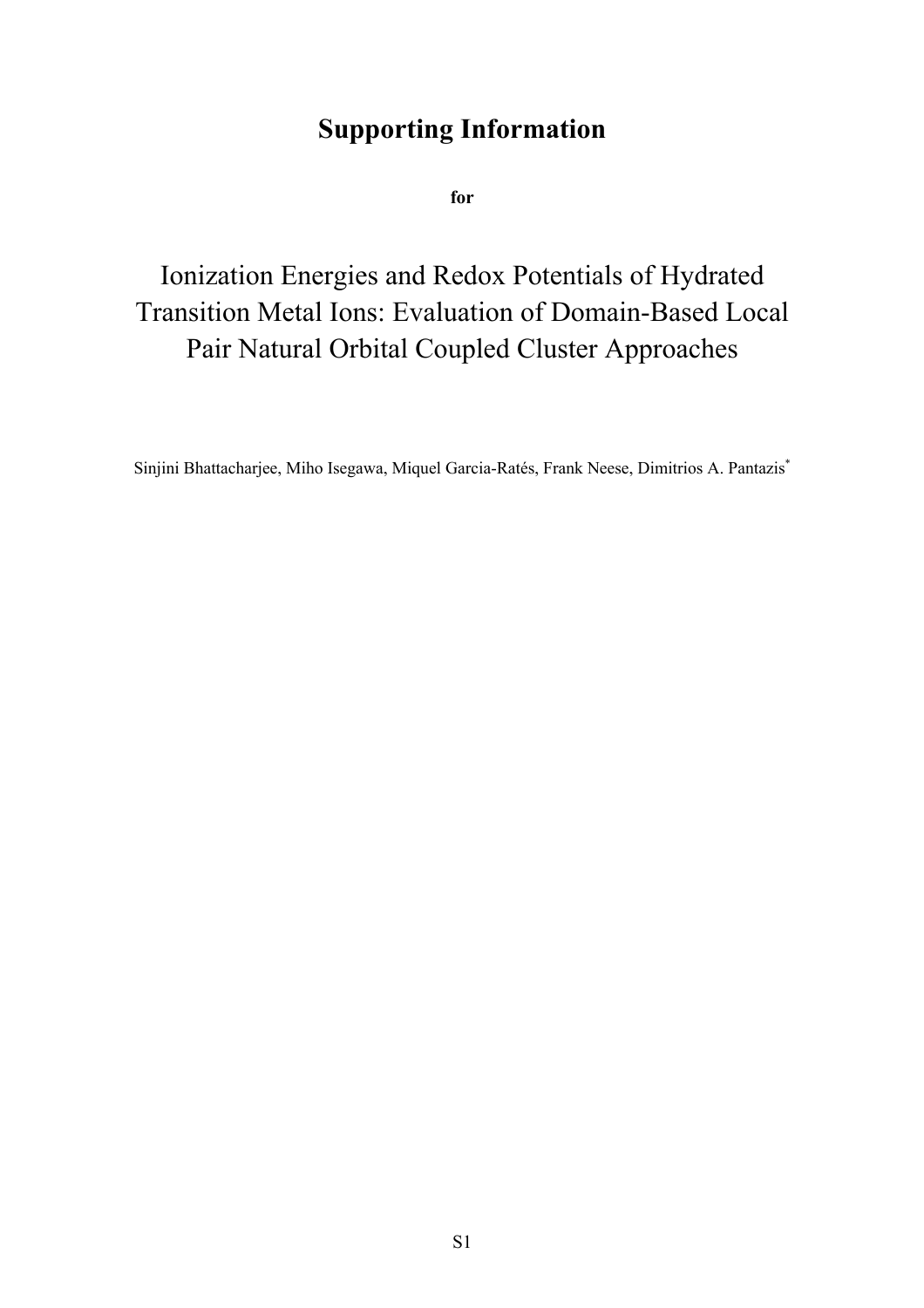# **Supporting Information**

**for**

Ionization Energies and Redox Potentials of Hydrated Transition Metal Ions: Evaluation of Domain-Based Local Pair Natural Orbital Coupled Cluster Approaches

Sinjini Bhattacharjee, Miho Isegawa, Miquel Garcia-Ratés, Frank Neese, Dimitrios A. Pantazis\*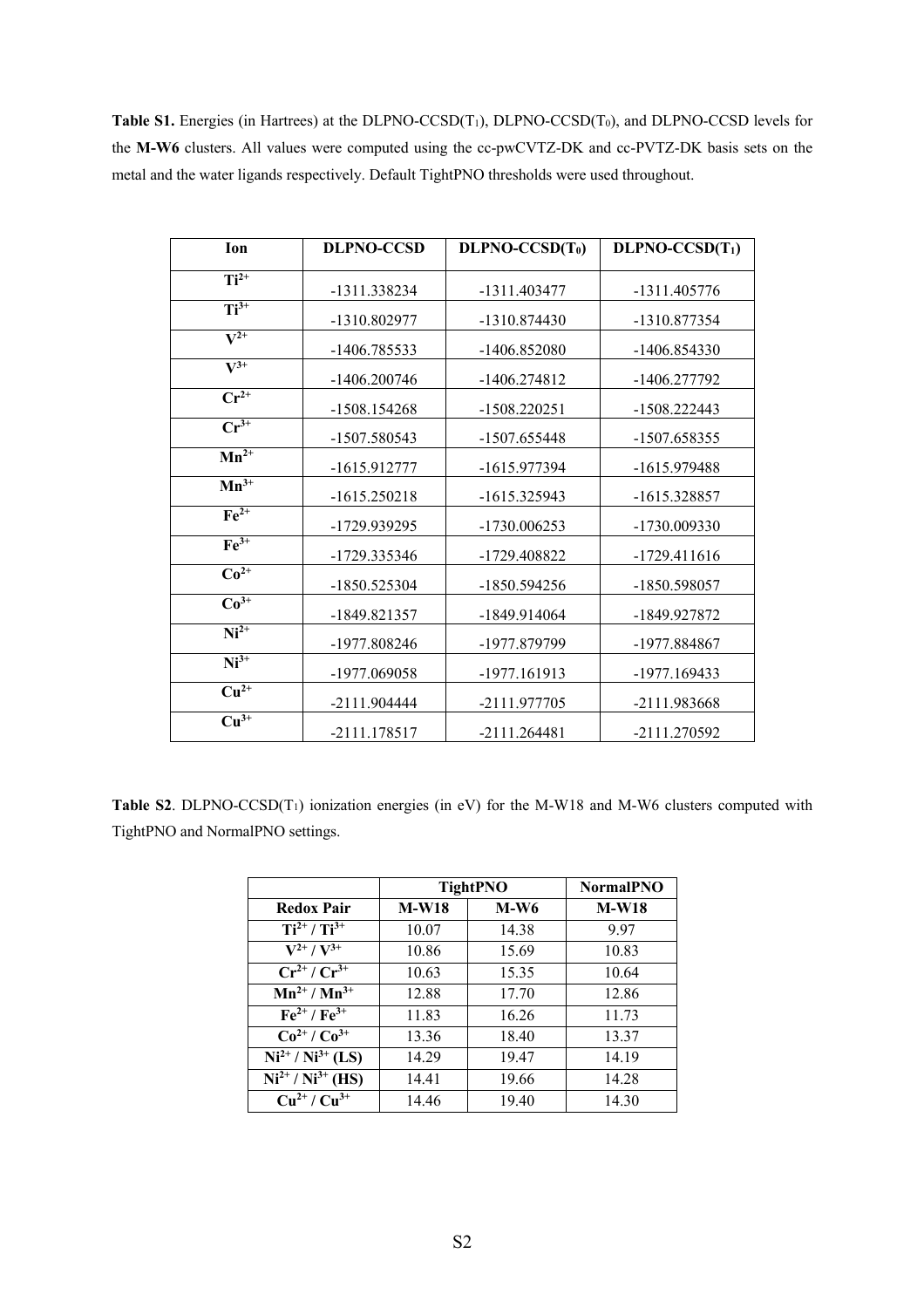Table S1. Energies (in Hartrees) at the DLPNO-CCSD(T<sub>1</sub>), DLPNO-CCSD(T<sub>0</sub>), and DLPNO-CCSD levels for the **M-W6** clusters. All values were computed using the cc-pwCVTZ-DK and cc-PVTZ-DK basis sets on the metal and the water ligands respectively. Default TightPNO thresholds were used throughout.

| Ion                           | <b>DLPNO-CCSD</b> | $DLPNO-CCSD(T0)$ | $DLPNO-CCSD(T1)$ |
|-------------------------------|-------------------|------------------|------------------|
|                               |                   |                  |                  |
| $Ti2+$                        | -1311.338234      | -1311.403477     | -1311.405776     |
| $Ti3+$                        | -1310.802977      | -1310.874430     | -1310.877354     |
| $\overline{\mathbf{V}^{2+}}$  | -1406.785533      | -1406.852080     | -1406.854330     |
| $\overline{\mathbf{V}^{3+}}$  | -1406.200746      | -1406.274812     | -1406.277792     |
| $Cr^{2+}$                     | -1508.154268      | $-1508.220251$   | -1508.222443     |
| $Cr^{3+}$                     | -1507.580543      | -1507.655448     | -1507.658355     |
| $Mn^{2+}$                     | -1615.912777      | -1615.977394     | -1615.979488     |
| $Mn^{3+}$                     | $-1615.250218$    | -1615.325943     | -1615.328857     |
| $Fe2+$                        | -1729.939295      | -1730.006253     | -1730.009330     |
| $Fe3+$                        | -1729.335346      | -1729.408822     | -1729.411616     |
| $Co2+$                        | -1850.525304      | -1850.594256     | -1850.598057     |
| $Co3+$                        | -1849.821357      | -1849.914064     | -1849.927872     |
| $Ni2+$                        | -1977.808246      | -1977.879799     | -1977.884867     |
| $Ni3+$                        | -1977.069058      | -1977.161913     | -1977.169433     |
| $\overline{\mathrm{Cu}^{2+}}$ | $-2111.904444$    | -2111.977705     | -2111.983668     |
| $\overline{\mathrm{Cu}^{3+}}$ | -2111.178517      | $-2111.264481$   | -2111.270592     |

**Table S2**. DLPNO-CCSD(T1) ionization energies (in eV) for the M-W18 and M-W6 clusters computed with TightPNO and NormalPNO settings.

|                                                | <b>TightPNO</b> |        | <b>NormalPNO</b> |
|------------------------------------------------|-----------------|--------|------------------|
| <b>Redox Pair</b>                              | <b>M-W18</b>    | $M-W6$ | $M-W18$          |
| $Ti^{2+} / Ti^{3+}$                            | 10.07           | 14.38  | 9.97             |
| $V^{2+} / V^{3+}$                              | 10.86           | 15.69  | 10.83            |
| $Cr^{2+}/Cr^{3+}$                              | 10.63           | 15.35  | 10.64            |
| $Mn^{2+} / Mn^{3+}$                            | 12.88           | 17.70  | 12.86            |
| $\overline{\text{Fe}^{2+}}$ / $\text{Fe}^{3+}$ | 11.83           | 16.26  | 11.73            |
| $Co^{2+}/Co^{3+}$                              | 13.36           | 18.40  | 13.37            |
| $\overline{Ni^{2+}/Ni^{3+}(LS)}$               | 14.29           | 19.47  | 14.19            |
| $\overline{Ni^{2+}/Ni^{3+}}$ (HS)              | 14.41           | 19.66  | 14.28            |
| $Cu^{2+}/Cu^{3+}$                              | 14.46           | 19.40  | 14.30            |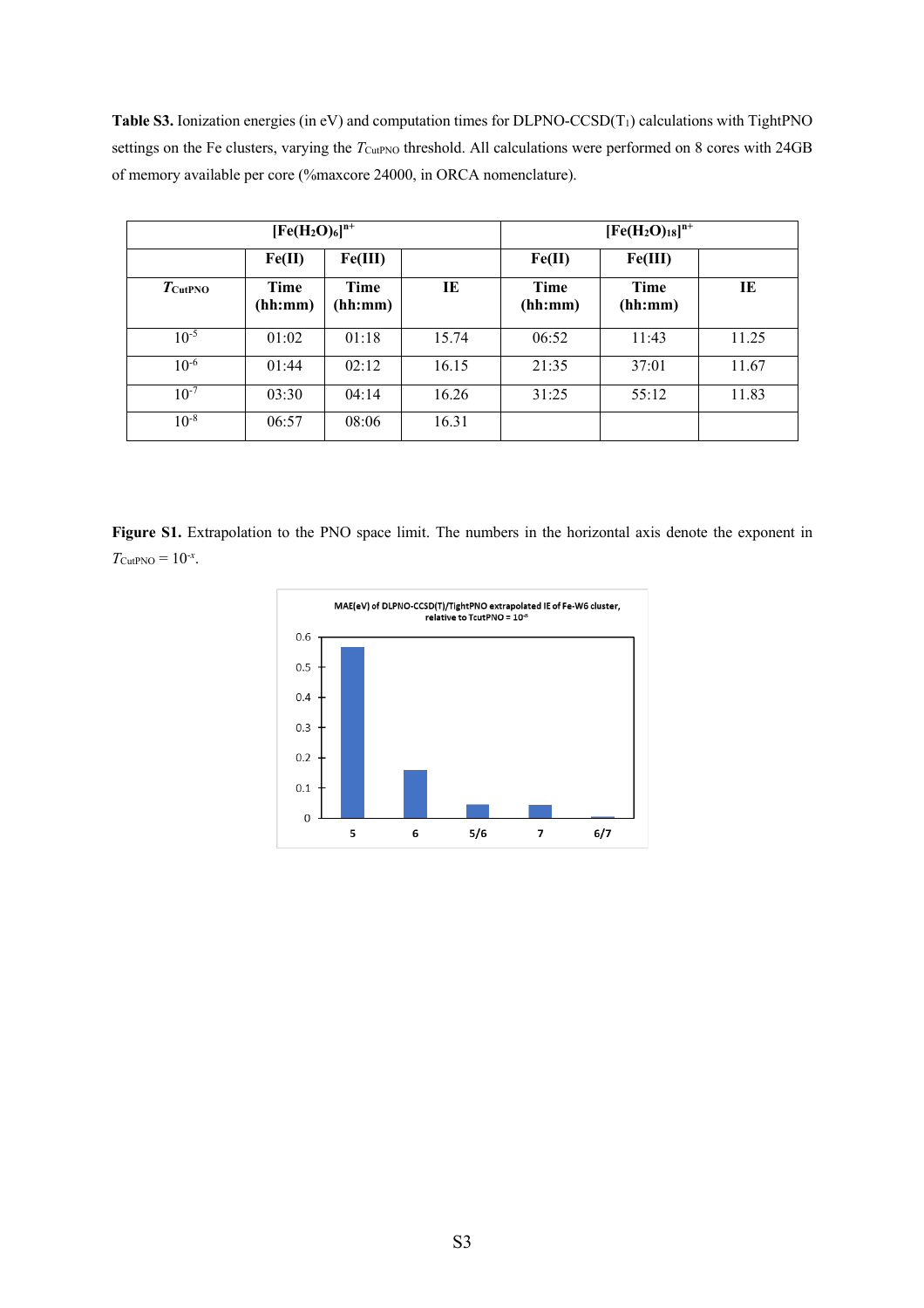**Table S3.** Ionization energies (in eV) and computation times for DLPNO-CCSD(T1) calculations with TightPNO settings on the Fe clusters, varying the *T*<sub>CutPNO</sub> threshold. All calculations were performed on 8 cores with 24GB of memory available per core (%maxcore 24000, in ORCA nomenclature).

| $[Fe(H2O)6]n+$      |                 |                 |       |                 | $[Fe(H2O)18]n+$ |       |
|---------------------|-----------------|-----------------|-------|-----------------|-----------------|-------|
|                     | Fe(II)          | Fe(III)         |       | Fe(II)          | Fe(III)         |       |
| $T_{\text{CutPNO}}$ | Time<br>(hh:mm) | Time<br>(hh:mm) | TE.   | Time<br>(hh:mm) | Time<br>(hh:mm) | IE    |
| $10^{-5}$           | 01:02           | 01:18           | 15.74 | 06:52           | 11:43           | 11.25 |
| $10^{-6}$           | 01:44           | 02:12           | 16.15 | 21:35           | 37:01           | 11.67 |
| $10^{-7}$           | 03:30           | 04:14           | 16.26 | 31:25           | 55:12           | 11.83 |
| $10^{-8}$           | 06:57           | 08:06           | 16.31 |                 |                 |       |

**Figure S1.** Extrapolation to the PNO space limit. The numbers in the horizontal axis denote the exponent in  $T_{\text{CutPNO}} = 10^{-x}$ .

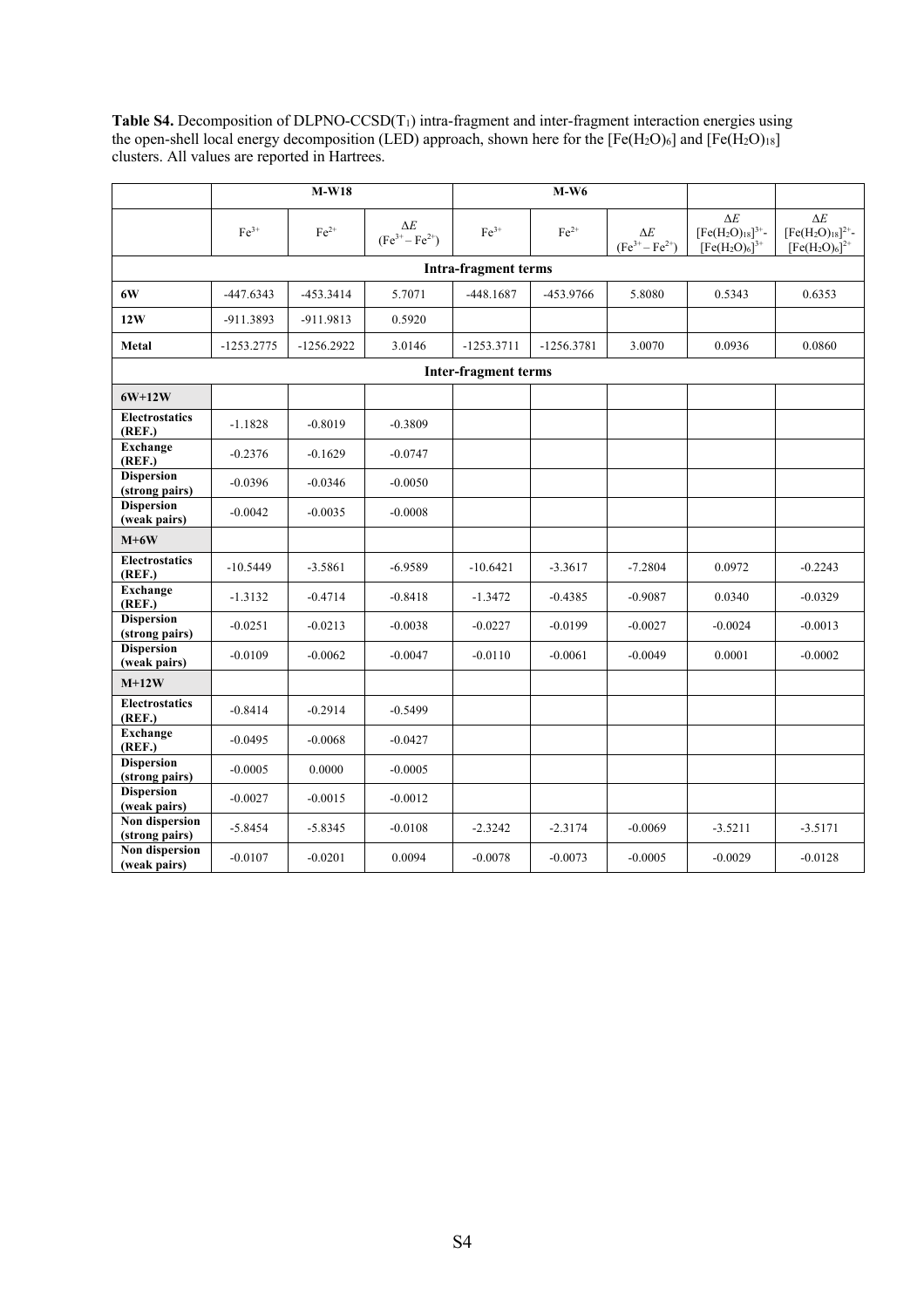**Table S4.** Decomposition of DLPNO-CCSD(T1) intra-fragment and inter-fragment interaction energies using the open-shell local energy decomposition (LED) approach, shown here for the  $[Fe(H_2O)_6]$  and  $[Fe(H_2O)_{18}]$ clusters. All values are reported in Hartrees.

|                                     |               | $M-W18$      |                               |                             | $M-W6$       |                                     |                                                         |                                                         |
|-------------------------------------|---------------|--------------|-------------------------------|-----------------------------|--------------|-------------------------------------|---------------------------------------------------------|---------------------------------------------------------|
|                                     | $\rm Fe^{3+}$ | $Fe2+$       | $\Delta E$<br>$(Fe3+ - Fe2+)$ | $\rm Fe^{3+}$               | $Fe2+$       | $\Delta E$<br>$(Fe^{3+} - Fe^{2+})$ | $\Delta E$<br>$[Fe(H2O)18]^{3+}$ -<br>$[Fe(H2O)6]^{3+}$ | $\Delta E$<br>$[Fe(H2O)18]^{2+}$ -<br>$[Fe(H2O)6]^{2+}$ |
|                                     |               |              |                               | <b>Intra-fragment terms</b> |              |                                     |                                                         |                                                         |
| 6W                                  | $-447.6343$   | -453.3414    | 5.7071                        | $-448.1687$                 | -453.9766    | 5.8080                              | 0.5343                                                  | 0.6353                                                  |
| 12W                                 | -911.3893     | -911.9813    | 0.5920                        |                             |              |                                     |                                                         |                                                         |
| Metal                               | $-1253.2775$  | $-1256.2922$ | 3.0146                        | $-1253.3711$                | $-1256.3781$ | 3.0070                              | 0.0936                                                  | 0.0860                                                  |
|                                     |               |              |                               | <b>Inter-fragment terms</b> |              |                                     |                                                         |                                                         |
| $6W+12W$                            |               |              |                               |                             |              |                                     |                                                         |                                                         |
| <b>Electrostatics</b><br>(REF.)     | $-1.1828$     | $-0.8019$    | $-0.3809$                     |                             |              |                                     |                                                         |                                                         |
| <b>Exchange</b><br>(REF.)           | $-0.2376$     | $-0.1629$    | $-0.0747$                     |                             |              |                                     |                                                         |                                                         |
| <b>Dispersion</b><br>(strong pairs) | $-0.0396$     | $-0.0346$    | $-0.0050$                     |                             |              |                                     |                                                         |                                                         |
| <b>Dispersion</b><br>(weak pairs)   | $-0.0042$     | $-0.0035$    | $-0.0008$                     |                             |              |                                     |                                                         |                                                         |
| $M+6W$                              |               |              |                               |                             |              |                                     |                                                         |                                                         |
| <b>Electrostatics</b><br>(REF.)     | $-10.5449$    | $-3.5861$    | $-6.9589$                     | $-10.6421$                  | $-3.3617$    | $-7.2804$                           | 0.0972                                                  | $-0.2243$                                               |
| <b>Exchange</b><br>(REF.)           | $-1.3132$     | $-0.4714$    | $-0.8418$                     | $-1.3472$                   | $-0.4385$    | $-0.9087$                           | 0.0340                                                  | $-0.0329$                                               |
| <b>Dispersion</b><br>(strong pairs) | $-0.0251$     | $-0.0213$    | $-0.0038$                     | $-0.0227$                   | $-0.0199$    | $-0.0027$                           | $-0.0024$                                               | $-0.0013$                                               |
| <b>Dispersion</b><br>(weak pairs)   | $-0.0109$     | $-0.0062$    | $-0.0047$                     | $-0.0110$                   | $-0.0061$    | $-0.0049$                           | 0.0001                                                  | $-0.0002$                                               |
| $M+12W$                             |               |              |                               |                             |              |                                     |                                                         |                                                         |
| <b>Electrostatics</b><br>(REF.)     | $-0.8414$     | $-0.2914$    | $-0.5499$                     |                             |              |                                     |                                                         |                                                         |
| <b>Exchange</b><br>(REF.)           | $-0.0495$     | $-0.0068$    | $-0.0427$                     |                             |              |                                     |                                                         |                                                         |
| <b>Dispersion</b><br>(strong pairs) | $-0.0005$     | 0.0000       | $-0.0005$                     |                             |              |                                     |                                                         |                                                         |
| <b>Dispersion</b><br>(weak pairs)   | $-0.0027$     | $-0.0015$    | $-0.0012$                     |                             |              |                                     |                                                         |                                                         |
| Non dispersion<br>(strong pairs)    | $-5.8454$     | $-5.8345$    | $-0.0108$                     | $-2.3242$                   | $-2.3174$    | $-0.0069$                           | $-3.5211$                                               | $-3.5171$                                               |
| Non dispersion<br>(weak pairs)      | $-0.0107$     | $-0.0201$    | 0.0094                        | $-0.0078$                   | $-0.0073$    | $-0.0005$                           | $-0.0029$                                               | $-0.0128$                                               |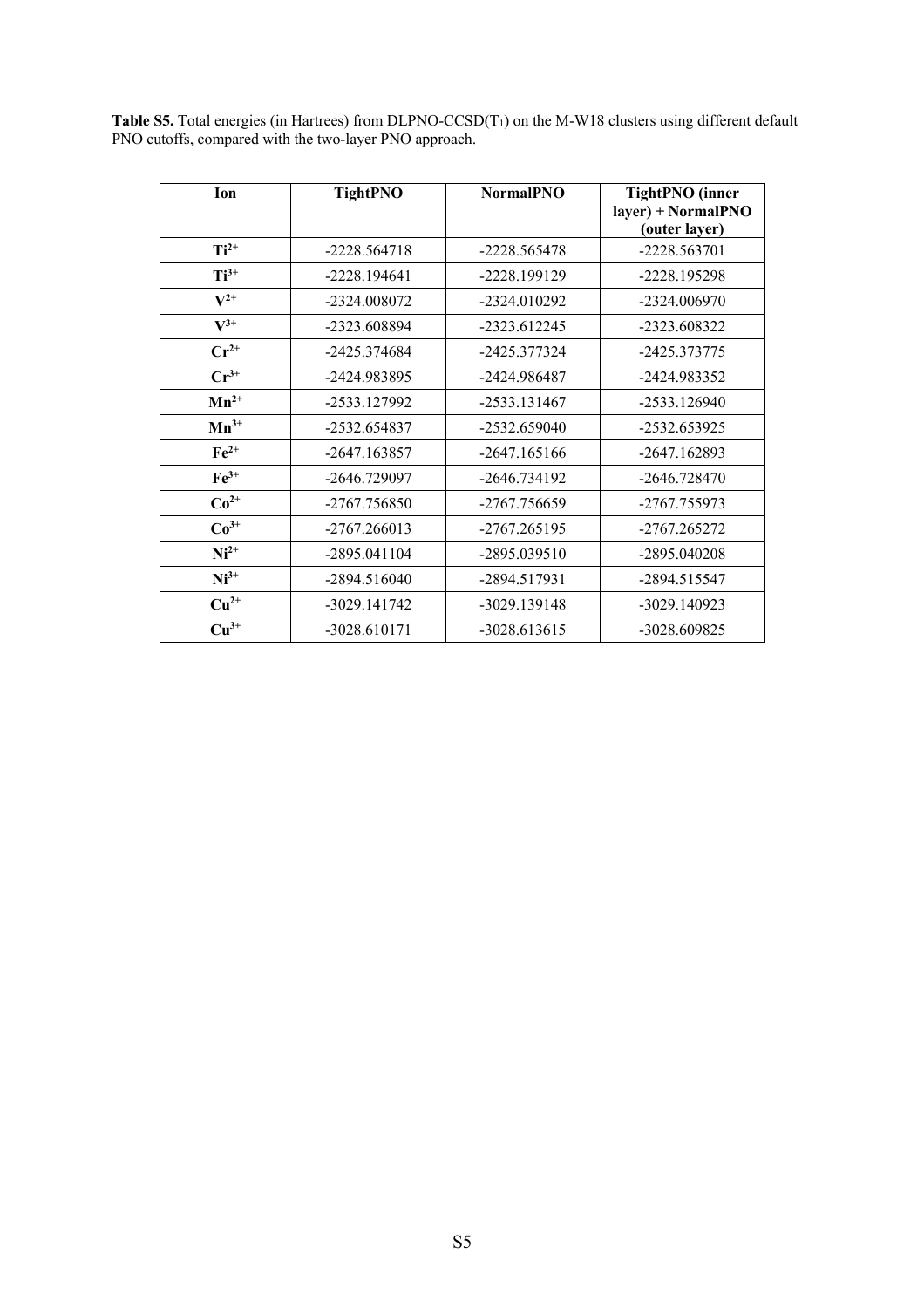**Table S5.** Total energies (in Hartrees) from DLPNO-CCSD(T<sub>1</sub>) on the M-W18 clusters using different default PNO cutoffs, compared with the two-layer PNO approach.

| <b>Ion</b>         | <b>TightPNO</b> | <b>NormalPNO</b> | <b>TightPNO</b> (inner<br>layer) + NormalPNO<br>(outer layer) |
|--------------------|-----------------|------------------|---------------------------------------------------------------|
| $Ti^{2+}$          | -2228.564718    | -2228.565478     | $-2228.563701$                                                |
| $Ti^{3+}$          | $-2228.194641$  | -2228.199129     | -2228.195298                                                  |
| $\mathbf{V}^{2+}$  | -2324.008072    | -2324.010292     | -2324.006970                                                  |
| $V^{3+}$           | -2323.608894    | -2323.612245     | -2323.608322                                                  |
| $Cr^{2+}$          | -2425.374684    | -2425.377324     | -2425.373775                                                  |
| $Cr^{3+}$          | -2424.983895    | -2424.986487     | -2424.983352                                                  |
| $Mn^{2+}$          | -2533.127992    | -2533.131467     | $-2533.126940$                                                |
| $Mn^{3+}$          | -2532.654837    | -2532.659040     | -2532.653925                                                  |
| $\mathbf{Fe}^{2+}$ | -2647.163857    | $-2647.165166$   | $-2647.162893$                                                |
| $Fe3+$             | -2646.729097    | -2646.734192     | $-2646.728470$                                                |
| $Co2+$             | -2767.756850    | -2767.756659     | -2767.755973                                                  |
| $Co3+$             | $-2767.266013$  | -2767.265195     | -2767.265272                                                  |
| $Ni2+$             | -2895.041104    | -2895.039510     | -2895.040208                                                  |
| $Ni3+$             | -2894.516040    | -2894.517931     | -2894.515547                                                  |
| $Cu2+$             | -3029.141742    | -3029.139148     | $-3029.140923$                                                |
| $Cu3+$             | $-3028.610171$  | -3028.613615     | -3028.609825                                                  |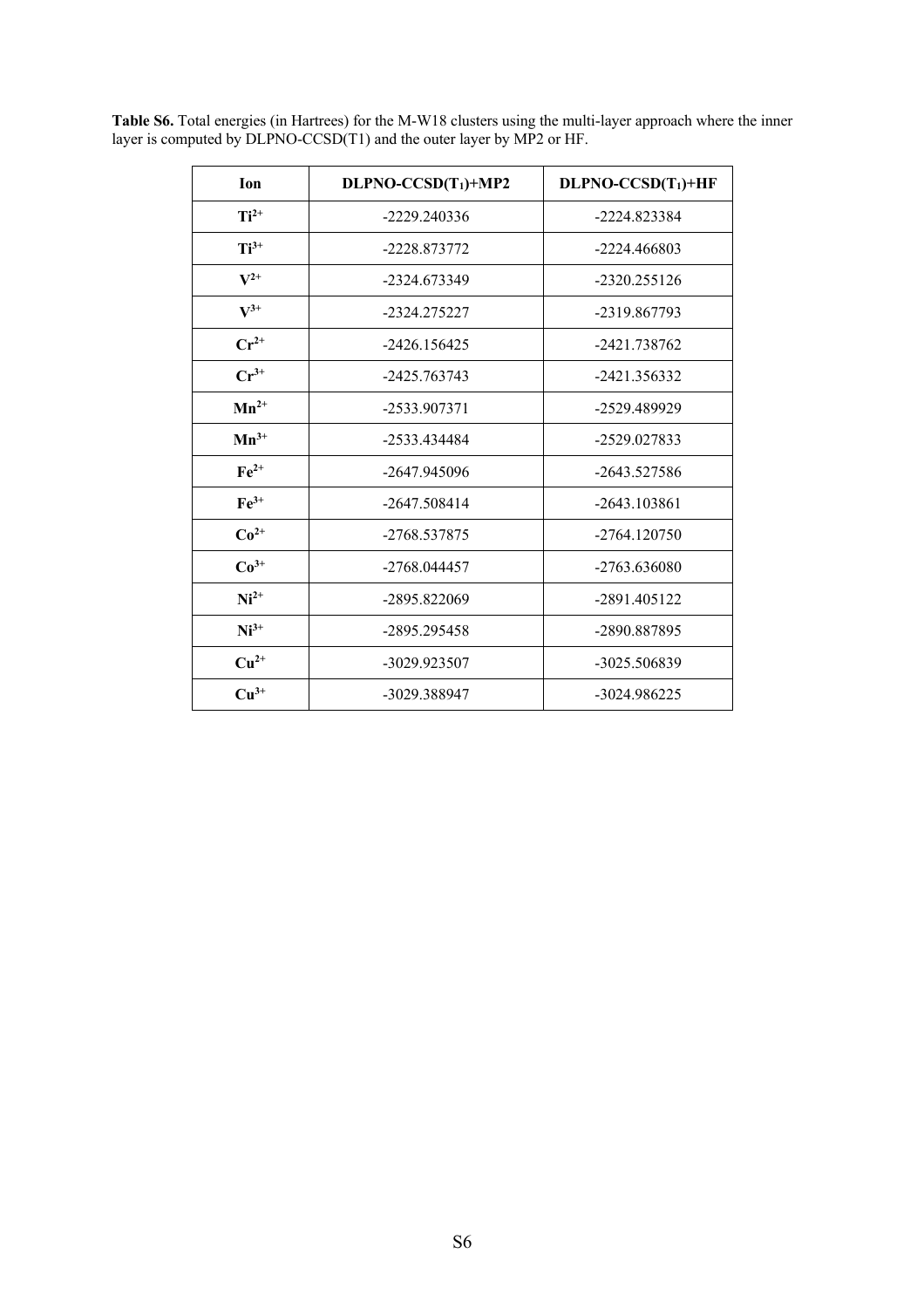| Ion                | DLPNO-CCSD(T <sub>1</sub> )+MP2 | $DLPNO-CCSD(T_1)+HF$ |
|--------------------|---------------------------------|----------------------|
| $Ti^{2+}$          | -2229.240336                    | -2224.823384         |
| $Ti^{3+}$          | -2228.873772                    | $-2224.466803$       |
| $V^{2+}$           | -2324.673349                    | $-2320.255126$       |
| $\mathbf{V}^{3+}$  | -2324.275227                    | -2319.867793         |
| $Cr^{2+}$          | $-2426.156425$                  | -2421.738762         |
| $\mathbf{Cr}^{3+}$ | -2425.763743                    | -2421.356332         |
| $Mn^{2+}$          | -2533.907371                    | -2529.489929         |
| $Mn^{3+}$          | -2533.434484                    | -2529.027833         |
| $Fe2+$             | $-2647.945096$                  | $-2643.527586$       |
| $Fe3+$             | $-2647.508414$                  | $-2643.103861$       |
| $Co2+$             | -2768.537875                    | $-2764.120750$       |
| $Co3+$             | -2768.044457                    | $-2763.636080$       |
| $Ni2+$             | -2895.822069                    | -2891.405122         |
| $Ni3+$             | -2895.295458                    | -2890.887895         |
| $Cu2+$             | -3029.923507                    | -3025.506839         |
| $Cu3+$             | -3029.388947                    | -3024.986225         |

**Table S6.** Total energies (in Hartrees) for the M-W18 clusters using the multi-layer approach where the inner layer is computed by DLPNO-CCSD(T1) and the outer layer by MP2 or HF.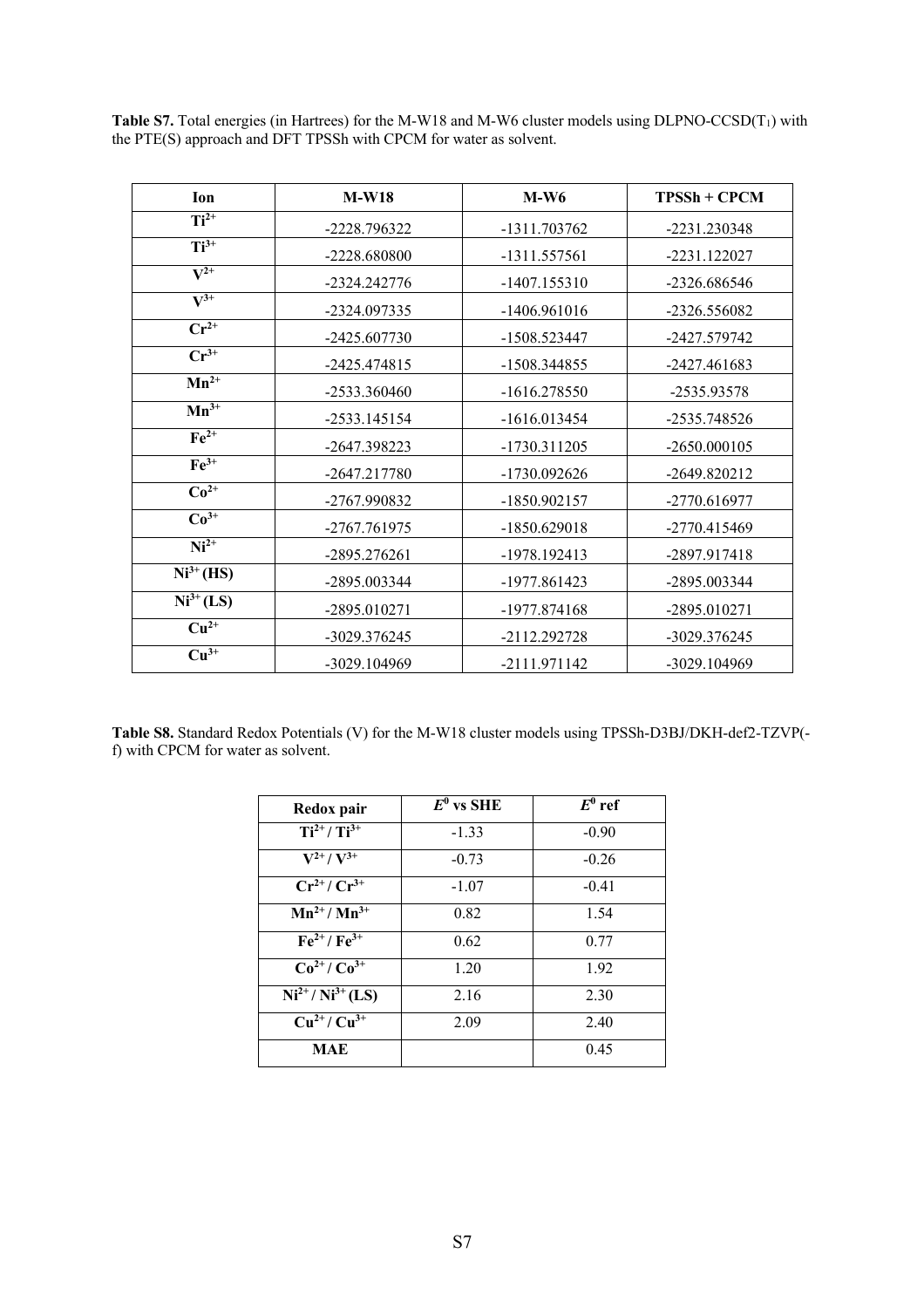**Table S7.** Total energies (in Hartrees) for the M-W18 and M-W6 cluster models using DLPNO-CCSD(T<sub>1</sub>) with the PTE(S) approach and DFT TPSSh with CPCM for water as solvent.

| Ion                           | $M-W18$      | $M-W6$         | $TPSSh + CPCM$ |
|-------------------------------|--------------|----------------|----------------|
| $Ti2+$                        | -2228.796322 | -1311.703762   | -2231.230348   |
| $Ti3+$                        | -2228.680800 | -1311.557561   | -2231.122027   |
| $\mathbf{V}^{2+}$             | -2324.242776 | $-1407.155310$ | -2326.686546   |
| $\mathbf{V}^{3+}$             | -2324.097335 | -1406.961016   | -2326.556082   |
| $\overline{\mathbf{C}r^{2+}}$ | -2425.607730 | -1508.523447   | -2427.579742   |
| $\overline{\text{Cr}^{3+}}$   | -2425.474815 | -1508.344855   | -2427.461683   |
| $Mn^{2+}$                     | -2533.360460 | $-1616.278550$ | -2535.93578    |
| $Mn^{3+}$                     | -2533.145154 | $-1616.013454$ | -2535.748526   |
| $Fe2+$                        | -2647.398223 | -1730.311205   | $-2650.000105$ |
| $Fe3+$                        | -2647.217780 | -1730.092626   | -2649.820212   |
| $Co2+$                        | -2767.990832 | -1850.902157   | -2770.616977   |
| $Co3+$                        | -2767.761975 | -1850.629018   | -2770.415469   |
| $\overline{\text{Ni}^{2+}}$   | -2895.276261 | -1978.192413   | -2897.917418   |
| $Ni3+(HS)$                    | -2895.003344 | -1977.861423   | -2895.003344   |
| $Ni3+ (LS)$                   | -2895.010271 | -1977.874168   | -2895.010271   |
| $\overline{\mathrm{Cu}^{2+}}$ | -3029.376245 | -2112.292728   | -3029.376245   |
| $Cu^{3+}$                     | -3029.104969 | -2111.971142   | -3029.104969   |

**Table S8.** Standard Redox Potentials (V) for the M-W18 cluster models using TPSSh-D3BJ/DKH-def2-TZVP( f) with CPCM for water as solvent.

| Redox pair                                       | $E^0$ vs SHE | $E^0$ ref |
|--------------------------------------------------|--------------|-----------|
| $Ti^{2+}/Ti^{3+}$                                | $-1.33$      | $-0.90$   |
| $V^{2+}/V^{3+}$                                  | $-0.73$      | $-0.26$   |
| $\overline{\mathrm{Cr}^{2+}}$ $\mathrm{Cr}^{3+}$ | $-1.07$      | $-0.41$   |
| $Mn^{2+}/Mn^{3+}$                                | 0.82         | 1.54      |
| $\overline{\text{Fe}}^{2+}$ / $\text{Fe}^{3+}$   | 0.62         | 0.77      |
| $\overline{\mathrm{Co}^{2+}/\mathrm{Co}^{3+}}$   | 1.20         | 1.92      |
| $Ni2+/Ni3+ (LS)$                                 | 2.16         | 2.30      |
| $\overline{\mathrm{Cu}}^{2+}/\mathrm{Cu}^{3+}$   | 2.09         | 2.40      |
| <b>MAE</b>                                       |              | 0.45      |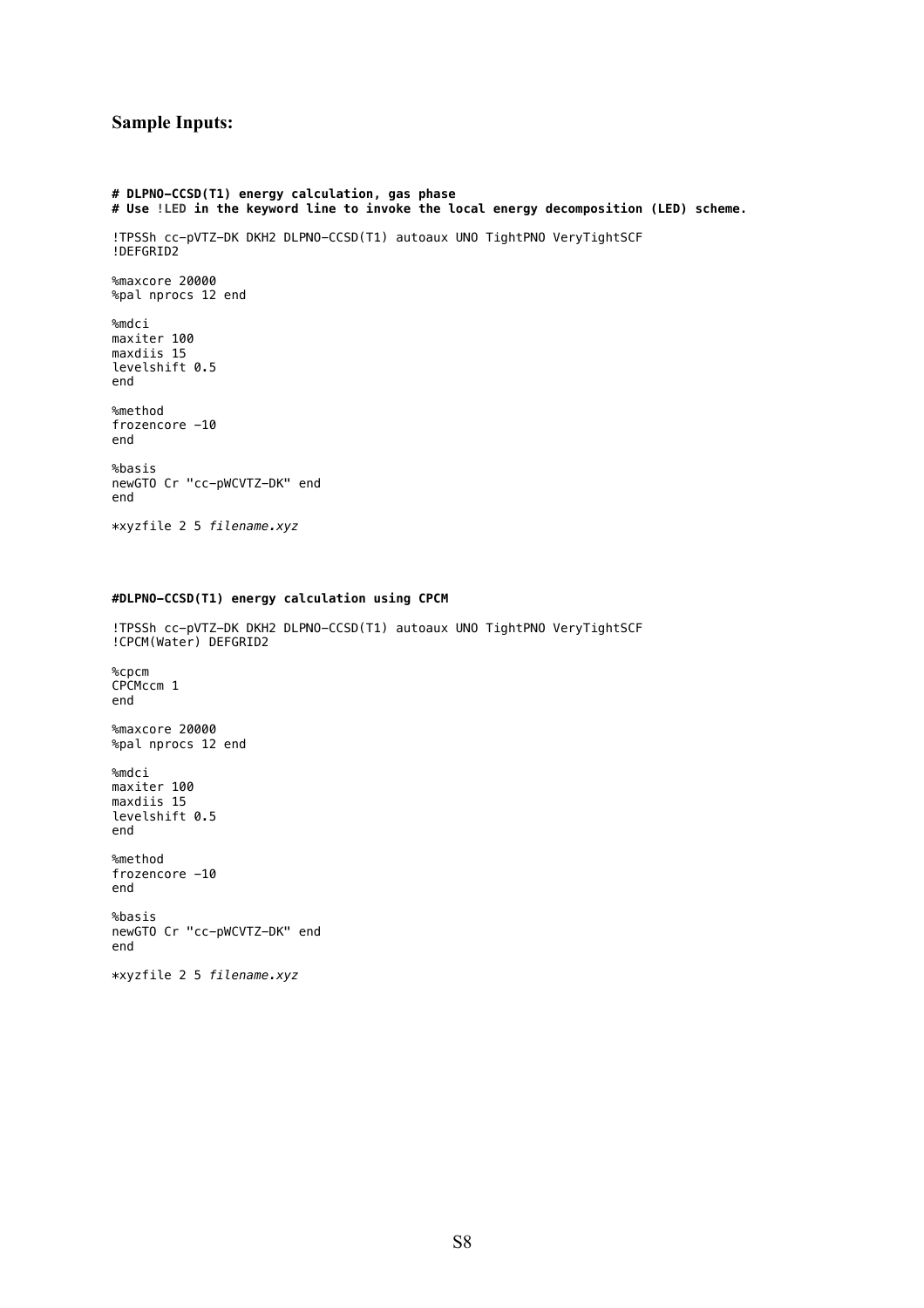# **Sample Inputs:**

```
# DLPNO-CCSD(T1) energy calculation, gas phase
# Use !LED in the keyword line to invoke the local energy decomposition (LED) scheme.
!TPSSh cc-pVTZ-DK DKH2 DLPNO-CCSD(T1) autoaux UNO TightPNO VeryTightSCF 
!DEFGRID2
%maxcore 20000
%pal nprocs 12 end
%mdci
maxiter 100
maxdiis 15
levelshift 0.5
end
%method
frozencore -10
end
%basis
newGTO Cr "cc-pWCVTZ-DK" end
end
*xyzfile 2 5 filename.xyz
```
# **#DLPNO-CCSD(T1) energy calculation using CPCM**

!TPSSh cc-pVTZ-DK DKH2 DLPNO-CCSD(T1) autoaux UNO TightPNO VeryTightSCF !CPCM(Water) DEFGRID2

%cpcm CPCMccm 1 end %maxcore 20000 %pal nprocs 12 end %mdci maxiter 100 maxdiis 15 levelshift 0.5 end %method frozencore -10 end %basis newGTO Cr "cc-pWCVTZ-DK" end end \*xyzfile 2 5 *filename.xyz*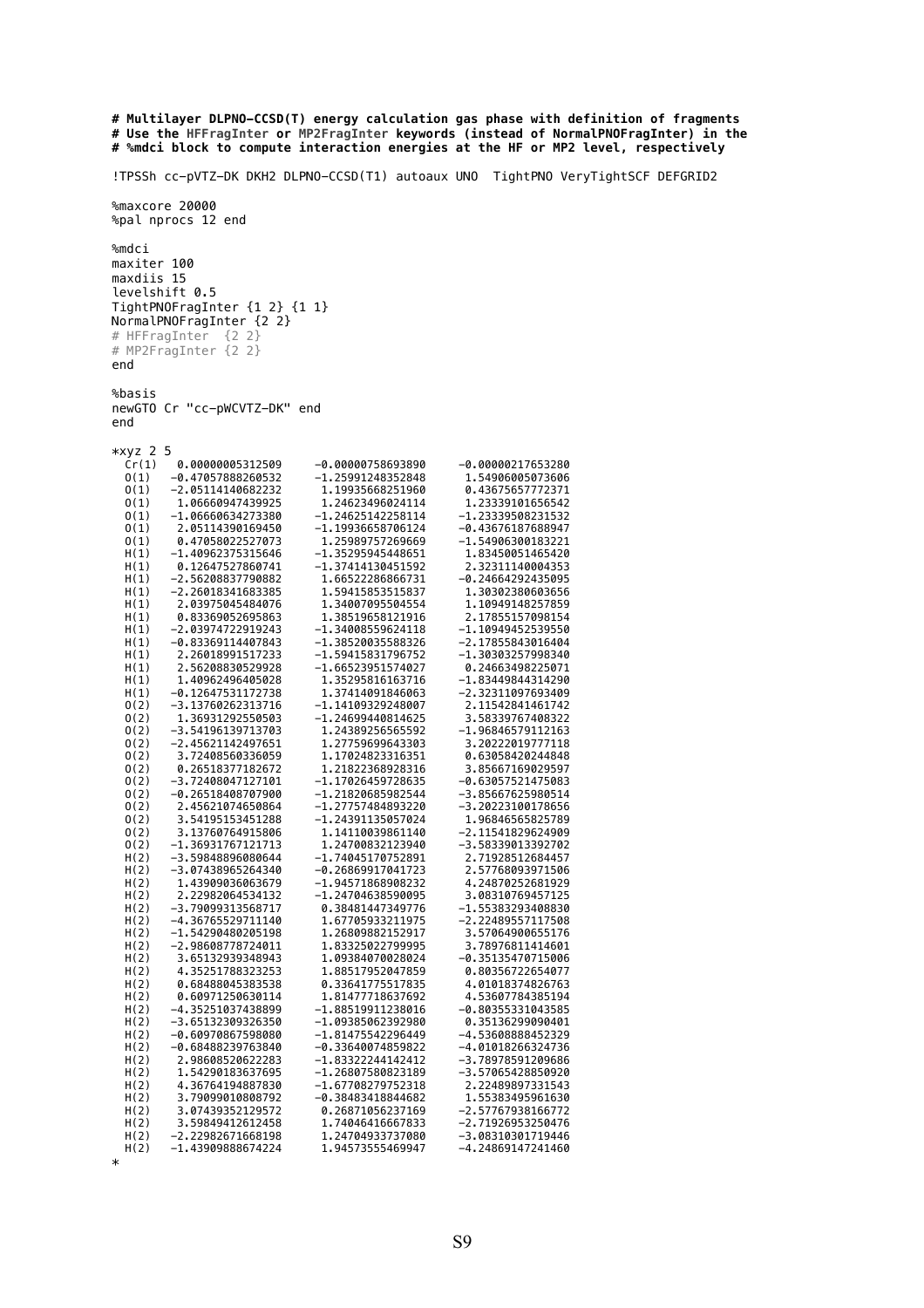```
# Multilayer DLPNO-CCSD(T) energy calculation gas phase with definition of fragments
# Use the HFFragInter or MP2FragInter keywords (instead of NormalPNOFragInter) in the
# %mdci block to compute interaction energies at the HF or MP2 level, respectively
!TPSSh cc-pVTZ-DK DKH2 DLPNO-CCSD(T1) autoaux UNO TightPNO VeryTightSCF DEFGRID2
%maxcore 20000
%pal nprocs 12 end
%mdci
maxiter 100
maxdiis 15
levelshift 0.5
TightPNOFragInter {1 2} {1 1}
NormalPNOFragInter {2 2} 
# HFFragInter {2 2}
# MP2FragInter {2 2}
end
%basis
newGTO Cr "cc-pWCVTZ-DK" end
end
*xyz 2 5<br>Cr(1)
           0.00000005312509 -0.00000758693890 -0.00000217653280
   O(1) -0.47057888260532 -1.25991248352848 1.54906005073606
  0(1) -2.05114140682232 1.19935668251960 0.43675657772371<br>0(1) 1.06660947439925 1.24623496024114 1.23339101656542
  0(1) 1.06660947439925 1.24623496024114 1.23339101656542<br>0(1) -1.06660947439925 1.24623496024114 1.23339101656542
  0(1) -1.06660634273380 -1.24625142258114 -1.23339508231532<br>0(1) 2.05114390169450 -1.19936658706124 -0.43676187688947(0, 1) 2.05114390169450 -1.19936658706124<br>(0, 1) 0.47058022527073 1.25989757269669
   O(1) 0.47058022527073 1.25989757269669 -1.54906300183221
  H(1) -1.40962375315646 -1.35295945448651 1.83450051465420<br>H(1) 0.12647527860741 -1.37414130451592 2.32311140004353
           0.12647527860741 -1.37414130451592 2.32311140004353<br>-2.56208837790882 1.66522286866731 -0.24664292435095
  H(1) -2.56208837790882 1.66522286866731 -0.24664292435095<br>H(1) -2.26018341683385 1.59415853515837 1.30302380603656
   H(1) -2.26018341683385 1.59415853515837 1.30302380603656
   H(1) 2.03975045484076 1.34007095504554 1.10949148257859
           H(1) 0.83369052695863 1.38519658121916 2.17855157098154
   H(1) -2.03974722919243 -1.34008559624118 -1.10949452539550
          H(1) -0.83369114407843 -1.38520035588326<br>2.26018991517233 -1.59415831796752
  H(1) 2.26018991517233 -1.59415831796752 -1.30303257998340<br>H(1) 2.56208830529928 -1.66523951574027 0.24663498225071
  H(1) 2.56208830529928 -1.66523951574027<br>H(1) 1.40962496405028 1.35295816163716
   H(1) 1.40962496405028 1.35295816163716 -1.83449844314290
  H(1) -0.12647531172738 1.37414091846063 -2.32311097693409<br>0(2) -3.13760262313716 -1.14109329248007 2.11542841461742
  0(2) -3.13760262313716 -1.14109329248007<br>0(2) 1.36931292550503 -1.24699440814625 O(2) 1.36931292550503 -1.24699440814625 3.58339767408322
   O(2) -3.54196139713703 1.24389256565592 -1.96846579112163
   O(2) -2.45621142497651 1.27759699643303 3.20222019777118
   O(2) 3.72408560336059 1.17024823316351 0.63058420244848
   O(2) 0.26518377182672 1.21822368928316 3.85667169029597
   O(2) -3.72408047127101 -1.17026459728635 -0.63057521475083
   O(2) -0.26518408707900 -1.21820685982544 -3.85667625980514
   O(2) 2.45621074650864 -1.27757484893220 -3.20223100178656
  0(2) 3.54195153451288 -1.24391135057024<br>0(2) 3.13760764915806 1.14110039861140
   O(2) 3.13760764915806 1.14110039861140 -2.11541829624909
   O(2) -1.36931767121713 1.24700832123940 -3.58339013392702
          -3.59848896080644
  H(2) -3.07438965264340 -0.26869917041723 2.57768093971506<br>H(2) 1.43909036063679 -1.94571868908232 4.24870252681929<br>H(2) 2.22982064534132 -1.24704638590095 3.08310769457125
           1.43909036063679 -1.94571868908232 4.24870252681929<br>2.22982064534132 -1.24704638590095 3.08310769457125
   H(2) 2.22982064534132 -1.24704638590095 3.08310769457125
   H(2) -3.79099313568717 0.38481447349776 -1.55383293408830
  H(2) -4.36765529711140 1.67705933211975 -2.22489557117508<br>H(2) -1.54290480205198 1.26809882152917 3.57064900655176
   H(2) -1.54290480205198 1.26809882152917 3.57064900655176
  H(2) -2.98608778724011 1.83325022799995<br>H(2) 3.65132939348943 1.09384070028024
   H(2) 3.65132939348943 1.09384070028024 -0.35135470715006
   H(2) 4.35251788323253 1.88517952047859 0.80356722654077
   H(2) 0.68488045383538 0.33641775517835 4.01018374826763
   H(2) 0.60971250630114 1.81477718637692 4.53607784385194
                                   -1.88519911238016
   H(2) -3.65132309326350 -1.09385062392980 0.35136299090401
  H(2) -0.60970867598080 -1.81475542296449 -4.53608888452329<br>H(2) -0.68488239763840 -0.33640074859822 -4.01018266324736
   H(2) -0.68488239763840 -0.33640074859822 -4.01018266324736
   H(2) 2.98608520622283 -1.83322244142412 -3.78978591209686
   H(2) 1.54290183637695 -1.26807580823189 -3.57065428850920
   H(2) 4.36764194887830 -1.67708279752318 2.22489897331543
  H(2) 3.79099010808792 -0.38483418844682<br>H(2) 3.07439352129572 0.26871056237169
                                                            -2.57767938166772
  H(2) 3.59849412612458 1.74046416667833 -2.71926953250476
   H(2) -2.22982671668198 1.24704933737080 -3.08310301719446
   H(2) -1.43909888674224 1.94573555469947 -4.24869147241460
```
\*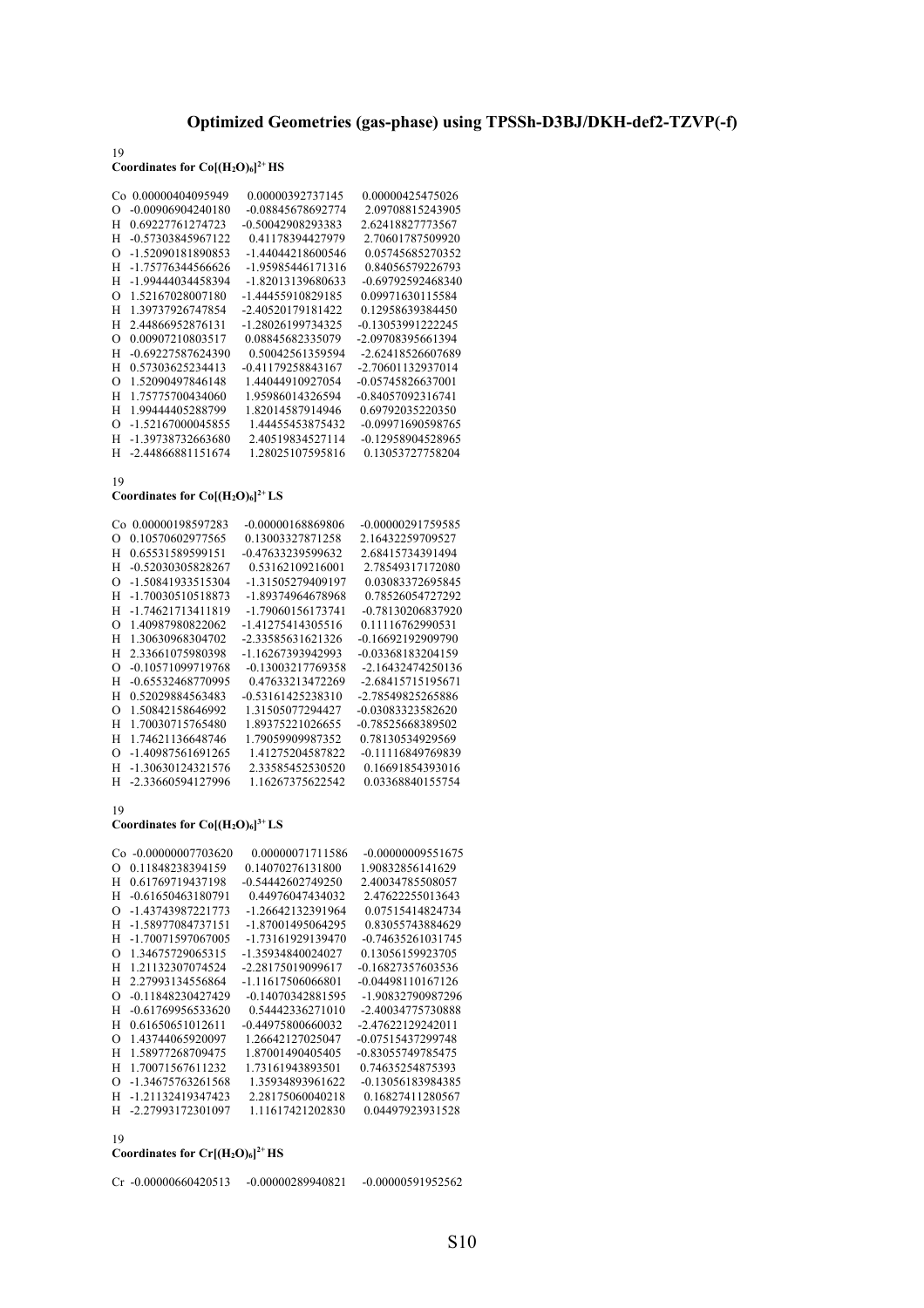# 19 Coordinates for  $Co[(H_2O)_6]^{2+}HS$

| Cο       | 0.00000404095949    | 0.00000392737145  | 0.00000425475026  |
|----------|---------------------|-------------------|-------------------|
| $\Omega$ | -0.00906904240180   | -0.08845678692774 | 2.09708815243905  |
| Н        | 0.69227761274723    | -0.50042908293383 | 2.62418827773567  |
| н        | -0.57303845967122   | 0.41178394427979  | 2.70601787509920  |
| ∩        | -1.52090181890853   | -1.44044218600546 | 0.05745685270352  |
| Н        | -1.75776344566626   | -1.95985446171316 | 0.84056579226793  |
| Н        | -1.99444034458394   | -1.82013139680633 | -0.69792592468340 |
| Ω        | 1.52167028007180    | -1.44455910829185 | 0.09971630115584  |
| Н        | 1.39737926747854    | -2.40520179181422 | 0.12958639384450  |
| Н        | 2.44866952876131    | -1.28026199734325 | -0.13053991222245 |
| Ω        | 0.00907210803517    | 0.08845682335079  | -2.09708395661394 |
| Н        | -0.69227587624390   | 0.50042561359594  | -2.62418526607689 |
| н        | 0.57303625234413    | -0.41179258843167 | -2.70601132937014 |
| Ω        | 1.52090497846148    | 1.44044910927054  | -0.05745826637001 |
| н        | 1.75775700434060    | 1.95986014326594  | -0.84057092316741 |
| Н        | 1.99444405288799    | 1.82014587914946  | 0.69792035220350  |
| Ω        | -1.52167000045855   | 1.44455453875432  | -0.09971690598765 |
| Н        | -1.39738732663680   | 2.40519834527114  | -0.12958904528965 |
| н        | $-2.44866881151674$ | 1.28025107595816  | 0.13053727758204  |
|          |                     |                   |                   |

19

### **Coordinates for Co[(H2O)6] 2+ LS**

|          | Co 0.00000198597283 | -0.00000168869806 | -0.00000291759585 |
|----------|---------------------|-------------------|-------------------|
| O        | 0.10570602977565    | 0.13003327871258  | 2.16432259709527  |
| н        | 0.65531589599151    | -0.47633239599632 | 2.68415734391494  |
| н        | -0.52030305828267   | 0.53162109216001  | 2.78549317172080  |
| $\Omega$ | -1.50841933515304   | -1.31505279409197 | 0.03083372695845  |
| н        | -1.70030510518873   | -1.89374964678968 | 0.78526054727292  |
| н        | -1.74621713411819   | -1.79060156173741 | -0.78130206837920 |
| O        | 1.40987980822062    | -1.41275414305516 | 0.11116762990531  |
| н        | 1.30630968304702    | -2.33585631621326 | -0.16692192909790 |
| н        | 2.33661075980398    | -1.16267393942993 | -0.03368183204159 |
| O        | -0.10571099719768   | -0.13003217769358 | -2.16432474250136 |
| н        | -0.65532468770995   | 0.47633213472269  | -2.68415715195671 |
| н        | 0.52029884563483    | -0.53161425238310 | -2.78549825265886 |
| O        | 1.50842158646992    | 1.31505077294427  | -0.03083323582620 |
| н        | 1.70030715765480    | 1.89375221026655  | -0.78525668389502 |
| н        | 1.74621136648746    | 1.79059909987352  | 0.78130534929569  |
| O        | -1.40987561691265   | 1.41275204587822  | -0.11116849769839 |
| н        | -1.30630124321576   | 2.33585452530520  | 0.16691854393016  |
| H        | -2.33660594127996   | 1.16267375622542  | 0.03368840155754  |

# 19

### **Coordinates for Co[(H2O)6] 3+ LS**

|   | Co -0.00000007703620 | 0.00000071711586  | -0.00000009551675   |
|---|----------------------|-------------------|---------------------|
| O | 0.11848238394159     | 0.14070276131800  | 1.90832856141629    |
| н | 0.61769719437198     | -0.54442602749250 | 2.40034785508057    |
| н | -0.61650463180791    | 0.44976047434032  | 2.47622255013643    |
| O | -1.43743987221773    | -1.26642132391964 | 0.07515414824734    |
| Н | -1.58977084737151    | -1.87001495064295 | 0.83055743884629    |
| Н | -1.70071597067005    | -1.73161929139470 | $-0.74635261031745$ |
| O | 1.34675729065315     | -1.35934840024027 | 0.13056159923705    |
| н | 1.21132307074524     | -2.28175019099617 | -0.16827357603536   |
| н | 2.27993134556864     | -1.11617506066801 | $-0.04498110167126$ |
| O | -0.11848230427429    | -0.14070342881595 | -1.90832790987296   |
| н | $-0.61769956533620$  | 0.54442336271010  | -2.40034775730888   |
| н | 0.61650651012611     | -0.44975800660032 | -2.47622129242011   |
| Ω | 1.43744065920097     | 1.26642127025047  | -0.07515437299748   |
| н | 1.58977268709475     | 1.87001490405405  | -0.83055749785475   |
| н | 1.70071567611232     | 1.73161943893501  | 0.74635254875393    |
| O | -1.34675763261568    | 1.35934893961622  | -0.13056183984385   |
| н | -1.21132419347423    | 2.28175060040218  | 0.16827411280567    |
| н | -2.27993172301097    | 1.11617421202830  | 0.04497923931528    |
|   |                      |                   |                     |

### 19

### Coordinates for  $Cr[(H_2O)_6]^2$ <sup>+</sup> HS

| $Cr - 0.00000660420513$ | $-0.00000289940821$ | -0.00000591952562 |
|-------------------------|---------------------|-------------------|
|-------------------------|---------------------|-------------------|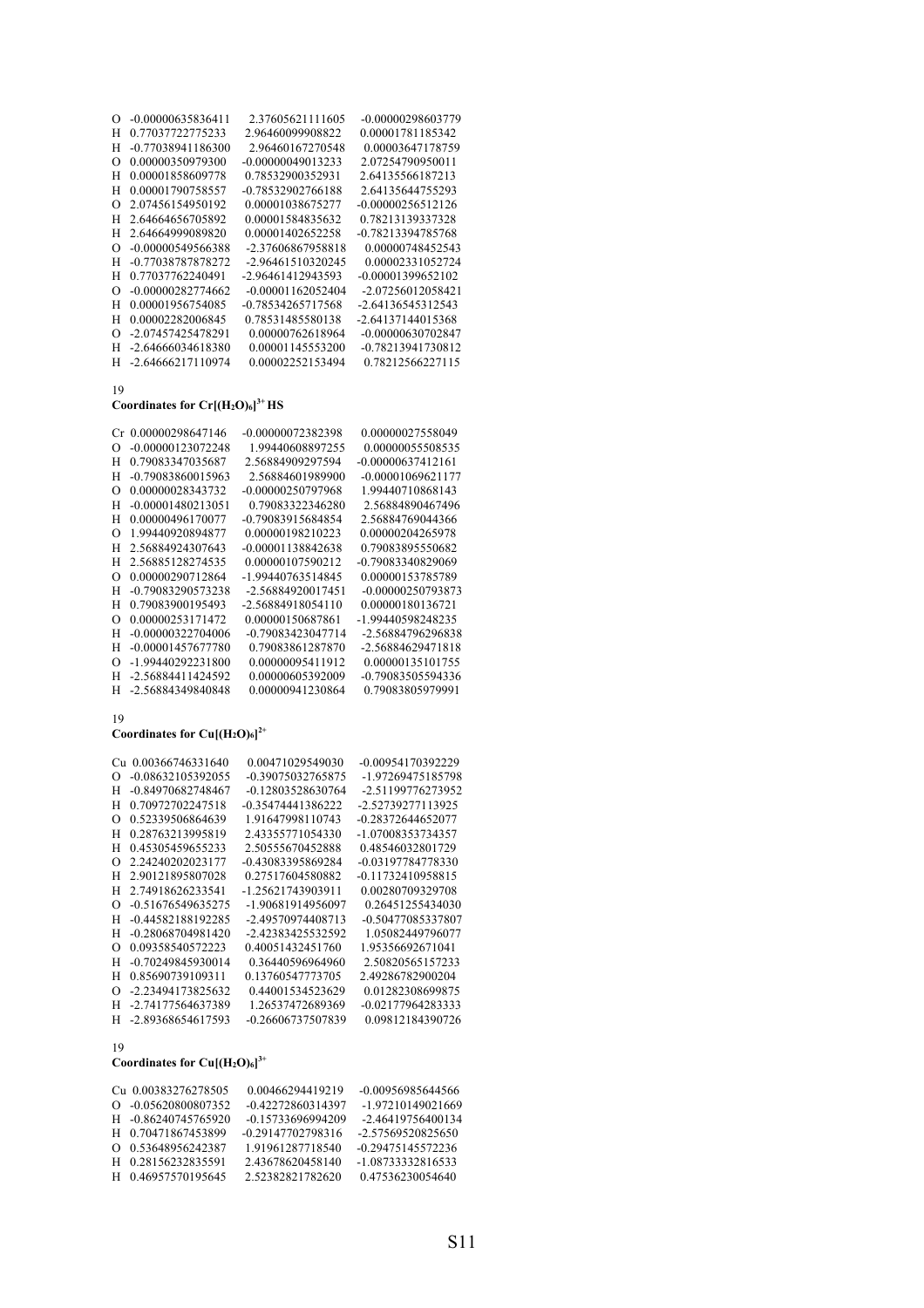| $\Omega$ | -0.00000635836411 | 2.37605621111605    | -0.00000298603779   |
|----------|-------------------|---------------------|---------------------|
| Н        | 0.77037722775233  | 2.96460099908822    | 0.00001781185342    |
| Н        | -0.77038941186300 | 2.96460167270548    | 0.00003647178759    |
| ∩        | 0.00000350979300  | $-0.00000049013233$ | 2.07254790950011    |
| Н        | 0.00001858609778  | 0.78532900352931    | 2.64135566187213    |
| н        | 0.00001790758557  | -0.78532902766188   | 2.64135644755293    |
| ∩        | 2.07456154950192  | 0.00001038675277    | $-0.00000256512126$ |
| Н        | 2.64664656705892  | 0.00001584835632    | 0.78213139337328    |
| Н        | 2.64664999089820  | 0.00001402652258    | -0.78213394785768   |
| O        | -0.00000549566388 | -2.37606867958818   | 0.00000748452543    |
| н        | -0.77038787878272 | -2.96461510320245   | 0.00002331052724    |
| н        | 0.77037762240491  | -2.96461412943593   | -0.00001399652102   |
| O        | -0.00000282774662 | -0.00001162052404   | -2.07256012058421   |
| Н        | 0.00001956754085  | -0.78534265717568   | -2.64136545312543   |
| н        | 0.00002282006845  | 0.78531485580138    | -2.64137144015368   |
| O        | -2.07457425478291 | 0.00000762618964    | -0.00000630702847   |
| Н        | -2.64666034618380 | 0.00001145553200    | -0.78213941730812   |
| Н        | -2.64666217110974 | 0.00002252153494    | 0.78212566227115    |
|          |                   |                     |                     |

### **Coordinates for Cr[(H2O)6] 3+ HS**

| Сr       | 0.00000298647146    | -0.00000072382398 | 0.00000027558049    |
|----------|---------------------|-------------------|---------------------|
| റ        | -0.00000123072248   | 1.99440608897255  | 0.00000055508535    |
| н        | 0.79083347035687    | 2.56884909297594  | $-0.00000637412161$ |
| н        | -0.79083860015963   | 2.56884601989900  | $-0.00001069621177$ |
| റ        | 0.00000028343732    | -0.00000250797968 | 1.99440710868143    |
| н        | -0.00001480213051   | 0.79083322346280  | 2.56884890467496    |
| н        | 0.00000496170077    | -0.79083915684854 | 2.56884769044366    |
| റ        | 1.99440920894877    | 0.00000198210223  | 0.00000204265978    |
| Н        | 2.56884924307643    | -0.00001138842638 | 0.79083895550682    |
| н        | 2.56885128274535    | 0.00000107590212  | -0.79083340829069   |
| റ        | 0.00000290712864    | -1.99440763514845 | 0.00000153785789    |
| Н        | -0.79083290573238   | -2.56884920017451 | -0.00000250793873   |
| Н        | 0.79083900195493    | -2.56884918054110 | 0.00000180136721    |
| $\Omega$ | 0.00000253171472    | 0.00000150687861  | -1.99440598248235   |
| Н        | -0.00000322704006   | -0.79083423047714 | -2.56884796296838   |
| н        | $-0.00001457677780$ | 0.79083861287870  | -2.56884629471818   |
| റ        | -1.99440292231800   | 0.00000095411912  | 0.00000135101755    |
| Н        | -2.56884411424592   | 0.00000605392009  | -0.79083505594336   |
| Н        | -2.56884349840848   | 0.00000941230864  | 0.79083805979991    |
|          |                     |                   |                     |

# 19

### **Coordinates for Cu[(H2O)6] 2+**

| Cп | 0.00366746331640  | 0.00471029549030  | -0.00954170392229 |
|----|-------------------|-------------------|-------------------|
| O  | -0.08632105392055 | -0.39075032765875 | -1.97269475185798 |
| Н  | -0.84970682748467 | -0.12803528630764 | -2.51199776273952 |
| Н  | 0.70972702247518  | -0.35474441386222 | -2.52739277113925 |
| O  | 0.52339506864639  | 1.91647998110743  | -0.28372644652077 |
| н  | 0.28763213995819  | 2.43355771054330  | -1.07008353734357 |
| Н  | 0.45305459655233  | 2.50555670452888  | 0.48546032801729  |
| O  | 2.24240202023177  | -0.43083395869284 | -0.03197784778330 |
| Н  | 2.90121895807028  | 0.27517604580882  | -0.11732410958815 |
| Н  | 2.74918626233541  | -1.25621743903911 | 0.00280709329708  |
| റ  | -0.51676549635275 | -1.90681914956097 | 0.26451255434030  |
| Н  | -0.44582188192285 | -2.49570974408713 | -0.50477085337807 |
| Н  | -0.28068704981420 | -2.42383425532592 | 1.05082449796077  |
| റ  | 0.09358540572223  | 0.40051432451760  | 1.95356692671041  |
| Н  | -0.70249845930014 | 0.36440596964960  | 2.50820565157233  |
| Н  | 0.85690739109311  | 0.13760547773705  | 2.49286782900204  |
| O  | -2.23494173825632 | 0.44001534523629  | 0.01282308699875  |
| Н  | -2.74177564637389 | 1.26537472689369  | -0.02177964283333 |
| н  | -2.89368654617593 | -0.26606737507839 | 0.09812184390726  |

# 19

### Coordinates for  $Cu$   $[(H_2O)_6]$ <sup>3+</sup>

|          | Cu 0.00383276278505 | 0.00466294419219  | -0.00956985644566   |
|----------|---------------------|-------------------|---------------------|
| $\Omega$ | -0.05620800807352   | -0.42272860314397 | -1.97210149021669   |
|          | H -0.86240745765920 | -0.15733696994209 | -2.46419756400134   |
|          | H 0.70471867453899  | -0.29147702798316 | -2.57569520825650   |
| O        | 0.53648956242387    | 1.91961287718540  | $-0.29475145572236$ |
| н        | 0.28156232835591    | 2.43678620458140  | -1.08733332816533   |
| н        | 0.46957570195645    | 2.52382821782620  | 0.47536230054640    |
|          |                     |                   |                     |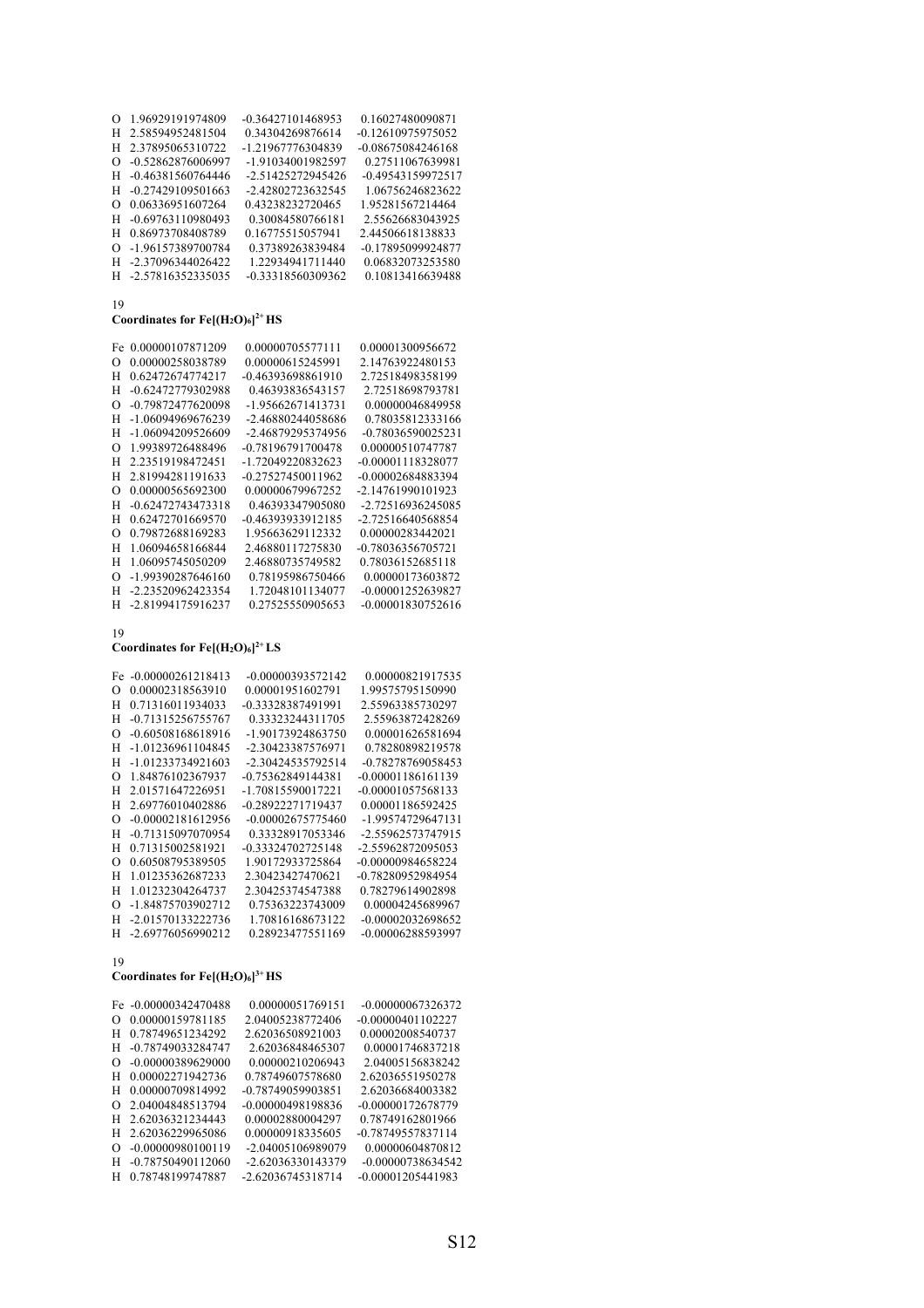| Ω        | 1.96929191974809    | -0.36427101468953 | 0.16027480090871  |
|----------|---------------------|-------------------|-------------------|
| н        | 2.58594952481504    | 0.34304269876614  | -0.12610975975052 |
| н        | 2.37895065310722    | -1.21967776304839 | -0.08675084246168 |
| Ω        | -0.52862876006997   | -1.91034001982597 | 0.27511067639981  |
| н        | -0.46381560764446   | -2.51425272945426 | -0.49543159972517 |
| н        | $-0.27429109501663$ | -2.42802723632545 | 1.06756246823622  |
| Ω        | 0.06336951607264    | 0.43238232720465  | 1.95281567214464  |
| н        | -0.69763110980493   | 0.30084580766181  | 2.55626683043925  |
| н        | 0.86973708408789    | 0.16775515057941  | 2.44506618138833  |
| $\Omega$ | -1.96157389700784   | 0.37389263839484  | -0.17895099924877 |
| H        | -2.37096344026422   | 1.22934941711440  | 0.06832073253580  |
|          | H -2.57816352335035 | -0.33318560309362 | 0.10813416639488  |

### **Coordinates for Fe[(H2O)6] 2+ HS**

| Fe. | 0.00000107871209  | 0.00000705577111  | 0.00001300956672  |
|-----|-------------------|-------------------|-------------------|
| Ω   | 0.00000258038789  | 0.00000615245991  | 2.14763922480153  |
| н   | 0.62472674774217  | -0.46393698861910 | 2.72518498358199  |
| Н   | -0.62472779302988 | 0.46393836543157  | 2.72518698793781  |
| O   | -0.79872477620098 | -1.95662671413731 | 0.00000046849958  |
| н   | -1.06094969676239 | -2.46880244058686 | 0.78035812333166  |
| н   | -1.06094209526609 | -2.46879295374956 | -0.78036590025231 |
| Ω   | 1.99389726488496  | -0.78196791700478 | 0.00000510747787  |
| н   | 2.23519198472451  | -1.72049220832623 | -0.00001118328077 |
| Н   | 2.81994281191633  | -0.27527450011962 | -0.00002684883394 |
| O   | 0.00000565692300  | 0.00000679967252  | -2.14761990101923 |
| н   | -0.62472743473318 | 0.46393347905080  | -2.72516936245085 |
| н   | 0.62472701669570  | -0.46393933912185 | -2.72516640568854 |
| Ω   | 0.79872688169283  | 1.95663629112332  | 0.00000283442021  |
| н   | 1.06094658166844  | 2.46880117275830  | -0.78036356705721 |
| н   | 1.06095745050209  | 2.46880735749582  | 0.78036152685118  |
| O   | -1.99390287646160 | 0.78195986750466  | 0.00000173603872  |
| н   | -2.23520962423354 | 1.72048101134077  | -0.00001252639827 |
| н   | -2.81994175916237 | 0.27525550905653  | -0.00001830752616 |
|     |                   |                   |                   |

#### 19

# Coordinates for  $Fe[(H_2O)_6]^{2+}$  LS

| Fe       | $-0.00000261218413$ | -0.00000393572142 | 0.00000821917535    |
|----------|---------------------|-------------------|---------------------|
| $\Omega$ | 0.00002318563910    | 0.00001951602791  | 1.99575795150990    |
| н        | 0.71316011934033    | -0.33328387491991 | 2.55963385730297    |
| н        | -0.71315256755767   | 0.33323244311705  | 2.55963872428269    |
| $\Omega$ | -0.60508168618916   | -1.90173924863750 | 0.00001626581694    |
| н        | -1.01236961104845   | -2.30423387576971 | 0.78280898219578    |
| н        | -1.01233734921603   | -2.30424535792514 | -0.78278769058453   |
| O        | 1.84876102367937    | -0.75362849144381 | $-0.00001186161139$ |
| н        | 2.01571647226951    | -1.70815590017221 | -0.00001057568133   |
| н        | 2.69776010402886    | -0.28922271719437 | 0.00001186592425    |
| O        | -0.00002181612956   | -0.00002675775460 | -1.99574729647131   |
| Н        | -0.71315097070954   | 0.33328917053346  | -2.55962573747915   |
| н        | 0.71315002581921    | -0.33324702725148 | -2.55962872095053   |
| O        | 0.60508795389505    | 1.90172933725864  | -0.00000984658224   |
| н        | 1.01235362687233    | 2.30423427470621  | -0.78280952984954   |
| н        | 1.01232304264737    | 2.30425374547388  | 0.78279614902898    |
| O        | -1.84875703902712   | 0.75363223743009  | 0.00004245689967    |
| Н        | -2.01570133222736   | 1.70816168673122  | -0.00002032698652   |
| н        | -2.69776056990212   | 0.28923477551169  | -0.00006288593997   |

# 19

# **Coordinates for Fe[(H2O)6] 3+ HS**

|          | Fe -0.00000342470488 | 0.00000051769151  | -0.00000067326372   |
|----------|----------------------|-------------------|---------------------|
| $\Omega$ | 0.00000159781185     | 2.04005238772406  | $-0.00000401102227$ |
| н        | 0.78749651234292     | 2.62036508921003  | 0.00002008540737    |
| н        | -0.78749033284747    | 2.62036848465307  | 0.00001746837218    |
| $\Omega$ | -0.00000389629000    | 0.00000210206943  | 2.04005156838242    |
| H        | 0.00002271942736     | 0.78749607578680  | 2.62036551950278    |
| н        | 0.00000709814992     | -0.78749059903851 | 2.62036684003382    |
| Ω        | 2.04004848513794     | -0.00000498198836 | -0.00000172678779   |
| н        | 2.62036321234443     | 0.00002880004297  | 0.78749162801966    |
| н        | 2.62036229965086     | 0.00000918335605  | -0.78749557837114   |
| $\Omega$ | -0.00000980100119    | -2.04005106989079 | 0.00000604870812    |
| н        | -0.78750490112060    | -2.62036330143379 | -0.00000738634542   |
| н        | 0.78748199747887     | -2.62036745318714 | $-0.00001205441983$ |
|          |                      |                   |                     |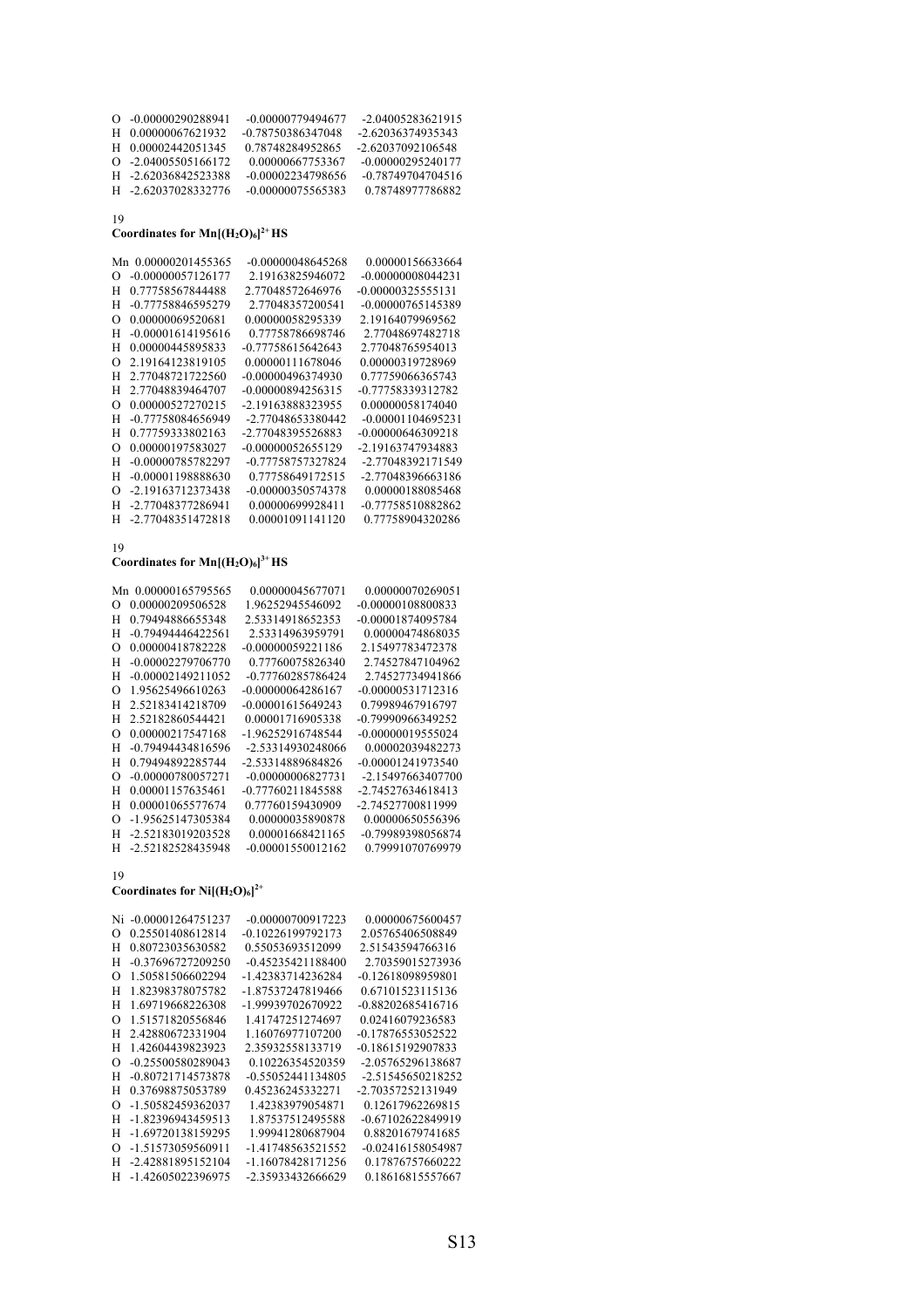| $O$ -0.00000290288941  | -0.00000779494677 | -2.04005283621915   |
|------------------------|-------------------|---------------------|
| H 0.00000067621932     | -0.78750386347048 | -2.62036374935343   |
| H 0.00002442051345     | 0.78748284952865  | -2.62037092106548   |
| $Q = 2.04005505166172$ | 0.00000667753367  | $-0.00000295240177$ |
| H -2.62036842523388    | -0.00002234798656 | -0.78749704704516   |
| H -2.62037028332776    | -0.00000075565383 | 0.78748977786882    |
|                        |                   |                     |

### Coordinates for  $\text{Mn}[(\text{H}_2\text{O})_6]^{2+}$  HS

| Mn 0.00000201455365           | -0.00000048645268 | 0.00000156633664    |
|-------------------------------|-------------------|---------------------|
| -0.00000057126177<br>O        | 2.19163825946072  | $-0.00000008044231$ |
| H<br>0.77758567844488         | 2.77048572646976  | $-0.00000325555131$ |
| -0.77758846595279<br>H        | 2.77048357200541  | -0.00000765145389   |
| 0.00000069520681<br>$\Omega$  | 0.00000058295339  | 2.19164079969562    |
| H<br>$-0.00001614195616$      | 0.77758786698746  | 2.77048697482718    |
| H<br>0.00000445895833         | -0.77758615642643 | 2.77048765954013    |
| 2.19164123819105<br>$\Omega$  | 0.00000111678046  | 0.00000319728969    |
| H<br>2.77048721722560         | -0.00000496374930 | 0.77759066365743    |
| H<br>2.77048839464707         | -0.00000894256315 | -0.77758339312782   |
| 0.00000527270215<br>O         | -2.19163888323955 | 0.00000058174040    |
| H<br>-0.77758084656949        | -2.77048653380442 | $-0.00001104695231$ |
| 0.77759333802163<br>H         | -2.77048395526883 | -0.00000646309218   |
| 0.00000197583027<br>$\Omega$  | -0.00000052655129 | -2.19163747934883   |
| H<br>-0.00000785782297        | -0.77758757327824 | -2.77048392171549   |
| H<br>-0.00001198888630        | 0.77758649172515  | -2.77048396663186   |
| -2.19163712373438<br>$\Omega$ | -0.00000350574378 | 0.00000188085468    |
| H<br>-2.77048377286941        | 0.00000699928411  | -0.77758510882862   |
| H<br>-2.77048351472818        | 0.00001091141120  | 0.77758904320286    |

19

### **Coordinates for Mn[(H2O)6] 3+ HS**

| Mn       | 0.00000165795565  | 0.00000045677071  | 0.00000070269051  |
|----------|-------------------|-------------------|-------------------|
| $\Omega$ | 0.00000209506528  | 1.96252945546092  | -0.00000108800833 |
| н        | 0.79494886655348  | 2.53314918652353  | -0.00001874095784 |
| н        | -0.79494446422561 | 2.53314963959791  | 0.00000474868035  |
| $\Omega$ | 0.00000418782228  | -0.00000059221186 | 2.15497783472378  |
| Н        | -0.00002279706770 | 0.77760075826340  | 2.74527847104962  |
| Н        | -0.00002149211052 | -0.77760285786424 | 2.74527734941866  |
| O        | 1.95625496610263  | -0.00000064286167 | -0.00000531712316 |
| н        | 2.52183414218709  | -0.00001615649243 | 0.79989467916797  |
| н        | 2.52182860544421  | 0.00001716905338  | -0.79990966349252 |
| O        | 0.00000217547168  | -1.96252916748544 | -0.00000019555024 |
| Н        | -0.79494434816596 | -2.53314930248066 | 0.00002039482273  |
| н        | 0.79494892285744  | -2.53314889684826 | -0.00001241973540 |
| Ω        | -0.00000780057271 | -0.00000006827731 | -2.15497663407700 |
| н        | 0.00001157635461  | -0.77760211845588 | -2.74527634618413 |
| Н        | 0.00001065577674  | 0.77760159430909  | -2.74527700811999 |
| O        | -1.95625147305384 | 0.00000035890878  | 0.00000650556396  |
| н        | -2.52183019203528 | 0.00001668421165  | -0.79989398056874 |
| н        | -2.52182528435948 | -0.00001550012162 | 0.79991070769979  |
|          |                   |                   |                   |

19

### Coordinates for  $Ni[(H_2O)_6]^{2+}$

| Ni       | -0.00001264751237 | -0.00000700917223 | 0.00000675600457  |
|----------|-------------------|-------------------|-------------------|
| Ω        | 0.25501408612814  | -0.10226199792173 | 2.05765406508849  |
| Н        | 0.80723035630582  | 0.55053693512099  | 2.51543594766316  |
| Н        | -0.37696727209250 | -0.45235421188400 | 2.70359015273936  |
| $\Omega$ | 1.50581506602294  | -1.42383714236284 | -0.12618098959801 |
| н        | 1.82398378075782  | -1.87537247819466 | 0.67101523115136  |
| н        | 1.69719668226308  | -1.99939702670922 | -0.88202685416716 |
| Ω        | 1.51571820556846  | 1.41747251274697  | 0.02416079236583  |
| Н        | 2.42880672331904  | 1.16076977107200  | -0.17876553052522 |
| Н        | 1.42604439823923  | 2.35932558133719  | -0.18615192907833 |
| O        | -0.25500580289043 | 0.10226354520359  | -2.05765296138687 |
| Н        | -0.80721714573878 | -0.55052441134805 | -2.51545650218252 |
| н        | 0.37698875053789  | 0.45236245332271  | -2.70357252131949 |
| O        | -1.50582459362037 | 1.42383979054871  | 0.12617962269815  |
| н        | -1.82396943459513 | 1.87537512495588  | -0.67102622849919 |
| н        | -1.69720138159295 | 1.99941280687904  | 0.88201679741685  |
| O        | -1.51573059560911 | -1.41748563521552 | -0.02416158054987 |
| Н        | -2.42881895152104 | -1.16078428171256 | 0.17876757660222  |
| н        | -1.42605022396975 | -2.35933432666629 | 0.18616815557667  |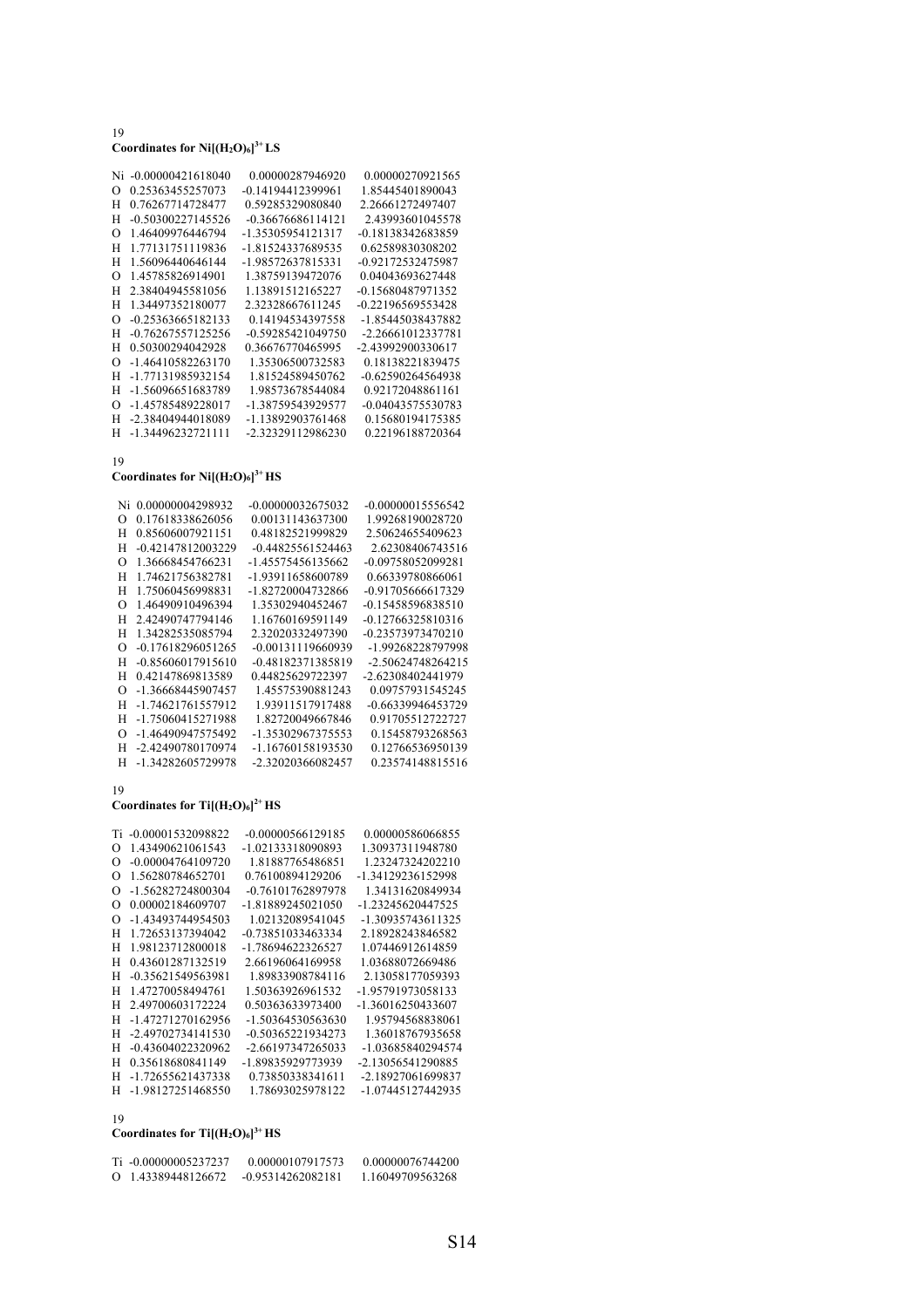# 19 **Coordinates for Ni[(H2O)6] 3+ LS**

| Ni | $-0.00000421618040$ | 0.00000287946920  | 0.00000270921565  |
|----|---------------------|-------------------|-------------------|
| Ω  | 0.25363455257073    | -0.14194412399961 | 1.85445401890043  |
| н  | 0.76267714728477    | 0.59285329080840  | 2.26661272497407  |
| н  | -0.50300227145526   | -0.36676686114121 | 2.43993601045578  |
| Ω  | 1.46409976446794    | -1.35305954121317 | -0.18138342683859 |
| н  | 1.77131751119836    | -1.81524337689535 | 0.62589830308202  |
| Н  | 1.56096440646144    | -1.98572637815331 | -0.92172532475987 |
| Ω  | 1.45785826914901    | 1.38759139472076  | 0.04043693627448  |
| Н  | 2.38404945581056    | 1.13891512165227  | -0.15680487971352 |
| Н  | 1.34497352180077    | 2.32328667611245  | -0.22196569553428 |
| Ω  | -0.25363665182133   | 0.14194534397558  | -1.85445038437882 |
| н  | -0.76267557125256   | -0.59285421049750 | -2.26661012337781 |
| н  | 0.50300294042928    | 0.36676770465995  | -2.43992900330617 |
| Ω  | -1.46410582263170   | 1.35306500732583  | 0.18138221839475  |
| н  | -1.77131985932154   | 1.81524589450762  | -0.62590264564938 |
| н  | -1.56096651683789   | 1.98573678544084  | 0.92172048861161  |
| Ω  | -1.45785489228017   | -1.38759543929577 | -0.04043575530783 |
| Н  | -2.38404944018089   | -1.13892903761468 | 0.15680194175385  |
| н  | -1.34496232721111   | -2.32329112986230 | 0.22196188720364  |
|    |                     |                   |                   |

### 19

**Coordinates for Ni[(H2O)6] 3+ HS**

| Ni       | 0.00000004298932    | -0.00000032675032 | -0.00000015556542   |
|----------|---------------------|-------------------|---------------------|
| $\Omega$ | 0.17618338626056    | 0.00131143637300  | 1.99268190028720    |
| H        | 0.85606007921151    | 0.48182521999829  | 2.50624655409623    |
| H        | -0.42147812003229   | -0.44825561524463 | 2.62308406743516    |
| $\Omega$ | 1.36668454766231    | -1.45575456135662 | -0.09758052099281   |
| H        | 1.74621756382781    | -1.93911658600789 | 0.66339780866061    |
| H        | 1.75060456998831    | -1.82720004732866 | $-0.91705666617329$ |
| $\Omega$ | 1.46490910496394    | 1.35302940452467  | -0.15458596838510   |
| Н        | 2.42490747794146    | 1.16760169591149  | -0.12766325810316   |
| H        | 1.34282535085794    | 2.32020332497390  | -0.23573973470210   |
| $\Omega$ | $-0.17618296051265$ | -0.00131119660939 | -1.99268228797998   |
| н        | $-0.85606017915610$ | -0.48182371385819 | -2.50624748264215   |
| H        | 0.42147869813589    | 0.44825629722397  | -2.62308402441979   |
| $\Omega$ | -1.36668445907457   | 1.45575390881243  | 0.09757931545245    |
| H        | -1.74621761557912   | 1.93911517917488  | -0.66339946453729   |
| H        | -1.75060415271988   | 1.82720049667846  | 0.91705512722727    |
| $\Omega$ | -1.46490947575492   | -1.35302967375553 | 0.15458793268563    |
| н        | -2.42490780170974   | -1.16760158193530 | 0.12766536950139    |
| H        | -1.34282605729978   | -2.32020366082457 | 0.23574148815516    |

#### 19

### Coordinates for  $Ti[(H_2O)_6]^2$ <sup>+</sup> HS

|                | Ti -0.00001532098822 | -0.00000566129185 | 0.00000586066855  |
|----------------|----------------------|-------------------|-------------------|
| $\Omega$       | 1.43490621061543     | -1.02133318090893 | 1.30937311948780  |
| $\Omega$       | -0.00004764109720    | 1.81887765486851  | 1.23247324202210  |
| $\Omega$       | 1.56280784652701     | 0.76100894129206  | -1.34129236152998 |
| O              | -1.56282724800304    | -0.76101762897978 | 1.34131620849934  |
| $\mathfrak{g}$ | 0.00002184609707     | -1.81889245021050 | -1.23245620447525 |
| O              | -1.43493744954503    | 1.02132089541045  | -1.30935743611325 |
| н              | 1.72653137394042     | -0.73851033463334 | 2.18928243846582  |
| н              | 1.98123712800018     | -1.78694622326527 | 1.07446912614859  |
| н              | 0.43601287132519     | 2.66196064169958  | 1.03688072669486  |
| н              | -0.35621549563981    | 1.89833908784116  | 2.13058177059393  |
| н              | 1.47270058494761     | 1.50363926961532  | -1.95791973058133 |
| н              | 2.49700603172224     | 0.50363633973400  | -1.36016250433607 |
| н              | -1.47271270162956    | -1.50364530563630 | 1.95794568838061  |
| н              | -2.49702734141530    | -0.50365221934273 | 1.36018767935658  |
| н              | -0.43604022320962    | -2.66197347265033 | -1.03685840294574 |
| н              | 0.35618680841149     | -1.89835929773939 | -2.13056541290885 |
| н              | -1.72655621437338    | 0.73850338341611  | -2.18927061699837 |
| H              | -1.98127251468550    | 1.78693025978122  | -1.07445127442935 |
|                |                      |                   |                   |

# 19

### **Coordinates for Ti[(H2O)6] 3+ HS**

| Ti -0.00000005237237 | 0.00000107917573    | 0.00000076744200 |
|----------------------|---------------------|------------------|
| 0 1.43389448126672   | $-0.95314262082181$ | 1.16049709563268 |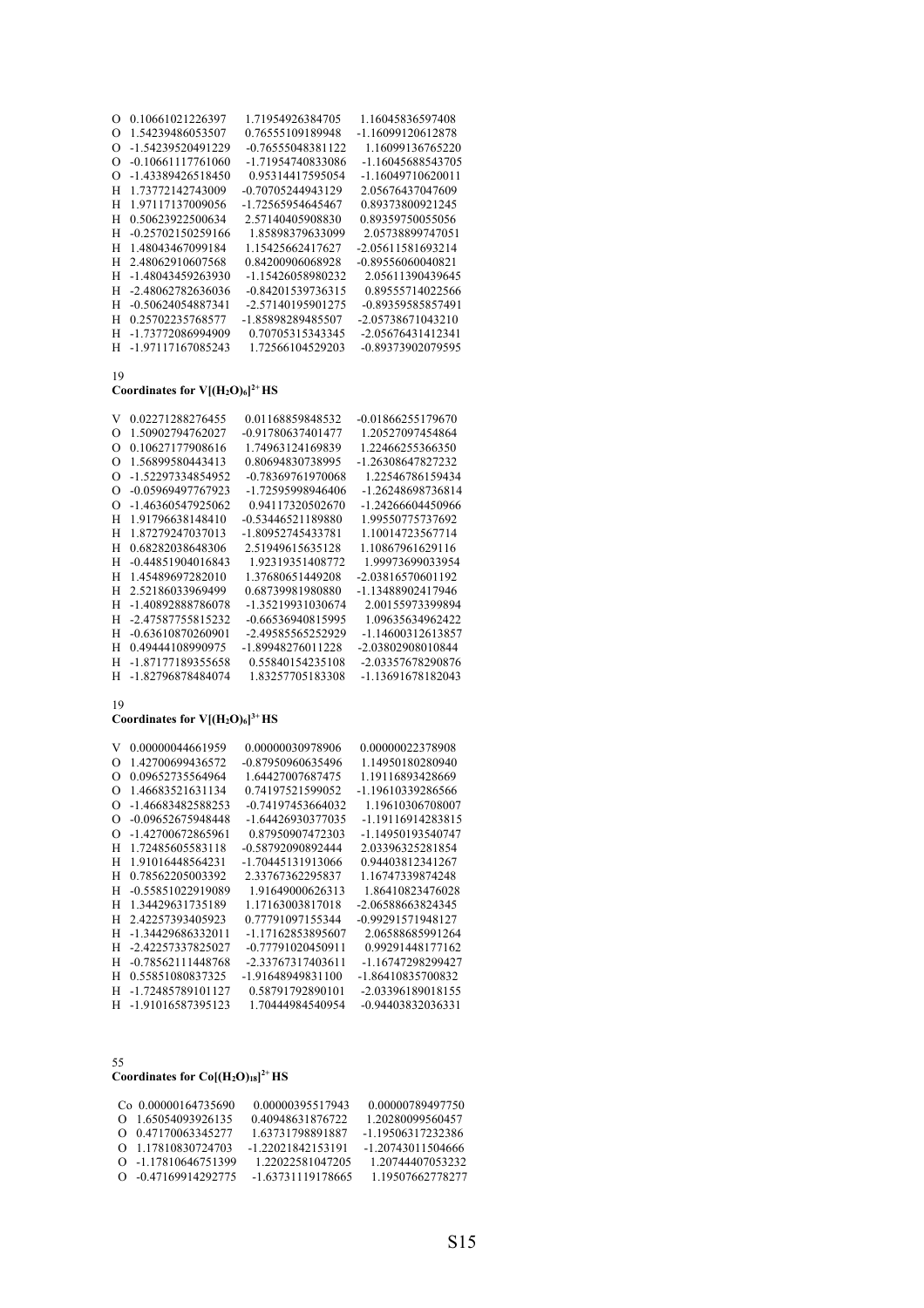| $\Omega$ | 0.10661021226397    | 1.71954926384705  | 1.16045836597408  |
|----------|---------------------|-------------------|-------------------|
| Ω        | 1.54239486053507    | 0.76555109189948  | -1.16099120612878 |
| O        | -1.54239520491229   | -0.76555048381122 | 1.16099136765220  |
| Ω        | $-0.10661117761060$ | -1.71954740833086 | -1.16045688543705 |
| Ω        | -1.43389426518450   | 0.95314417595054  | -1.16049710620011 |
| н        | 1.73772142743009    | -0.70705244943129 | 2.05676437047609  |
| н        | 1.97117137009056    | -1.72565954645467 | 0.89373800921245  |
| Н        | 0.50623922500634    | 2.57140405908830  | 0.89359750055056  |
| н        | -0.25702150259166   | 1.85898379633099  | 2.05738899747051  |
| н        | 1.48043467099184    | 1.15425662417627  | -2.05611581693214 |
| н        | 2.48062910607568    | 0.84200906068928  | -0.89556060040821 |
| н        | -1.48043459263930   | -1.15426058980232 | 2.05611390439645  |
| н        | -2.48062782636036   | -0.84201539736315 | 0.89555714022566  |
| н        | -0.50624054887341   | -2.57140195901275 | -0.89359585857491 |
| н        | 0.25702235768577    | -1.85898289485507 | -2.05738671043210 |
| н        | -1.73772086994909   | 0.70705315343345  | -2.05676431412341 |
| н        | -1.97117167085243   | 1.72566104529203  | -0.89373902079595 |
|          |                     |                   |                   |

# **Coordinates for V[(H2O)6] 2+ HS**

| V                | 0.02271288276455  | 0.01168859848532  | -0.01866255179670 |
|------------------|-------------------|-------------------|-------------------|
| Ω                | 1.50902794762027  | -0.91780637401477 | 1.20527097454864  |
| ∩                | 0.10627177908616  | 1.74963124169839  | 1.22466255366350  |
| ∩                | 1.56899580443413  | 0.80694830738995  | -1.26308647827232 |
| $\left( \right)$ | -1.52297334854952 | -0.78369761970068 | 1.22546786159434  |
| $\left( \right)$ | -0.05969497767923 | -1.72595998946406 | -1.26248698736814 |
| $\left( \right)$ | -1.46360547925062 | 0.94117320502670  | -1.24266604450966 |
| н                | 1.91796638148410  | -0.53446521189880 | 1.99550775737692  |
| Н                | 1.87279247037013  | -1.80952745433781 | 1.10014723567714  |
| Н                | 0.68282038648306  | 2.51949615635128  | 1.10867961629116  |
| Н                | -0.44851904016843 | 1.92319351408772  | 1.99973699033954  |
| Н                | 1.45489697282010  | 1.37680651449208  | -2.03816570601192 |
| н                | 2.52186033969499  | 0.68739981980880  | -1.13488902417946 |
| Н                | -1.40892888786078 | -1.35219931030674 | 2.00155973399894  |
| н                | -2.47587755815232 | -0.66536940815995 | 1.09635634962422  |
| Н                | -0.63610870260901 | -2.49585565252929 | -1.14600312613857 |
| н                | 0.49444108990975  | -1.89948276011228 | -2.03802908010844 |
| н                | -1.87177189355658 | 0.55840154235108  | -2.03357678290876 |
| н                | -1.82796878484074 | 1.83257705183308  | -1.13691678182043 |
|                  |                   |                   |                   |

# 19

### **Coordinates for V[(H2O)6] 3+ HS**

| V                | 0.00000044661959  | 0.00000030978906  | 0.00000022378908    |
|------------------|-------------------|-------------------|---------------------|
| $\left( \right)$ | 1.42700699436572  | -0.87950960635496 | 1.14950180280940    |
| $\left( \right)$ | 0.09652735564964  | 1.64427007687475  | 1.19116893428669    |
| $\left( \right)$ | 1.46683521631134  | 0.74197521599052  | -1.19610339286566   |
| ∩                | -1.46683482588253 | -0.74197453664032 | 1.19610306708007    |
| $\Omega$         | -0.09652675948448 | -1.64426930377035 | -1.19116914283815   |
| ∩                | -1.42700672865961 | 0.87950907472303  | -1.14950193540747   |
| н                | 1.72485605583118  | -0.58792090892444 | 2.03396325281854    |
| Н                | 1.91016448564231  | -1.70445131913066 | 0.94403812341267    |
| Н                | 0.78562205003392  | 2.33767362295837  | 1.16747339874248    |
| н                | -0.55851022919089 | 1.91649000626313  | 1.86410823476028    |
| н                | 1.34429631735189  | 1.17163003817018  | $-2.06588663824345$ |
| н                | 2.42257393405923  | 0.77791097155344  | -0.99291571948127   |
| н                | -1.34429686332011 | -1.17162853895607 | 2.06588685991264    |
| н                | -2.42257337825027 | -0.77791020450911 | 0.99291448177162    |
| Н                | -0.78562111448768 | -2.33767317403611 | -1.16747298299427   |
| н                | 0.55851080837325  | -1.91648949831100 | -1.86410835700832   |
| н                | -1.72485789101127 | 0.58791792890101  | -2.03396189018155   |
| н                | -1.91016587395123 | 1.70444984540954  | -0.94403832036331   |
|                  |                   |                   |                     |

55

### **Coordinates for Co[(H2O)18] 2+ HS**

| Co 0.00000164735690 | 0.00000395517943  | 0.00000789497750  |
|---------------------|-------------------|-------------------|
| 0 1.65054093926135  | 0.40948631876722  | 1.20280099560457  |
| 0 0.47170063345277  | 1.63731798891887  | -1.19506317232386 |
| 0 1.17810830724703  | -1.22021842153191 | -1.20743011504666 |
| 0 -1.17810646751399 | 1.22022581047205  | 1.20744407053232  |
| 0 -0.47169914292775 | -1.63731119178665 | 1.19507662778277  |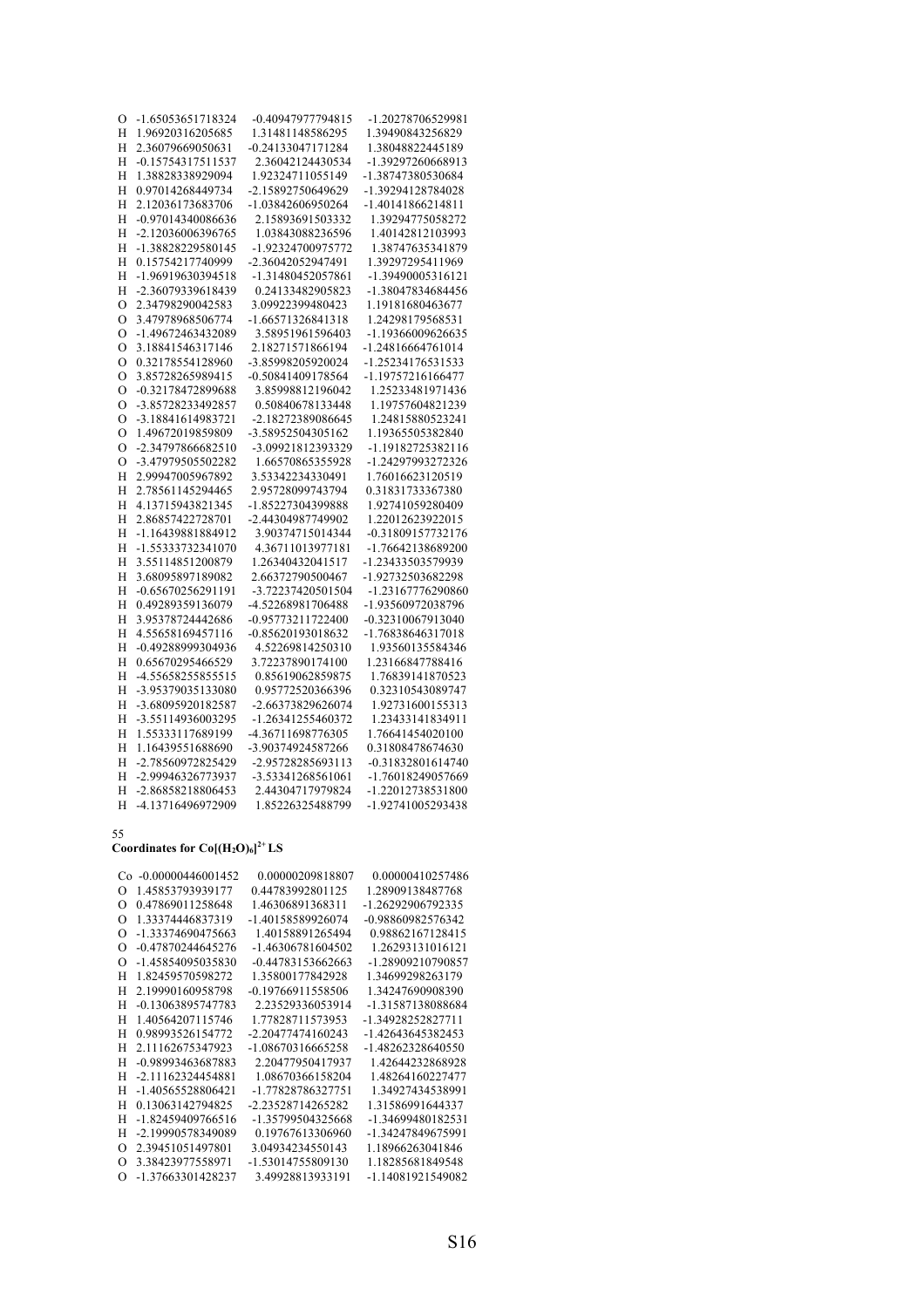| О             | -1.65053651718324 | -0.40947977794815 | -1.20278706529981 |
|---------------|-------------------|-------------------|-------------------|
| Н             | 1.96920316205685  | 1.31481148586295  | 1.39490843256829  |
| H             | 2.36079669050631  | -0.24133047171284 | 1.38048822445189  |
| Η             | -0.15754317511537 | 2.36042124430534  | -1.39297260668913 |
| H             | 1.38828338929094  | 1.92324711055149  | -1.38747380530684 |
| H             | 0.97014268449734  | -2.15892750649629 | -1.39294128784028 |
| Н             | 2.12036173683706  | -1.03842606950264 | -1.40141866214811 |
| Η             | -0.97014340086636 | 2.15893691503332  | 1.39294775058272  |
| Н             | -2.12036006396765 | 1.03843088236596  | 1.40142812103993  |
| H             | -1.38828229580145 | -1.92324700975772 | 1.38747635341879  |
| H             | 0.15754217740999  | -2.36042052947491 | 1.39297295411969  |
| H             | -1.96919630394518 | -1.31480452057861 | -1.39490005316121 |
| H             | -2.36079339618439 | 0.24133482905823  | -1.38047834684456 |
| $\circ$       | 2.34798290042583  | 3.09922399480423  | 1.19181680463677  |
| $\circ$       | 3.47978968506774  | -1.66571326841318 | 1.24298179568531  |
| $\circ$       | -1.49672463432089 | 3.58951961596403  | -1.19366009626635 |
| $\mathcal{O}$ | 3.18841546317146  | 2.18271571866194  | -1.24816664761014 |
| O             | 0.32178554128960  | -3.85998205920024 | -1.25234176531533 |
| O             | 3.85728265989415  | -0.50841409178564 | -1.19757216166477 |
| O             | -0.32178472899688 | 3.85998812196042  | 1.25233481971436  |
| $\mathcal{O}$ | -3.85728233492857 | 0.50840678133448  | 1.19757604821239  |
| O             | -3.18841614983721 | -2.18272389086645 | 1.24815880523241  |
| $\circ$       | 1.49672019859809  | -3.58952504305162 | 1.19365505382840  |
| $\circ$       | -2.34797866682510 | -3.09921812393329 | -1.19182725382116 |
| $\circ$       | -3.47979505502282 | 1.66570865355928  | -1.24297993272326 |
| H             | 2.99947005967892  | 3.53342234330491  | 1.76016623120519  |
| H             | 2.78561145294465  | 2.95728099743794  | 0.31831733367380  |
| H             | 4.13715943821345  | -1.85227304399888 | 1.92741059280409  |
| H             | 2.86857422728701  | -2.44304987749902 | 1.22012623922015  |
| H             | -1.16439881884912 | 3.90374715014344  | -0.31809157732176 |
| H             | -1.55333732341070 | 4.36711013977181  | -1.76642138689200 |
| H             | 3.55114851200879  | 1.26340432041517  | -1.23433503579939 |
| H             | 3.68095897189082  | 2.66372790500467  | -1.92732503682298 |
| Н             | -0.65670256291191 | -3.72237420501504 | -1.23167776290860 |
| Н             | 0.49289359136079  | -4.52268981706488 | -1.93560972038796 |
| H             | 3.95378724442686  | -0.95773211722400 | -0.32310067913040 |
| H             | 4.55658169457116  | -0.85620193018632 | -1.76838646317018 |
| Η             | -0.49288999304936 | 4.52269814250310  | 1.93560135584346  |
| H             | 0.65670295466529  | 3.72237890174100  | 1.23166847788416  |
| Η             | -4.55658255855515 | 0.85619062859875  | 1.76839141870523  |
| Η             | -3.95379035133080 | 0.95772520366396  | 0.32310543089747  |
| Н             | -3.68095920182587 | -2.66373829626074 | 1.92731600155313  |
| H             | -3.55114936003295 | -1.26341255460372 | 1.23433141834911  |
| H             | 1.55333117689199  | -4.36711698776305 | 1.76641454020100  |
| H             | 1.16439551688690  | -3.90374924587266 | 0.31808478674630  |
| H             | -2.78560972825429 | -2.95728285693113 | -0.31832801614740 |
| H             | -2.99946326773937 | -3.53341268561061 | -1.76018249057669 |
| H             | -2.86858218806453 | 2.44304717979824  | -1.22012738531800 |
| H             | -4.13716496972909 | 1.85226325488799  | -1.92741005293438 |

### Coordinates for  $Co[(H_2O)_6]^{2+}LS$

| Co -0.00000446001452          | 0.00000209818807  | 0.00000410257486  |
|-------------------------------|-------------------|-------------------|
| 1.45853793939177<br>O         | 0.44783992801125  | 1.28909138487768  |
| 0.47869011258648<br>$\Omega$  | 1.46306891368311  | -1.26292906792335 |
| 1.33374446837319<br>$\Omega$  | -1.40158589926074 | -0.98860982576342 |
| -1.33374690475663<br>$\Omega$ | 1.40158891265494  | 0.98862167128415  |
| -0.47870244645276<br>$\Omega$ | -1.46306781604502 | 1.26293131016121  |
| -1.45854095035830<br>$\Omega$ | -0.44783153662663 | -1.28909210790857 |
| Н<br>1.82459570598272         | 1.35800177842928  | 1.34699298263179  |
| Н<br>2.19990160958798         | -0.19766911558506 | 1.34247690908390  |
| H<br>-0.13063895747783        | 2.23529336053914  | -1.31587138088684 |
| H<br>1.40564207115746         | 1.77828711573953  | -1.34928252827711 |
| Н<br>0.98993526154772         | -2.20477474160243 | -1.42643645382453 |
| H<br>2.11162675347923         | -1.08670316665258 | -1.48262328640550 |
| H<br>-0.98993463687883        | 2.20477950417937  | 1.42644232868928  |
| H<br>-2.11162324454881        | 1.08670366158204  | 1.48264160227477  |
| H<br>-1.40565528806421        | -1.77828786327751 | 1.34927434538991  |
| Н<br>0.13063142794825         | -2.23528714265282 | 1.31586991644337  |
| H<br>-1.82459409766516        | -1.35799504325668 | -1.34699480182531 |
| H<br>-2.19990578349089        | 0.19767613306960  | -1.34247849675991 |
| 2.39451051497801<br>$\Omega$  | 3.04934234550143  | 1.18966263041846  |
| 3.38423977558971<br>$\Omega$  | -1.53014755809130 | 1.18285681849548  |
| -1.37663301428237<br>$\Omega$ | 3.49928813933191  | -1.14081921549082 |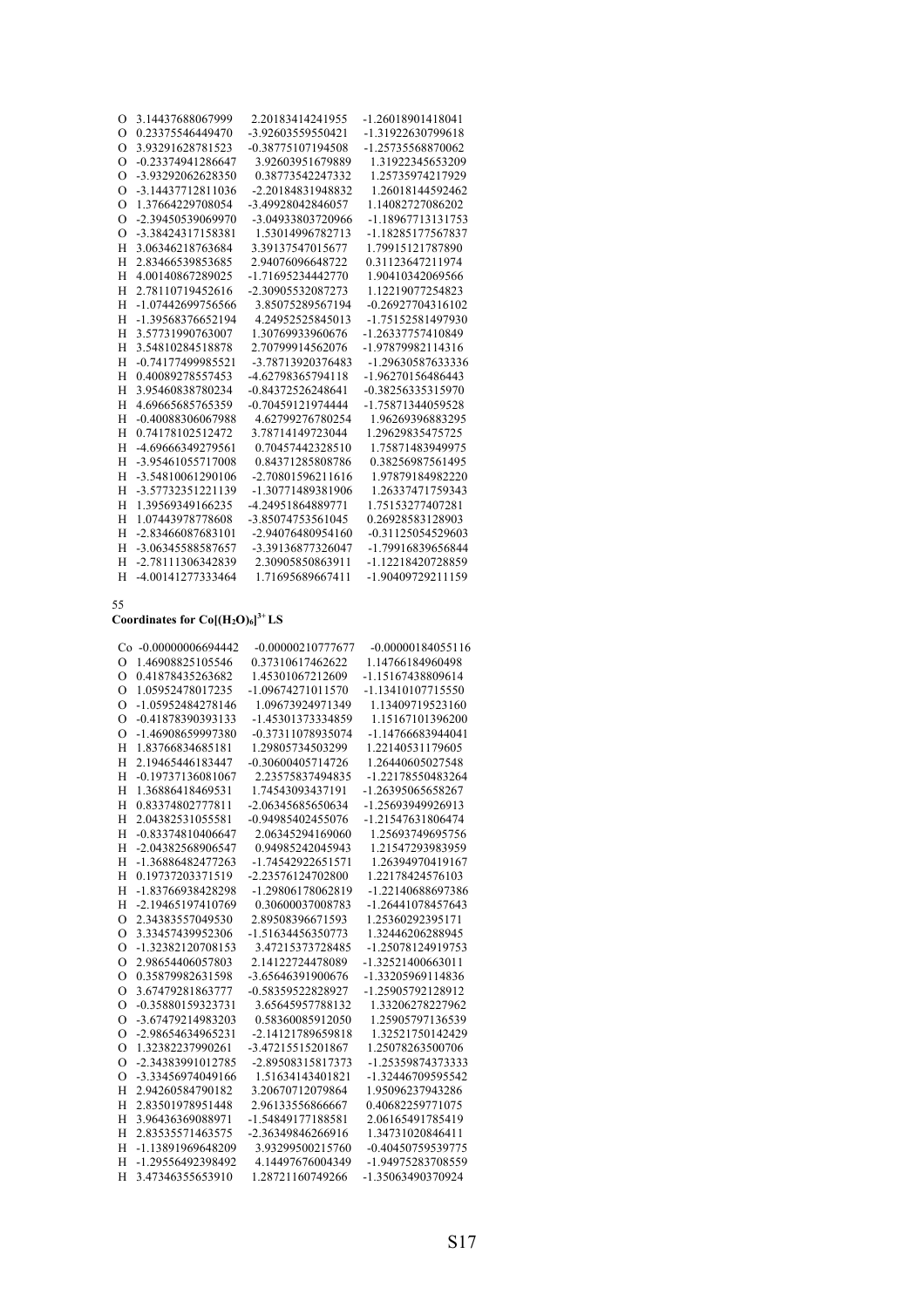| O        | 3.14437688067999  | 2.20183414241955  | -1.26018901418041 |
|----------|-------------------|-------------------|-------------------|
| $\Omega$ | 0.23375546449470  | -3.92603559550421 | -1.31922630799618 |
| $\Omega$ | 3.93291628781523  | -0.38775107194508 | -1.25735568870062 |
| $\Omega$ | -0.23374941286647 | 3.92603951679889  | 1.31922345653209  |
| $\Omega$ | -3.93292062628350 | 0.38773542247332  | 1.25735974217929  |
| $\Omega$ | -3.14437712811036 | -2.20184831948832 | 1.26018144592462  |
| $\Omega$ | 1.37664229708054  | -3.49928042846057 | 1.14082727086202  |
| $\Omega$ | -2.39450539069970 | -3.04933803720966 | -1.18967713131753 |
| $\Omega$ | -3.38424317158381 | 1.53014996782713  | -1.18285177567837 |
| H        | 3.06346218763684  | 3.39137547015677  | 1.79915121787890  |
| H        | 2.83466539853685  | 2.94076096648722  | 0.31123647211974  |
| H        | 4.00140867289025  | -1.71695234442770 | 1.90410342069566  |
| H        | 2.78110719452616  | -2.30905532087273 | 1.12219077254823  |
| H        | -1.07442699756566 | 3.85075289567194  | -0.26927704316102 |
| H        | -1.39568376652194 | 4.24952525845013  | -1.75152581497930 |
| H        | 3.57731990763007  | 1.30769933960676  | -1.26337757410849 |
| H        | 3.54810284518878  | 2.70799914562076  | -1.97879982114316 |
| H        | -0.74177499985521 | -3.78713920376483 | -1.29630587633336 |
| H        | 0.40089278557453  | -4.62798365794118 | -1.96270156486443 |
| H        | 3.95460838780234  | -0.84372526248641 | -0.38256335315970 |
| H        | 4.69665685765359  | -0.70459121974444 | -1.75871344059528 |
| H        | -0.40088306067988 | 4.62799276780254  | 1.96269396883295  |
| H        | 0.74178102512472  | 3.78714149723044  | 1.29629835475725  |
| H        | -4.69666349279561 | 0.70457442328510  | 1.75871483949975  |
| H        | -3.95461055717008 | 0.84371285808786  | 0.38256987561495  |
| H        | -3.54810061290106 | -2.70801596211616 | 1.97879184982220  |
| Н        | -3.57732351221139 | -1.30771489381906 | 1.26337471759343  |
| H        | 1.39569349166235  | -4.24951864889771 | 1.75153277407281  |
| H        | 1.07443978778608  | -3.85074753561045 | 0.26928583128903  |
| H        | -2.83466087683101 | -2.94076480954160 | -0.31125054529603 |
| H        | -3.06345588587657 | -3.39136877326047 | -1.79916839656844 |
| H        | -2.78111306342839 | 2.30905850863911  | -1.12218420728859 |
| H        | -4.00141277333464 | 1.71695689667411  | -1.90409729211159 |

### **Coordinates for Co[(H2O)6] 3+ LS**

|                | Co -0.00000006694442 | -0.00000210777677 | $-0.00000184055116$ |
|----------------|----------------------|-------------------|---------------------|
| $\Omega$       | 1.46908825105546     | 0.37310617462622  | 1.14766184960498    |
| $\Omega$       | 0.41878435263682     | 1.45301067212609  | -1.15167438809614   |
| $\Omega$       | 1.05952478017235     | -1.09674271011570 | -1.13410107715550   |
| $\Omega$       | -1.05952484278146    | 1.09673924971349  | 1.13409719523160    |
| $\Omega$       | -0.41878390393133    | -1.45301373334859 | 1.15167101396200    |
| $\Omega$       | -1.46908659997380    | -0.37311078935074 | -1.14766683944041   |
| H              | 1.83766834685181     | 1.29805734503299  | 1.22140531179605    |
| H              | 2.19465446183447     | -0.30600405714726 | 1.26440605027548    |
| H              | -0.19737136081067    | 2.23575837494835  | -1.22178550483264   |
| H              | 1.36886418469531     | 1.74543093437191  | -1.26395065658267   |
| H              | 0.83374802777811     | -2.06345685650634 | -1.25693949926913   |
| H              | 2.04382531055581     | -0.94985402455076 | -1.21547631806474   |
| H              | -0.83374810406647    | 2.06345294169060  | 1.25693749695756    |
| H              | -2.04382568906547    | 0.94985242045943  | 1.21547293983959    |
| H              | -1.36886482477263    | -1.74542922651571 | 1.26394970419167    |
| H              | 0.19737203371519     | -2.23576124702800 | 1.22178424576103    |
| H              | -1.83766938428298    | -1.29806178062819 | -1.22140688697386   |
| H              | -2.19465197410769    | 0.30600037008783  | -1.26441078457643   |
| $\Omega$       | 2.34383557049530     | 2.89508396671593  | 1.25360292395171    |
| $\Omega$       | 3.33457439952306     | -1.51634456350773 | 1.32446206288945    |
| $\Omega$       | -1.32382120708153    | 3.47215373728485  | -1.25078124919753   |
| $\overline{O}$ | 2.98654406057803     | 2.14122724478089  | -1.32521400663011   |
| $\Omega$       | 0.35879982631598     | -3.65646391900676 | -1.33205969114836   |
| $\overline{O}$ | 3.67479281863777     | -0.58359522828927 | -1.25905792128912   |
| $\overline{O}$ | -0.35880159323731    | 3.65645957788132  | 1.33206278227962    |
| $\overline{O}$ | -3.67479214983203    | 0.58360085912050  | 1.25905797136539    |
| $\Omega$       | -2.98654634965231    | -2.14121789659818 | 1.32521750142429    |
| $\Omega$       | 1.32382237990261     | -3.47215515201867 | 1.25078263500706    |
| $\Omega$       | -2.34383991012785    | -2.89508315817373 | -1.25359874373333   |
| $\Omega$       | -3.33456974049166    | 1.51634143401821  | -1.32446709595542   |
| H              | 2.94260584790182     | 3.20670712079864  | 1.95096237943286    |
| H              | 2.83501978951448     | 2.96133556866667  | 0.40682259771075    |
| H              | 3.96436369088971     | -1.54849177188581 | 2.06165491785419    |
| H              | 2.83535571463575     | -2.36349846266916 | 1.34731020846411    |
| H              | -1.13891969648209    | 3.93299500215760  | -0.40450759539775   |
| H              | -1.29556492398492    | 4.14497676004349  | -1.94975283708559   |
| H              | 3.47346355653910     | 1.28721160749266  | -1.35063490370924   |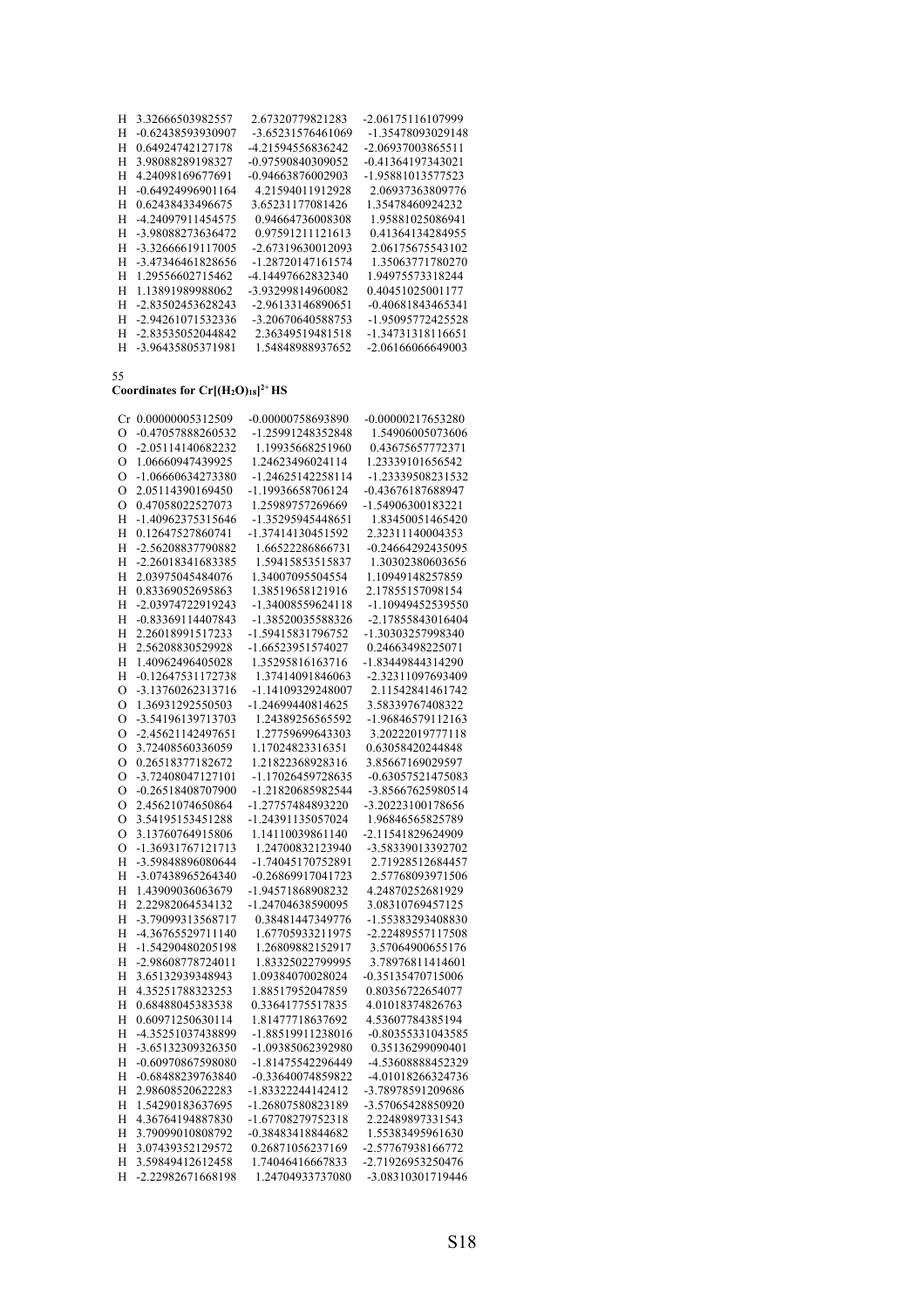| н | 3.32666503982557    | 2.67320779821283  | -2.06175116107999 |
|---|---------------------|-------------------|-------------------|
| H | -0.62438593930907   | -3.65231576461069 | -1.35478093029148 |
| Н | 0.64924742127178    | -4.21594556836242 | -2.06937003865511 |
| H | 3.98088289198327    | -0.97590840309052 | -0.41364197343021 |
| Н | 4.24098169677691    | -0.94663876002903 | -1.95881013577523 |
| H | $-0.64924996901164$ | 4.21594011912928  | 2.06937363809776  |
| Н | 0.62438433496675    | 3.65231177081426  | 1.35478460924232  |
| Н | -4.24097911454575   | 0.94664736008308  | 1.95881025086941  |
| Н | -3.98088273636472   | 0.97591211121613  | 0.41364134284955  |
| Н | -3.32666619117005   | -2.67319630012093 | 2.06175675543102  |
| Н | -3.47346461828656   | -1.28720147161574 | 1.35063771780270  |
| Н | 1.29556602715462    | -4.14497662832340 | 1.94975573318244  |
| Н | 1.13891989988062    | -3.93299814960082 | 0.40451025001177  |
| Н | -2.83502453628243   | -2.96133146890651 | -0.40681843465341 |
| Н | -2.94261071532336   | -3.20670640588753 | -1.95095772425528 |
| Н | -2.83535052044842   | 2.36349519481518  | -1.34731318116651 |
| H | -3.96435805371981   | 1.54848988937652  | -2.06166066649003 |

# **Coordinates for Cr[(H2O)18] 2+ HS**

| Cr            | 0.00000005312509                     | -0.00000758693890 | -0.00000217653280                    |
|---------------|--------------------------------------|-------------------|--------------------------------------|
| $\Omega$      | -0.47057888260532                    | -1.25991248352848 | 1.54906005073606                     |
| $\circ$       | -2.05114140682232                    | 1.19935668251960  | 0.43675657772371                     |
| $\Omega$      | 1.06660947439925                     | 1.24623496024114  | 1.23339101656542                     |
| $\circ$       | -1.06660634273380                    | -1.24625142258114 | -1.23339508231532                    |
| $\Omega$      | 2.05114390169450                     | -1.19936658706124 | -0.43676187688947                    |
| $\circ$       | 0.47058022527073                     | 1.25989757269669  | -1.54906300183221                    |
| H             | -1.40962375315646                    | -1.35295945448651 | 1.83450051465420                     |
| Н             | 0.12647527860741                     | -1.37414130451592 | 2.32311140004353                     |
| H             | -2.56208837790882                    | 1.66522286866731  | -0.24664292435095                    |
| Н             | -2.26018341683385                    | 1.59415853515837  | 1.30302380603656                     |
| H             | 2.03975045484076                     | 1.34007095504554  | 1.10949148257859                     |
| H             | 0.83369052695863                     | 1.38519658121916  | 2.17855157098154                     |
| H             | -2.03974722919243                    | -1.34008559624118 |                                      |
|               |                                      |                   | -1.10949452539550                    |
| Η             | -0.83369114407843                    | -1.38520035588326 | -2.17855843016404                    |
| H             | 2.26018991517233                     | -1.59415831796752 | -1.30303257998340                    |
| H             | 2.56208830529928                     | -1.66523951574027 | 0.24663498225071                     |
| Н             | 1.40962496405028                     | 1.35295816163716  | -1.83449844314290                    |
| Η             | -0.12647531172738                    | 1.37414091846063  | -2.32311097693409                    |
| O             | -3.13760262313716                    | -1.14109329248007 | 2.11542841461742                     |
| $\mathcal{O}$ | 1.36931292550503                     | -1.24699440814625 | 3.58339767408322                     |
| $\circ$       | -3.54196139713703                    | 1.24389256565592  | -1.96846579112163                    |
| $\mathcal{O}$ | -2.45621142497651                    | 1.27759699643303  | 3.20222019777118                     |
| $\Omega$      | 3.72408560336059                     | 1.17024823316351  | 0.63058420244848                     |
| $\mathcal{O}$ | 0.26518377182672                     | 1.21822368928316  | 3.85667169029597                     |
| $\Omega$      | -3.72408047127101                    | -1.17026459728635 | -0.63057521475083                    |
| $\circ$       | -0.26518408707900                    | -1.21820685982544 | -3.85667625980514                    |
| O             | 2.45621074650864                     | -1.27757484893220 | -3.20223100178656                    |
| $\circ$       | 3.54195153451288                     | -1.24391135057024 | 1.96846565825789                     |
| $\circ$       | 3.13760764915806                     | 1.14110039861140  | -2.11541829624909                    |
| O             | -1.36931767121713                    | 1.24700832123940  | -3.58339013392702                    |
| H             | -3.59848896080644                    | -1.74045170752891 | 2.71928512684457                     |
| Н             | -3.07438965264340                    | -0.26869917041723 | 2.57768093971506                     |
| H             | 1.43909036063679                     | -1.94571868908232 | 4.24870252681929                     |
| H             | 2.22982064534132                     | -1.24704638590095 | 3.08310769457125                     |
| H             | -3.79099313568717                    | 0.38481447349776  | -1.55383293408830                    |
| H             | -4.36765529711140                    | 1.67705933211975  | -2.22489557117508                    |
| H             | -1.54290480205198                    | 1.26809882152917  | 3.57064900655176                     |
| Η             | -2.98608778724011                    | 1.83325022799995  | 3.78976811414601                     |
| H             | 3.65132939348943                     | 1.09384070028024  | -0.35135470715006                    |
| H             | 4.35251788323253                     | 1.88517952047859  | 0.80356722654077                     |
| H             | 0.68488045383538                     | 0.33641775517835  | 4.01018374826763                     |
| Η             | 0.60971250630114                     | 1.81477718637692  | 4.53607784385194                     |
| H             | -4.35251037438899                    | -1.88519911238016 | -0.80355331043585                    |
| Η             | -3.65132309326350                    | -1.09385062392980 | 0.35136299090401                     |
| Η             | -0.60970867598080                    | -1.81475542296449 | -4.53608888452329                    |
| H             | -0.68488239763840                    | -0.33640074859822 | -4.01018266324736                    |
| Η             | 2.98608520622283                     | -1.83322244142412 | -3.78978591209686                    |
| Η             | 1.54290183637695                     | -1.26807580823189 | -3.57065428850920                    |
|               |                                      |                   |                                      |
| H             | 4.36764194887830<br>3.79099010808792 | -1.67708279752318 | 2.22489897331543<br>1.55383495961630 |
| Н             |                                      | -0.38483418844682 |                                      |
| H             | 3.07439352129572                     | 0.26871056237169  | -2.57767938166772                    |
| Н             | 3.59849412612458                     | 1.74046416667833  | -2.71926953250476                    |
| H             | -2.22982671668198                    | 1.24704933737080  | -3.08310301719446                    |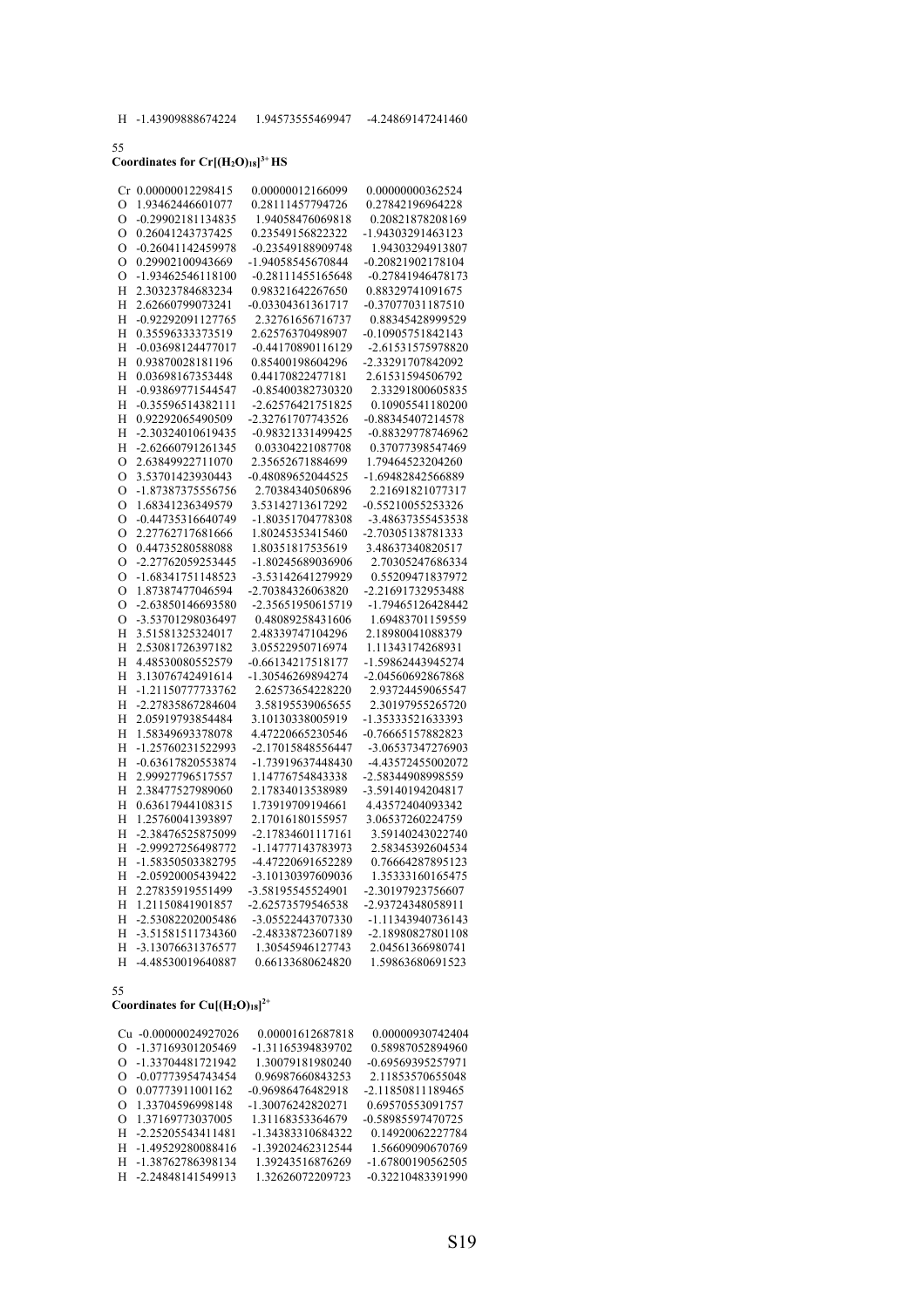# **Coordinates for Cr[(H2O)18] 3+ HS**

|               | Cr 0.00000012298415 | 0.00000012166099  | 0.00000000362524    |
|---------------|---------------------|-------------------|---------------------|
| O             | 1.93462446601077    | 0.28111457794726  | 0.27842196964228    |
| $\circ$       | -0.29902181134835   | 1.94058476069818  | 0.20821878208169    |
| $\circ$       | 0.26041243737425    | 0.23549156822322  | -1.94303291463123   |
| $\circ$       | -0.26041142459978   | -0.23549188909748 | 1.94303294913807    |
| $\circ$       | 0.29902100943669    | -1.94058545670844 | $-0.20821902178104$ |
| $\circ$       | -1.93462546118100   | -0.28111455165648 | -0.27841946478173   |
| Η             | 2.30323784683234    | 0.98321642267650  | 0.88329741091675    |
| H             | 2.62660799073241    | -0.03304361361717 | -0.37077031187510   |
|               | -0.92292091127765   | 2.32761656716737  | 0.88345428999529    |
| Η             | 0.35596333373519    | 2.62576370498907  | -0.10905751842143   |
| H             |                     |                   |                     |
| Η             | -0.03698124477017   | -0.44170890116129 | -2.61531575978820   |
| H             | 0.93870028181196    | 0.85400198604296  | -2.33291707842092   |
| H             | 0.03698167353448    | 0.44170822477181  | 2.61531594506792    |
| Η             | -0.93869771544547   | -0.85400382730320 | 2.33291800605835    |
| H             | -0.35596514382111   | -2.62576421751825 | 0.10905541180200    |
| H             | 0.92292065490509    | -2.32761707743526 | -0.88345407214578   |
| Η             | -2.30324010619435   | -0.98321331499425 | -0.88329778746962   |
| Η             | -2.62660791261345   | 0.03304221087708  | 0.37077398547469    |
| $\circ$       | 2.63849922711070    | 2.35652671884699  | 1.79464523204260    |
| $\mathcal{O}$ | 3.53701423930443    | -0.48089652044525 | -1.69482842566889   |
| O             | -1.87387375556756   | 2.70384340506896  | 2.21691821077317    |
| O             | 1.68341236349579    | 3.53142713617292  | -0.55210055253326   |
| O             | -0.44735316640749   | -1.80351704778308 | -3.48637355453538   |
| O             | 2.27762717681666    | 1.80245353415460  | -2.70305138781333   |
| O             | 0.44735280588088    | 1.80351817535619  | 3.48637340820517    |
| O             | -2.27762059253445   | -1.80245689036906 | 2.70305247686334    |
| O             | -1.68341751148523   | -3.53142641279929 | 0.55209471837972    |
| O             | 1.87387477046594    | -2.70384326063820 | -2.21691732953488   |
| O             | -2.63850146693580   | -2.35651950615719 | -1.79465126428442   |
| $\circ$       | -3.53701298036497   | 0.48089258431606  | 1.69483701159559    |
| Н             | 3.51581325324017    | 2.48339747104296  | 2.18980041088379    |
|               | 2.53081726397182    | 3.05522950716974  | 1.11343174268931    |
| Н             |                     | -0.66134217518177 | -1.59862443945274   |
| Η             | 4.48530080552579    |                   |                     |
| Н             | 3.13076742491614    | -1.30546269894274 | -2.04560692867868   |
| Н             | -1.21150777733762   | 2.62573654228220  | 2.93724459065547    |
| Η             | -2.27835867284604   | 3.58195539065655  | 2.30197955265720    |
| Η             | 2.05919793854484    | 3.10130338005919  | -1.35333521633393   |
| H             | 1.58349693378078    | 4.47220665230546  | -0.76665157882823   |
| Н             | -1.25760231522993   | -2.17015848556447 | -3.06537347276903   |
| Н             | -0.63617820553874   | -1.73919637448430 | -4.43572455002072   |
| H             | 2.99927796517557    | 1.14776754843338  | -2.58344908998559   |
| Н             | 2.38477527989060    | 2.17834013538989  | -3.59140194204817   |
| H             | 0.63617944108315    | 1.73919709194661  | 4.43572404093342    |
| H             | 1.25760041393897    | 2.17016180155957  | 3.06537260224759    |
| H             | -2.38476525875099   | -2.17834601117161 | 3.59140243022740    |
| H             | -2.99927256498772   | -1.14777143783973 | 2.58345392604534    |
| H             | -1.58350503382795   | -4.47220691652289 | 0.76664287895123    |
| Η             | -2.05920005439422   | -3.10130397609036 | 1.35333160165475    |
| H             | 2.27835919551499    | -3.58195545524901 | -2.30197923756607   |
| Η             | 1.21150841901857    | -2.62573579546538 | -2.93724348058911   |
| H             | -2.53082202005486   | -3.05522443707330 | -1.11343940736143   |
| Η             | -3.51581511734360   | -2.48338723607189 | -2.18980827801108   |
| H             | -3.13076631376577   | 1.30545946127743  | 2.04561366980741    |
| H             | -4.48530019640887   | 0.66133680624820  | 1.59863680691523    |
|               |                     |                   |                     |

### 55

### **Coordinates for Cu[(H2O)18] 2+**

| Cu -0.00000024927026         | 0.00001612687818  | 0.00000930742404  |
|------------------------------|-------------------|-------------------|
| O -1.37169301205469          | -1.31165394839702 | 0.58987052894960  |
| O -1.33704481721942          | 1.30079181980240  | -0.69569395257971 |
| -0.07773954743454<br>Ω.      | 0.96987660843253  | 2.11853570655048  |
| 0.07773911001162<br>$\Omega$ | -0.96986476482918 | -2.11850811189465 |
| 1.33704596998148<br>Ω        | -1.30076242820271 | 0.69570553091757  |
| 1.37169773037005<br>Ω        | 1.31168353364679  | -0.58985597470725 |
| H -2.25205543411481          | -1.34383310684322 | 0.14920062227784  |
| H -1.49529280088416          | -1.39202462312544 | 1.56609090670769  |
| H -1.38762786398134          | 1.39243516876269  | -1.67800190562505 |
| H -2.24848141549913          | 1.32626072209723  | -0.32210483391990 |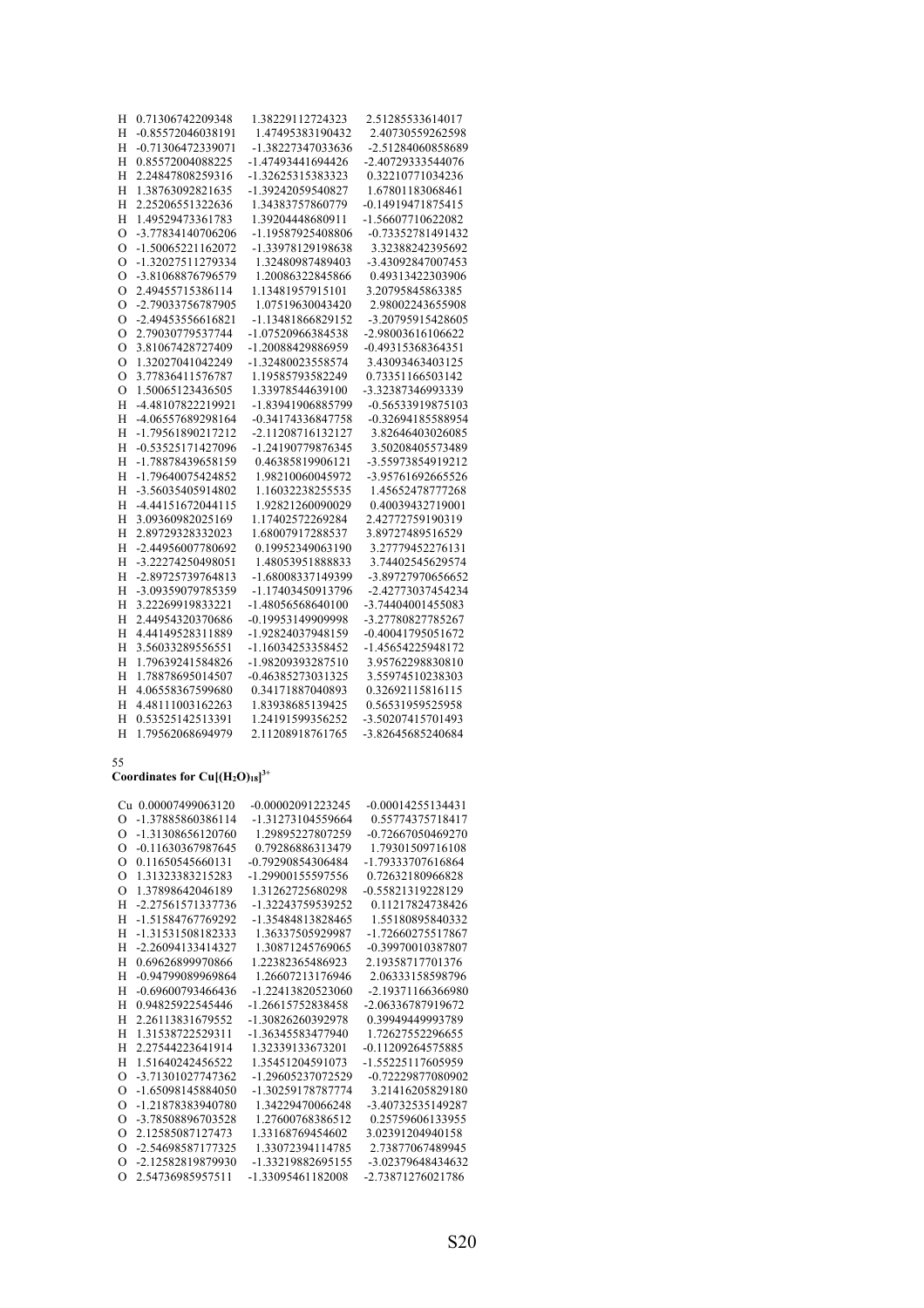| Н              | 0.71306742209348  | 1.38229112724323  | 2.51285533614017  |
|----------------|-------------------|-------------------|-------------------|
| Н              | -0.85572046038191 | 1.47495383190432  | 2.40730559262598  |
| H              | -0.71306472339071 | -1.38227347033636 | -2.51284060858689 |
| H              | 0.85572004088225  | -1.47493441694426 | -2.40729333544076 |
| Н              | 2.24847808259316  | -1.32625315383323 | 0.32210771034236  |
| H              | 1.38763092821635  | -1.39242059540827 | 1.67801183068461  |
| H              | 2.25206551322636  | 1.34383757860779  | -0.14919471875415 |
| H              | 1.49529473361783  | 1.39204448680911  | -1.56607710622082 |
| $\overline{O}$ | -3.77834140706206 | -1.19587925408806 | -0.73352781491432 |
| $\circ$        | -1.50065221162072 | -1.33978129198638 | 3.32388242395692  |
| O              | -1.32027511279334 | 1.32480987489403  | -3.43092847007453 |
| $\overline{O}$ | -3.81068876796579 | 1.20086322845866  | 0.49313422303906  |
| O              | 2.49455715386114  | 1.13481957915101  | 3.20795845863385  |
| $\overline{O}$ | -2.79033756787905 | 1.07519630043420  | 2.98002243655908  |
| $\circ$        | -2.49453556616821 | -1.13481866829152 | -3.20795915428605 |
| O              | 2.79030779537744  | -1.07520966384538 | -2.98003616106622 |
| O              | 3.81067428727409  | -1.20088429886959 | -0.49315368364351 |
| $\circ$        | 1.32027041042249  | -1.32480023558574 | 3.43093463403125  |
| O              | 3.77836411576787  | 1.19585793582249  | 0.73351166503142  |
| $\Omega$       | 1.50065123436505  | 1.33978544639100  | -3.32387346993339 |
| H              | -4.48107822219921 | -1.83941906885799 | -0.56533919875103 |
| Н              | -4.06557689298164 | -0.34174336847758 | -0.32694185588954 |
| H              | -1.79561890217212 | -2.11208716132127 | 3.82646403026085  |
| H              | -0.53525171427096 | -1.24190779876345 | 3.50208405573489  |
| H              | -1.78878439658159 | 0.46385819906121  | -3.55973854919212 |
| H              | -1.79640075424852 | 1.98210060045972  | -3.95761692665526 |
| H              | -3.56035405914802 | 1.16032238255535  | 1.45652478777268  |
| H              | -4.44151672044115 | 1.92821260090029  | 0.40039432719001  |
| H              | 3.09360982025169  | 1.17402572269284  | 2.42772759190319  |
| H              | 2.89729328332023  | 1.68007917288537  | 3.89727489516529  |
| H              | -2.44956007780692 | 0.19952349063190  | 3.27779452276131  |
| H              | -3.22274250498051 | 1.48053951888833  | 3.74402545629574  |
| H              | -2.89725739764813 | -1.68008337149399 | -3.89727970656652 |
| H              | -3.09359079785359 | -1.17403450913796 | -2.42773037454234 |
| H              | 3.22269919833221  | -1.48056568640100 | -3.74404001455083 |
| H              | 2.44954320370686  | -0.19953149909998 | -3.27780827785267 |
| Н              | 4.44149528311889  | -1.92824037948159 | -0.40041795051672 |
| H              | 3.56033289556551  | -1.16034253358452 | -1.45654225948172 |
| H              | 1.79639241584826  | -1.98209393287510 | 3.95762298830810  |
| Н              | 1.78878695014507  | -0.46385273031325 | 3.55974510238303  |
| H              | 4.06558367599680  | 0.34171887040893  | 0.32692115816115  |
| Н              | 4.48111003162263  | 1.83938685139425  | 0.56531959525958  |
| H              | 0.53525142513391  | 1.24191599356252  | -3.50207415701493 |
| H              | 1.79562068694979  | 2.11208918761765  | -3.82645685240684 |

### Coordinates for  $Cu$   $[(H_2O)_{18}]^{3+}$

|          | Cu 0.00007499063120 | -0.00002091223245 | $-0.00014255134431$ |
|----------|---------------------|-------------------|---------------------|
| $\Omega$ | -1.37885860386114   | -1.31273104559664 | 0.55774375718417    |
| $\Omega$ | -1.31308656120760   | 1.29895227807259  | -0.72667050469270   |
| $\Omega$ | -0.11630367987645   | 0.79286886313479  | 1.79301509716108    |
| $\Omega$ | 0.11650545660131    | -0.79290854306484 | -1.79333707616864   |
| $\Omega$ | 1.31323383215283    | -1.29900155597556 | 0.72632180966828    |
| $\Omega$ | 1.37898642046189    | 1.31262725680298  | -0.55821319228129   |
| H        | -2.27561571337736   | -1.32243759539252 | 0.11217824738426    |
| H        | -1.51584767769292   | -1.35484813828465 | 1.55180895840332    |
| H        | -1.31531508182333   | 1.36337505929987  | -1.72660275517867   |
| H        | -2.26094133414327   | 1.30871245769065  | -0.39970010387807   |
| H        | 0.69626899970866    | 1.22382365486923  | 2.19358717701376    |
| H        | -0.94799089969864   | 1.26607213176946  | 2.06333158598796    |
| H        | -0.69600793466436   | -1.22413820523060 | -2.19371166366980   |
| H        | 0.94825922545446    | -1.26615752838458 | -2.06336787919672   |
| H        | 2.26113831679552    | -1.30826260392978 | 0.39949449993789    |
| H        | 1.31538722529311    | -1.36345583477940 | 1.72627552296655    |
| H        | 2.27544223641914    | 1.32339133673201  | $-0.11209264575885$ |
| H        | 1.51640242456522    | 1.35451204591073  | -1.55225117605959   |
| $\Omega$ | -3.71301027747362   | -1.29605237072529 | -0.72229877080902   |
| O        | -1.65098145884050   | -1.30259178787774 | 3.21416205829180    |
| $\Omega$ | -1.21878383940780   | 1.34229470066248  | -3.40732535149287   |
| $\Omega$ | -3.78508896703528   | 1.27600768386512  | 0.25759606133955    |
| $\Omega$ | 2.12585087127473    | 1.33168769454602  | 3.02391204940158    |
| $\Omega$ | -2.54698587177325   | 1.33072394114785  | 2.73877067489945    |
| $\Omega$ | -2.12582819879930   | -1.33219882695155 | -3.02379648434632   |
| $\Omega$ | 2.54736985957511    | -1.33095461182008 | -2.73871276021786   |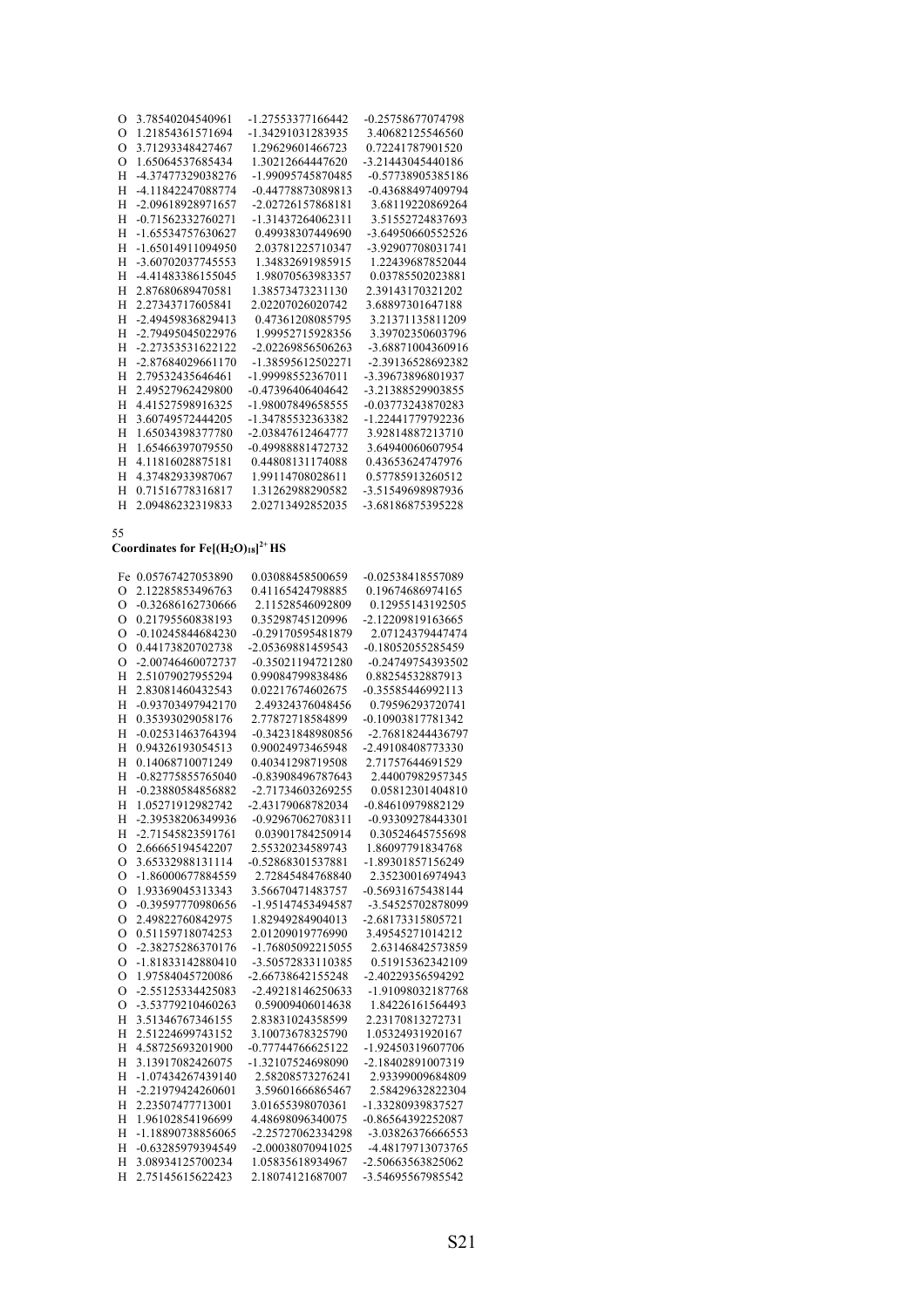| H        | -4.11842247088774                    | -0.44778873089813 | -0.43688497409794 |
|----------|--------------------------------------|-------------------|-------------------|
| H        | -2.09618928971657                    | -2.02726157868181 | 3.68119220869264  |
| Н        | -0.71562332760271                    | -1.31437264062311 | 3.51552724837693  |
| H        | -1.65534757630627                    | 0.49938307449690  | -3.64950660552526 |
| H        | -1.65014911094950                    | 2.03781225710347  | -3.92907708031741 |
| H        | -3.60702037745553                    | 1.34832691985915  | 1.22439687852044  |
| H        | -4.41483386155045                    | 1.98070563983357  | 0.03785502023881  |
| Н        | 2.87680689470581                     | 1.38573473231130  | 2.39143170321202  |
| H        | 2.27343717605841                     | 2.02207026020742  | 3.68897301647188  |
| H        | -2.49459836829413                    | 0.47361208085795  | 3.21371135811209  |
| H        | -2.79495045022976                    | 1.99952715928356  | 3.39702350603796  |
| H        | -2.27353531622122                    | -2.02269856506263 | -3.68871004360916 |
| H        | -2.87684029661170                    | -1.38595612502271 | -2.39136528692382 |
| H        | 2.79532435646461                     | -1.99998552367011 | -3.39673896801937 |
| Н        | 2.49527962429800                     | -0.47396406404642 | -3.21388529903855 |
| Н        | 4.41527598916325                     | -1.98007849658555 | -0.03773243870283 |
| H        | 3.60749572444205                     | -1.34785532363382 | -1.22441779792236 |
| H        | 1.65034398377780                     | -2.03847612464777 | 3.92814887213710  |
| H        | 1.65466397079550                     | -0.49988881472732 | 3.64940060607954  |
| H        | 4.11816028875181                     | 0.44808131174088  | 0.43653624747976  |
| Н        | 4.37482933987067                     | 1.99114708028611  | 0.57785913260512  |
| Н        | 0.71516778316817                     | 1.31262988290582  | -3.51549698987936 |
| H        | 2.09486232319833                     | 2.02713492852035  | -3.68186875395228 |
|          |                                      |                   |                   |
| 55       |                                      |                   |                   |
|          | Coordinates for $Fe[(H2O)18]^{2+}HS$ |                   |                   |
|          | Fe 0.05767427053890                  | 0.03088458500659  | -0.02538418557089 |
| $\Omega$ | 2.12285853496763                     | 0.41165424798885  | 0.19674686974165  |
| O        | -0.32686162730666                    | 2.11528546092809  | 0.12955143192505  |
| $\Omega$ | 0.21795560838193                     | 0.35298745120996  | -2.12209819163665 |
| $\Omega$ | -0.10245844684230                    | -0.29170595481879 | 2.07124379447474  |

 O 3.78540204540961 -1.27553377166442 -0.25758677074798 O 1.21854361571694 -1.34291031283935 3.40682125546560 O 3.71293348427467 1.29629601466723 0.72241787901520 O 1.65064537685434 1.30212664447620 -3.21443045440186 H -4.37477329038276 -1.99095745870485 -0.57738905385186

|          | Fe 0.05767427053890 | 0.03088458500659  | -0.02538418557089 |
|----------|---------------------|-------------------|-------------------|
| $\Omega$ | 2.12285853496763    | 0.41165424798885  | 0.19674686974165  |
| $\Omega$ | -0.32686162730666   | 2.11528546092809  | 0.12955143192505  |
| $\Omega$ | 0.21795560838193    | 0.35298745120996  | -2.12209819163665 |
| $\Omega$ | -0.10245844684230   | -0.29170595481879 | 2.07124379447474  |
| $\Omega$ | 0.44173820702738    | -2.05369881459543 | -0.18052055285459 |
| $\Omega$ | -2.00746460072737   | -0.35021194721280 | -0.24749754393502 |
| H        | 2.51079027955294    | 0.99084799838486  | 0.88254532887913  |
| H        | 2.83081460432543    | 0.02217674602675  | -0.35585446992113 |
| H        | -0.93703497942170   | 2.49324376048456  | 0.79596293720741  |
| H        | 0.35393029058176    | 2.77872718584899  | -0.10903817781342 |
| H        | -0.02531463764394   | -0.34231848980856 | -2.76818244436797 |
| Н        | 0.94326193054513    | 0.90024973465948  | -2.49108408773330 |
| H        | 0.14068710071249    | 0.40341298719508  | 2.71757644691529  |
| H        | -0.82775855765040   | -0.83908496787643 | 2.44007982957345  |
| H        | -0.23880584856882   | -2.71734603269255 | 0.05812301404810  |
| H        | 1.05271912982742    | -2.43179068782034 | -0.84610979882129 |
| H        | -2.39538206349936   | -0.92967062708311 | -0.93309278443301 |
| H        | -2.71545823591761   | 0.03901784250914  | 0.30524645755698  |
| $\circ$  | 2.66665194542207    | 2.55320234589743  | 1.86097791834768  |
| $\circ$  | 3.65332988131114    | -0.52868301537881 | -1.89301857156249 |
| $\Omega$ | -1.86000677884559   | 2.72845484768840  | 2.35230016974943  |
| $\Omega$ | 1.93369045313343    | 3.56670471483757  | -0.56931675438144 |
| $\Omega$ | -0.39597770980656   | -1.95147453494587 | -3.54525702878099 |
| $\Omega$ | 2.49822760842975    | 1.82949284904013  | -2.68173315805721 |
| $\Omega$ | 0.51159718074253    | 2.01209019776990  | 3.49545271014212  |
| O        | -2.38275286370176   | -1.76805092215055 | 2.63146842573859  |
| $\Omega$ | -1.81833142880410   | -3.50572833110385 | 0.51915362342109  |
| $\Omega$ | 1.97584045720086    | -2.66738642155248 | -2.40229356594292 |
| $\Omega$ | -2.55125334425083   | -2.49218146250633 | -1.91098032187768 |
| $\Omega$ | -3.53779210460263   | 0.59009406014638  | 1.84226161564493  |
| Н        | 3.51346767346155    | 2.83831024358599  | 2.23170813272731  |
| H        | 2.51224699743152    | 3.10073678325790  | 1.05324931920167  |
| H        | 4.58725693201900    | -0.77744766625122 | -1.92450319607706 |
| H        | 3.13917082426075    | -1.32107524698090 | -2.18402891007319 |
| H        | -1.07434267439140   | 2.58208573276241  | 2.93399009684809  |
| H        | -2.21979424260601   | 3.59601666865467  | 2.58429632822304  |
| H        | 2.23507477713001    | 3.01655398070361  | -1.33280939837527 |
| H        | 1.96102854196699    | 4.48698096340075  | -0.86564392252087 |
| H        | -1.18890738856065   | -2.25727062334298 | -3.03826376666553 |
| H        | -0.63285979394549   | -2.00038070941025 | -4.48179713073765 |
| H        | 3.08934125700234    | 1.05835618934967  | -2.50663563825062 |
| H        | 2.75145615622423    | 2.18074121687007  | -3.54695567985542 |
|          |                     |                   |                   |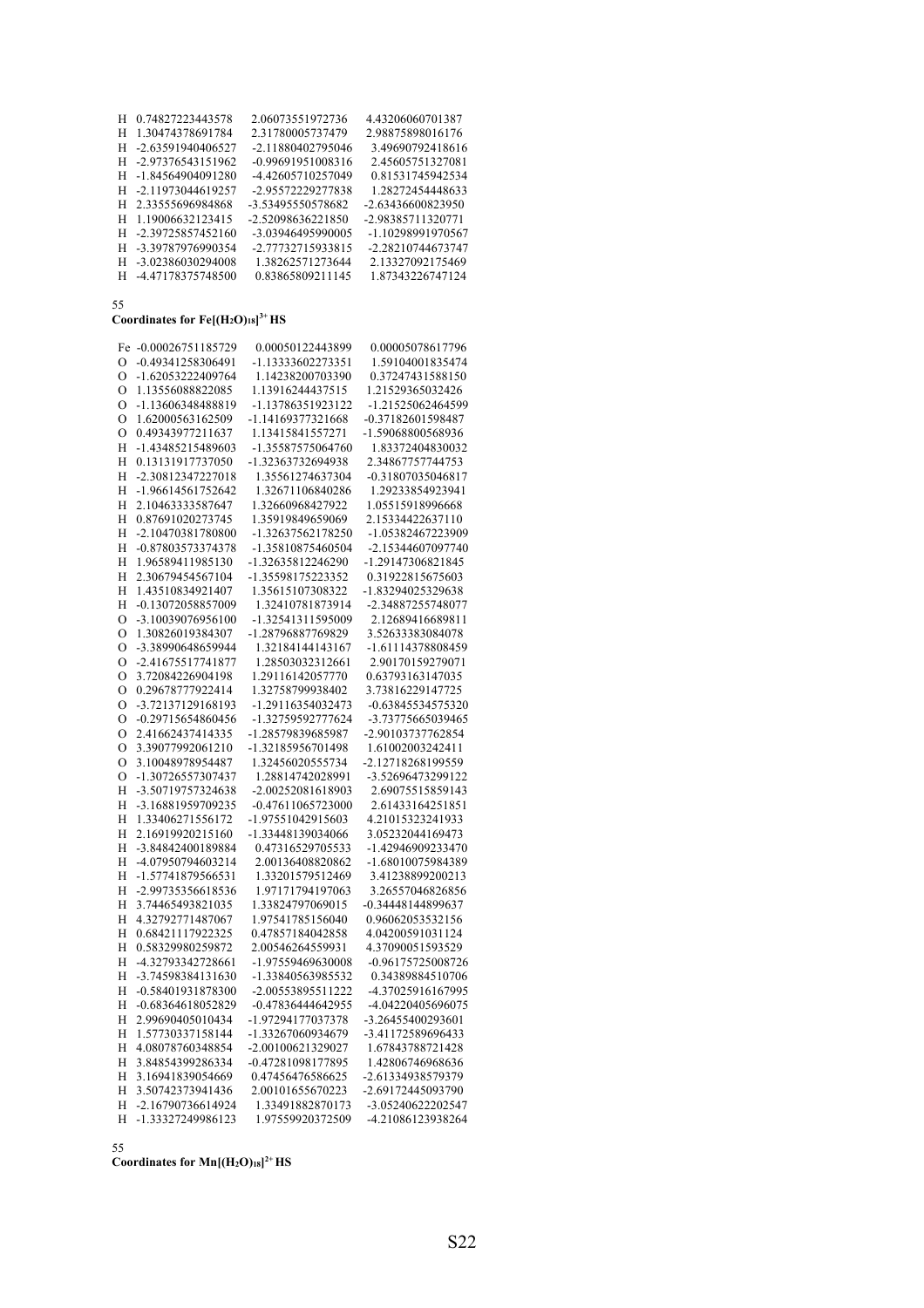| H  | 0.74827223443578    | 2.06073551972736  | 4.43206060701387  |
|----|---------------------|-------------------|-------------------|
| н  | 1.30474378691784    | 2.31780005737479  | 2.98875898016176  |
| H. | -2.63591940406527   | -2.11880402795046 | 3.49690792418616  |
| H. | -2.97376543151962   | -0.99691951008316 | 2.45605751327081  |
|    | H -1.84564904091280 | -4.42605710257049 | 0.81531745942534  |
| H. | -2.11973044619257   | -2.95572229277838 | 1.28272454448633  |
| H. | 2.33555696984868    | -3.53495550578682 | -2.63436600823950 |
| H. | 1.19006632123415    | -2.52098636221850 | -2.98385711320771 |
| H. | -2.39725857452160   | -3.03946495990005 | -1.10298991970567 |
| H. | -3.39787976990354   | -2.77732715933815 | -2.28210744673747 |
|    | H -3.02386030294008 | 1.38262571273644  | 2.13327092175469  |
|    | H -4.47178375748500 | 0.83865809211145  | 1.87343226747124  |

### **Coordinates for Fe[(H2O)18] 3+ HS**

|                | Fe -0.00026751185729 | 0.00050122443899  | 0.00005078617796  |
|----------------|----------------------|-------------------|-------------------|
| $\circ$        | -0.49341258306491    | -1.13333602273351 | 1.59104001835474  |
| $\mathcal{O}$  | -1.62053222409764    | 1.14238200703390  | 0.37247431588150  |
| O              | 1.13556088822085     | 1.13916244437515  | 1.21529365032426  |
| $\overline{O}$ | -1.13606348488819    | -1.13786351923122 | -1.21525062464599 |
| $\circ$        | 1.62000563162509     | -1.14169377321668 | -0.37182601598487 |
| $\circ$        | 0.49343977211637     | 1.13415841557271  | -1.59068800568936 |
| H              | -1.43485215489603    | -1.35587575064760 | 1.83372404830032  |
| Η              | 0.13131917737050     | -1.32363732694938 | 2.34867757744753  |
| H              | -2.30812347227018    | 1.35561274637304  | -0.31807035046817 |
| H              | -1.96614561752642    | 1.32671106840286  | 1.29233854923941  |
| H              | 2.10463333587647     | 1.32660968427922  | 1.05515918996668  |
| Η              | 0.87691020273745     | 1.35919849659069  | 2.15334422637110  |
| H              | -2.10470381780800    | -1.32637562178250 | -1.05382467223909 |
| H              | -0.87803573374378    | -1.35810875460504 | -2.15344607097740 |
| H              | 1.96589411985130     | -1.32635812246290 | -1.29147306821845 |
| H              | 2.30679454567104     | -1.35598175223352 | 0.31922815675603  |
| H              | 1.43510834921407     | 1.35615107308322  | -1.83294025329638 |
| H              | -0.13072058857009    | 1.32410781873914  | -2.34887255748077 |
| $\mathcal{O}$  | -3.10039076956100    | -1.32541311595009 | 2.12689416689811  |
| $\mathcal{O}$  | 1.30826019384307     | -1.28796887769829 | 3.52633383084078  |
| О              | -3.38990648659944    | 1.32184144143167  | -1.61114378808459 |
| $\circ$        | -2.41675517741877    | 1.28503032312661  | 2.90170159279071  |
| $\mathcal{O}$  | 3.72084226904198     | 1.29116142057770  | 0.63793163147035  |
| $\mathcal{O}$  | 0.29678777922414     | 1.32758799938402  | 3.73816229147725  |
| $\mathcal{O}$  | -3.72137129168193    | -1.29116354032473 | -0.63845534575320 |
| $\mathcal{O}$  | -0.29715654860456    | -1.32759592777624 | -3.73775665039465 |
| $\circ$        | 2.41662437414335     | -1.28579839685987 | -2.90103737762854 |
| $\circ$        | 3.39077992061210     | -1.32185956701498 | 1.61002003242411  |
| $\mathcal{O}$  | 3.10048978954487     | 1.32456020555734  | -2.12718268199559 |
| $\mathcal{O}$  | -1.30726557307437    | 1.28814742028991  | -3.52696473299122 |
| Η              | -3.50719757324638    | -2.00252081618903 | 2.69075515859143  |
| H              | -3.16881959709235    | -0.47611065723000 | 2.61433164251851  |
| Η              | 1.33406271556172     | -1.97551042915603 | 4.21015323241933  |
| H              | 2.16919920215160     | -1.33448139034066 | 3.05232044169473  |
| H              | -3.84842400189884    | 0.47316529705533  | -1.42946909233470 |
| Η              | -4.07950794603214    | 2.00136408820862  | -1.68010075984389 |
| H              | -1.57741879566531    | 1.33201579512469  | 3.41238899200213  |
| H              | -2.99735356618536    | 1.97171794197063  | 3.26557046826856  |
| H              | 3.74465493821035     | 1.33824797069015  | -0.34448144899637 |
| Η              | 4.32792771487067     | 1.97541785156040  | 0.96062053532156  |
| H              | 0.68421117922325     | 0.47857184042858  | 4.04200591031124  |
| H              | 0.58329980259872     | 2.00546264559931  | 4.37090051593529  |
| H              | -4.32793342728661    | -1.97559469630008 | -0.96175725008726 |
| H              | -3.74598384131630    | -1.33840563985532 | 0.34389884510706  |
| Η              | -0.58401931878300    | -2.00553895511222 | -4.37025916167995 |
| H              | -0.68364618052829    | -0.47836444642955 | -4.04220405696075 |
| H              | 2.99690405010434     | -1.97294177037378 | -3.26455400293601 |
| Η              | 1.57730337158144     | -1.33267060934679 | -3.41172589696433 |
| H              | 4.08078760348854     | -2.00100621329027 | 1.67843788721428  |
| H              | 3.84854399286334     | -0.47281098177895 | 1.42806746968636  |
| H              | 3.16941839054669     | 0.47456476586625  | -2.61334938579379 |
| H              | 3.50742373941436     | 2.00101655670223  | -2.69172445093790 |
| Η              | -2.16790736614924    | 1.33491882870173  | -3.05240622202547 |
| Н              | -1.33327249986123    | 1.97559920372509  | -4.21086123938264 |
|                |                      |                   |                   |

55

**Coordinates for Mn[(H2O)18] 2+ HS**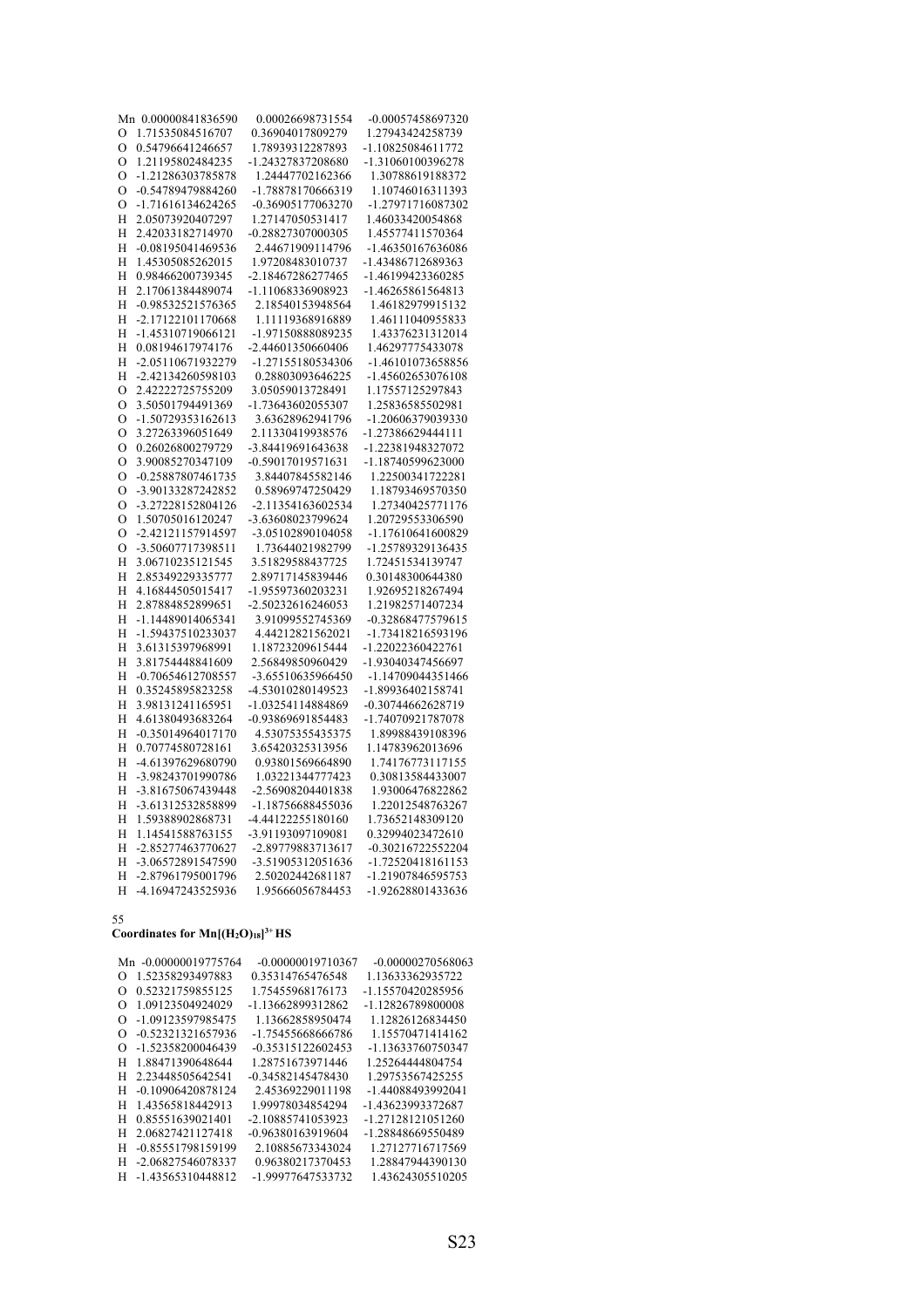|         | Mn 0.00000841836590                    | 0.00026698731554  | -0.00057458697320 |
|---------|----------------------------------------|-------------------|-------------------|
| O       | 1.71535084516707                       | 0.36904017809279  | 1.27943424258739  |
| $\circ$ | 0.54796641246657                       | 1.78939312287893  | -1.10825084611772 |
| $\circ$ | 1.21195802484235                       | -1.24327837208680 | -1.31060100396278 |
| $\circ$ | -1.21286303785878                      | 1.24447702162366  | 1.30788619188372  |
| $\circ$ | -0.54789479884260                      | -1.78878170666319 | 1.10746016311393  |
| $\circ$ | -1.71616134624265                      | -0.36905177063270 | -1.27971716087302 |
| H       | 2.05073920407297                       | 1.27147050531417  | 1.46033420054868  |
| H       | 2.42033182714970                       | -0.28827307000305 | 1.45577411570364  |
| H       | -0.08195041469536                      | 2.44671909114796  | -1.46350167636086 |
| H       | 1.45305085262015                       | 1.97208483010737  | -1.43486712689363 |
| H       | 0.98466200739345                       | -2.18467286277465 | -1.46199423360285 |
| H       | 2.17061384489074                       | -1.11068336908923 | -1.46265861564813 |
| H       | -0.98532521576365                      | 2.18540153948564  | 1.46182979915132  |
| H       | -2.17122101170668                      | 1.11119368916889  | 1.46111040955833  |
| H       | -1.45310719066121                      | -1.97150888089235 | 1.43376231312014  |
| H       | 0.08194617974176                       | -2.44601350660406 | 1.46297775433078  |
| H       | -2.05110671932279                      | -1.27155180534306 | -1.46101073658856 |
| H       | -2.42134260598103                      | 0.28803093646225  | -1.45602653076108 |
| $\circ$ | 2.42222725755209                       | 3.05059013728491  | 1.17557125297843  |
| $\circ$ | 3.50501794491369                       | -1.73643602055307 | 1.25836585502981  |
| $\circ$ | -1.50729353162613                      | 3.63628962941796  | -1.20606379039330 |
| $\circ$ | 3.27263396051649                       | 2.11330419938576  | -1.27386629444111 |
| $\circ$ | 0.26026800279729                       | -3.84419691643638 | -1.22381948327072 |
| $\circ$ | 3.90085270347109                       | -0.59017019571631 | -1.18740599623000 |
| $\circ$ | -0.25887807461735                      | 3.84407845582146  | 1.22500341722281  |
| $\circ$ | -3.90133287242852                      | 0.58969747250429  | 1.18793469570350  |
| $\circ$ | -3.27228152804126                      | -2.11354163602534 | 1.27340425771176  |
| $\circ$ | 1.50705016120247                       | -3.63608023799624 | 1.20729553306590  |
| $\circ$ | -2.42121157914597                      | -3.05102890104058 | -1.17610641600829 |
| $\circ$ | -3.50607717398511                      | 1.73644021982799  | -1.25789329136435 |
| H       | 3.06710235121545                       | 3.51829588437725  | 1.72451534139747  |
|         |                                        | 2.89717145839446  |                   |
| H       | 2.85349229335777                       |                   | 0.30148300644380  |
| H       | 4.16844505015417                       | -1.95597360203231 | 1.92695218267494  |
| H       | 2.87884852899651                       | -2.50232616246053 | 1.21982571407234  |
| H       | -1.14489014065341<br>-1.59437510233037 | 3.91099552745369  | -0.32868477579615 |
| H       |                                        | 4.44212821562021  | -1.73418216593196 |
| Η       | 3.61315397968991                       | 1.18723209615444  | -1.22022360422761 |
| H       | 3.81754448841609                       | 2.56849850960429  | -1.93040347456697 |
| H       | -0.70654612708557                      | -3.65510635966450 | -1.14709044351466 |
| Η       | 0.35245895823258                       | -4.53010280149523 | -1.89936402158741 |
| H       | 3.98131241165951                       | -1.03254114884869 | -0.30744662628719 |
| H       | 4.61380493683264                       | -0.93869691854483 | -1.74070921787078 |
| H       | -0.35014964017170                      | 4.53075355435375  | 1.89988439108396  |
| H       | 0.70774580728161                       | 3.65420325313956  | 1.14783962013696  |
| Η       | -4.61397629680790                      | 0.93801569664890  | 1.74176773117155  |
| H       | -3.98243701990786                      | 1.03221344777423  | 0.30813584433007  |
| H       | -3.81675067439448                      | -2.56908204401838 | 1.93006476822862  |
| H       | -3.61312532858899                      | -1.18756688455036 | 1.22012548763267  |
| H       | 1.59388902868731                       | -4.44122255180160 | 1.73652148309120  |
| H       | 1.14541588763155                       | -3.91193097109081 | 0.32994023472610  |
| H       | -2.85277463770627                      | -2.89779883713617 | -0.30216722552204 |
| H       | -3.06572891547590                      | -3.51905312051636 | -1.72520418161153 |
| Η       | -2.87961795001796                      | 2.50202442681187  | -1.21907846595753 |
| H       | -4.16947243525936                      | 1.95666056784453  | -1.92628801433636 |

### **Coordinates for Mn[(H2O)18] 3+ HS**

|          | Mn -0.00000019775764 | -0.00000019710367   | $-0.00000270568063$ |
|----------|----------------------|---------------------|---------------------|
| О        | 1.52358293497883     | 0.35314765476548    | 1.13633362935722    |
| O        | 0.52321759855125     | 1.75455968176173    | -1.15570420285956   |
| О        | 1.09123504924029     | -1.13662899312862   | -1.12826789800008   |
| $\Omega$ | -1.09123597985475    | 1.13662858950474    | 1.12826126834450    |
| Ω        | -0.52321321657936    | -1.75455668666786   | 1.15570471414162    |
| Ω        | -1.52358200046439    | $-0.35315122602453$ | -1.13633760750347   |
| Н        | 1.88471390648644     | 1.28751673971446    | 1.25264444804754    |
| Н        | 2.23448505642541     | -0.34582145478430   | 1.29753567425255    |
| н        | -0.10906420878124    | 2.45369229011198    | -1.44088493992041   |
| Н        | 1.43565818442913     | 1.99978034854294    | -1.43623993372687   |
| Н        | 0.85551639021401     | -2.10885741053923   | -1.27128121051260   |
| H        | 2.06827421127418     | -0.96380163919604   | -1.28848669550489   |
| H        | -0.85551798159199    | 2.10885673343024    | 1.27127716717569    |
| н        | -2.06827546078337    | 0.96380217370453    | 1.28847944390130    |
| H        | -1.43565310448812    | -1.99977647533732   | 1.43624305510205    |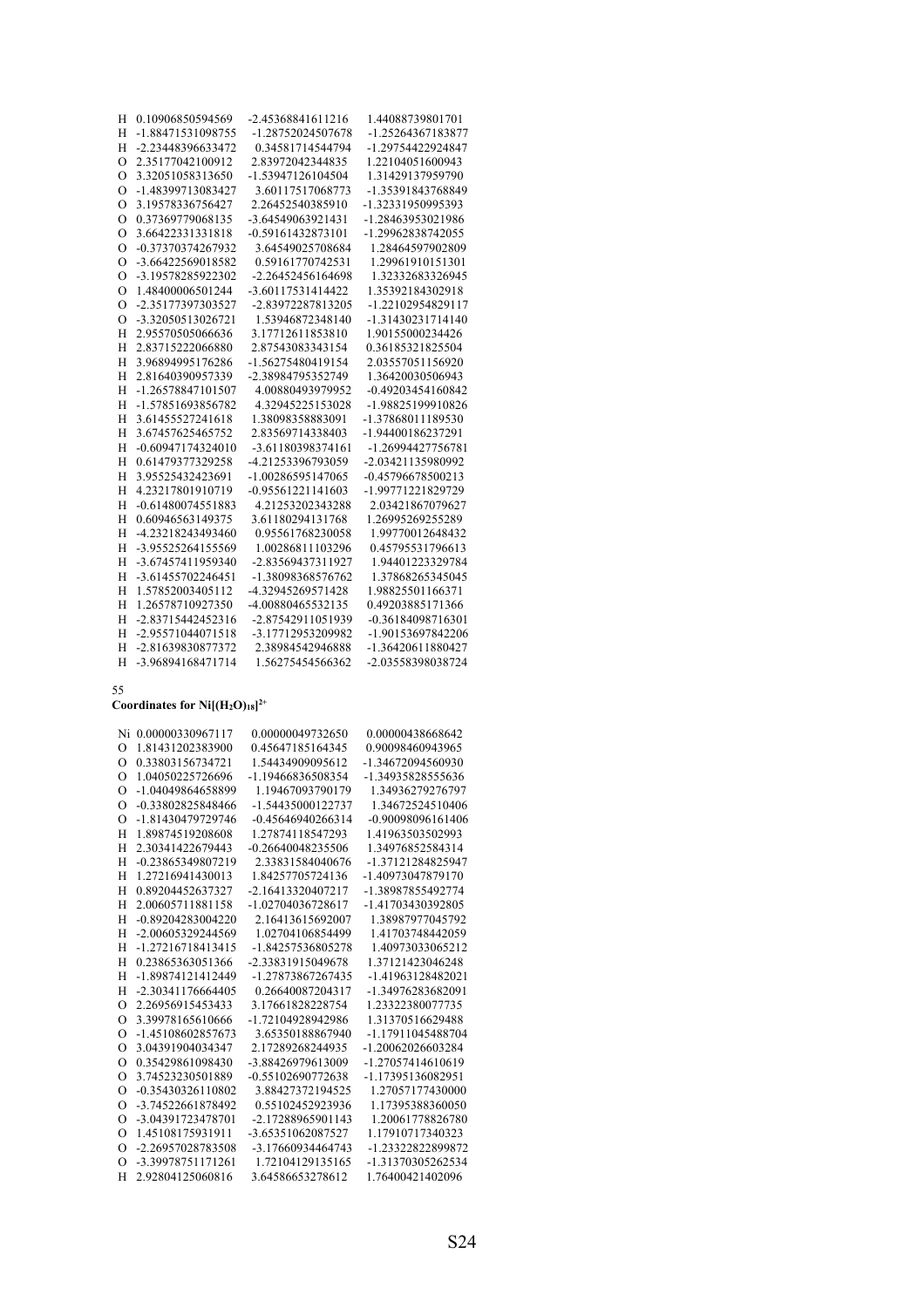| H<br>H   | 0.10906850594569    | -2.45368841611216 | 1.44088739801701  |
|----------|---------------------|-------------------|-------------------|
|          | -1.88471531098755   | -1.28752024507678 | -1.25264367183877 |
| H        | -2.23448396633472   | 0.34581714544794  | -1.29754422924847 |
| $\Omega$ | 2.35177042100912    | 2.83972042344835  | 1.22104051600943  |
| $\Omega$ | 3.32051058313650    | -1.53947126104504 | 1.31429137959790  |
| $\Omega$ | -1.48399713083427   | 3.60117517068773  | -1.35391843768849 |
| $\Omega$ | 3.19578336756427    | 2.26452540385910  | -1.32331950995393 |
| $\Omega$ | 0.37369779068135    | -3.64549063921431 | -1.28463953021986 |
| $\circ$  | 3.66422331331818    | -0.59161432873101 | -1.29962838742055 |
| $\Omega$ | -0.37370374267932   | 3.64549025708684  | 1.28464597902809  |
| $\Omega$ | -3.66422569018582   | 0.59161770742531  | 1.29961910151301  |
| $\Omega$ | -3.19578285922302   | -2.26452456164698 | 1.32332683326945  |
| $\Omega$ | 1.48400006501244    | -3.60117531414422 | 1.35392184302918  |
| $\Omega$ | -2.35177397303527   | -2.83972287813205 | -1.22102954829117 |
| $\Omega$ | -3.32050513026721   | 1.53946872348140  | -1.31430231714140 |
| H        | 2.95570505066636    | 3.17712611853810  | 1.90155000234426  |
| H        | 2.83715222066880    | 2.87543083343154  | 0.36185321825504  |
| H        | 3.96894995176286    | -1.56275480419154 | 2.03557051156920  |
| H        | 2.81640390957339    | -2.38984795352749 | 1.36420030506943  |
| H        | -1.26578847101507   | 4.00880493979952  | -0.49203454160842 |
| H        | -1.57851693856782   | 4.32945225153028  | -1.98825199910826 |
| H        | 3.61455527241618    | 1.38098358883091  | -1.37868011189530 |
| H        | 3.67457625465752    | 2.83569714338403  | -1.94400186237291 |
| H        | $-0.60947174324010$ | -3.61180398374161 | -1.26994427756781 |
| H        | 0.61479377329258    | -4.21253396793059 | -2.03421135980992 |
| H        | 3.95525432423691    | -1.00286595147065 | -0.45796678500213 |
| H        | 4.23217801910719    | -0.95561221141603 | -1.99771221829729 |
| H        | -0.61480074551883   | 4.21253202343288  | 2.03421867079627  |
| H        | 0.60946563149375    | 3.61180294131768  | 1.26995269255289  |
| H        | -4.23218243493460   | 0.95561768230058  | 1.99770012648432  |
| H        | -3.95525264155569   | 1.00286811103296  | 0.45795531796613  |
| H        | -3.67457411959340   | -2.83569437311927 | 1.94401223329784  |
| H        | -3.61455702246451   | -1.38098368576762 | 1.37868265345045  |
| H        | 1.57852003405112    | -4.32945269571428 | 1.98825501166371  |
| H        | 1.26578710927350    | -4.00880465532135 | 0.49203885171366  |
| H        | -2.83715442452316   | -2.87542911051939 | -0.36184098716301 |
| H        | -2.95571044071518   | -3.17712953209982 | -1.90153697842206 |
| H        | -2.81639830877372   | 2.38984542946888  | -1.36420611880427 |
| H        | -3.96894168471714   | 1.56275454566362  | -2.03558398038724 |
|          |                     |                   |                   |

### Coordinates for  $Ni[(H<sub>2</sub>O)<sub>18</sub>]^{2+}$

| Ni       | 0.00000330967117  | 0.00000049732650    | 0.00000438668642  |
|----------|-------------------|---------------------|-------------------|
| $\Omega$ | 1.81431202383900  | 0.45647185164345    | 0.90098460943965  |
| $\Omega$ | 0.33803156734721  | 1.54434909095612    | -1.34672094560930 |
| $\Omega$ | 1.04050225726696  | -1.19466836508354   | -1.34935828555636 |
| $\Omega$ | -1.04049864658899 | 1.19467093790179    | 1.34936279276797  |
| $\Omega$ | -0.33802825848466 | -1.54435000122737   | 1.34672524510406  |
| $\Omega$ | -1.81430479729746 | -0.45646940266314   | -0.90098096161406 |
| H        | 1.89874519208608  | 1.27874118547293    | 1.41963503502993  |
| H        | 2.30341422679443  | $-0.26640048235506$ | 1.34976852584314  |
| H        | -0.23865349807219 | 2.33831584040676    | -1.37121284825947 |
| H        | 1.27216941430013  | 1.84257705724136    | -1.40973047879170 |
| H        | 0.89204452637327  | -2.16413320407217   | -1.38987855492774 |
| H        | 2.00605711881158  | -1.02704036728617   | -1.41703430392805 |
| H        | -0.89204283004220 | 2.16413615692007    | 1.38987977045792  |
| H        | -2.00605329244569 | 1.02704106854499    | 1.41703748442059  |
| H        | -1.27216718413415 | -1.84257536805278   | 1.40973033065212  |
| H        | 0.23865363051366  | -2.33831915049678   | 1.37121423046248  |
| H        | -1.89874121412449 | -1.27873867267435   | -1.41963128482021 |
| H        | -2.30341176664405 | 0.26640087204317    | -1.34976283682091 |
| $\Omega$ | 2.26956915453433  | 3.17661828228754    | 1.23322380077735  |
| $\Omega$ | 3.39978165610666  | -1.72104928942986   | 1.31370516629488  |
| $\Omega$ | -1.45108602857673 | 3.65350188867940    | -1.17911045488704 |
| $\Omega$ | 3.04391904034347  | 2.17289268244935    | -1.20062026603284 |
| $\Omega$ | 0.35429861098430  | -3.88426979613009   | -1.27057414610619 |
| $\Omega$ | 3.74523230501889  | -0.55102690772638   | -1.17395136082951 |
| $\Omega$ | -0.35430326110802 | 3.88427372194525    | 1.27057177430000  |
| $\Omega$ | -3.74522661878492 | 0.55102452923936    | 1.17395388360050  |
| $\Omega$ | -3.04391723478701 | -2.17288965901143   | 1.20061778826780  |
| $\Omega$ | 1.45108175931911  | -3.65351062087527   | 1.17910717340323  |
| $\Omega$ | -2.26957028783508 | -3.17660934464743   | -1.23322822899872 |
| $\Omega$ | -3.39978751171261 | 1.72104129135165    | -1.31370305262534 |
| H        | 2.92804125060816  | 3.64586653278612    | 1.76400421402096  |
|          |                   |                     |                   |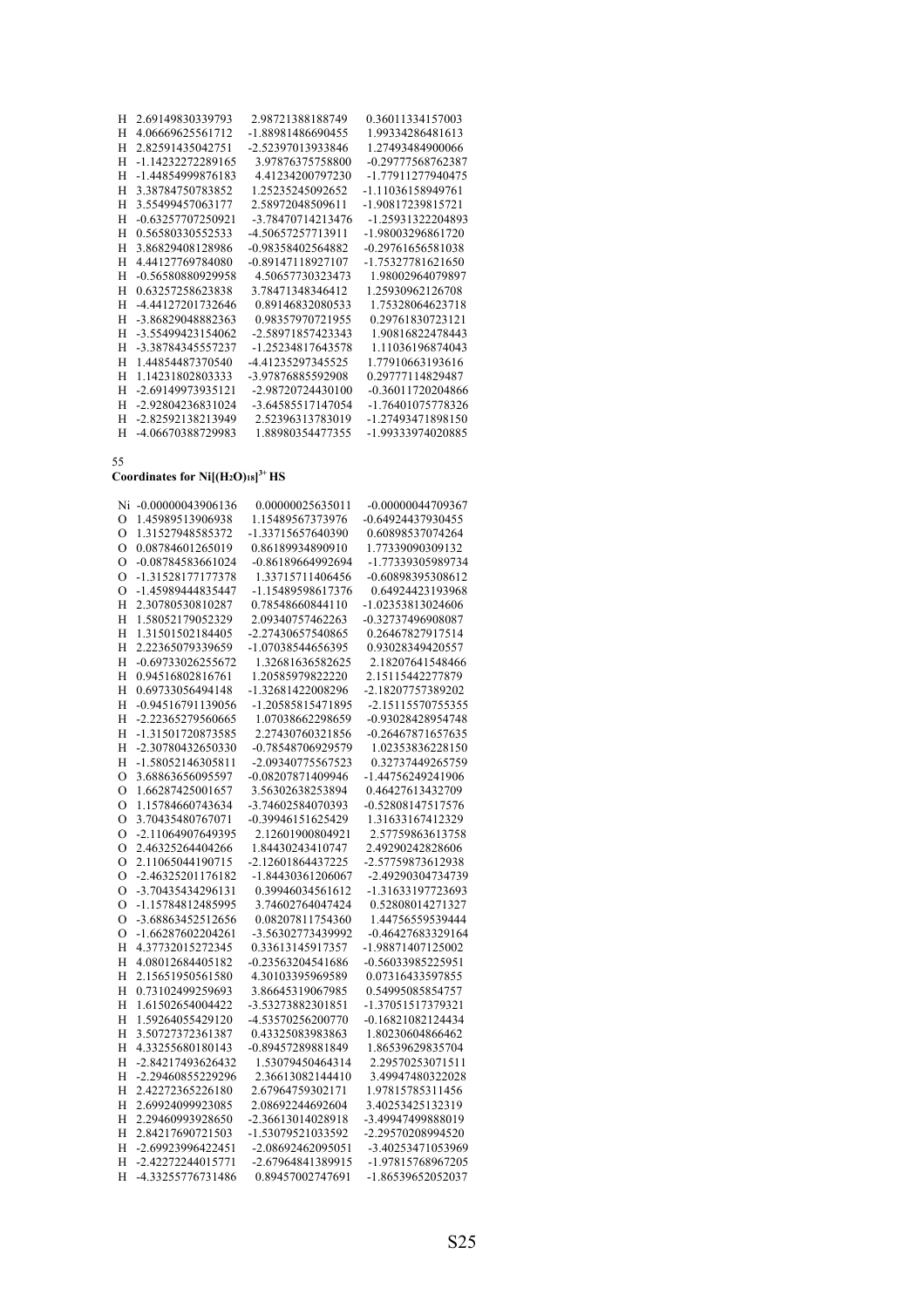| H | 2.69149830339793  | 2.98721388188749  | 0.36011334157003    |
|---|-------------------|-------------------|---------------------|
| H | 4.06669625561712  | -1.88981486690455 | 1.99334286481613    |
| Н | 2.82591435042751  | -2.52397013933846 | 1.27493484900066    |
| H | -1.14232272289165 | 3.97876375758800  | -0.29777568762387   |
| H | -1.44854999876183 | 4.41234200797230  | -1.77911277940475   |
| H | 3.38784750783852  | 1.25235245092652  | -1.11036158949761   |
| H | 3.55499457063177  | 2.58972048509611  | -1.90817239815721   |
| н | -0.63257707250921 | -3.78470714213476 | -1.25931322204893   |
| H | 0.56580330552533  | -4.50657257713911 | -1.98003296861720   |
| Н | 3.86829408128986  | -0.98358402564882 | $-0.29761656581038$ |
| Н | 4.44127769784080  | -0.89147118927107 | -1.75327781621650   |
| н | -0.56580880929958 | 4.50657730323473  | 1.98002964079897    |
| H | 0.63257258623838  | 3.78471348346412  | 1.25930962126708    |
| Н | -4.44127201732646 | 0.89146832080533  | 1.75328064623718    |
| н | -3.86829048882363 | 0.98357970721955  | 0.29761830723121    |
| н | -3.55499423154062 | -2.58971857423343 | 1.90816822478443    |
| H | -3.38784345557237 | -1.25234817643578 | 1.11036196874043    |
| H | 1.44854487370540  | -4.41235297345525 | 1.77910663193616    |
| Н | 1.14231802803333  | -3.97876885592908 | 0.29777114829487    |
| H | -2.69149973935121 | -2.98720724430100 | -0.36011720204866   |
| H | -2.92804236831024 | -3.64585517147054 | -1.76401075778326   |
| H | -2.82592138213949 | 2.52396313783019  | -1.27493471898150   |
| H | -4.06670388729983 | 1.88980354477355  | -1.99333974020885   |

**Coordinates for Ni[(H2O)18] 3+ HS**

| Ni             | $-0.00000043906136$ | 0.00000025635011  | -0.00000044709367 |
|----------------|---------------------|-------------------|-------------------|
| $\circ$        | 1.45989513906938    | 1.15489567373976  | -0.64924437930455 |
| $\circ$        | 1.31527948585372    | -1.33715657640390 | 0.60898537074264  |
| $\Omega$       | 0.08784601265019    | 0.86189934890910  | 1.77339090309132  |
| $\circ$        | -0.08784583661024   | -0.86189664992694 | -1.77339305989734 |
| $\circ$        | -1.31528177177378   | 1.33715711406456  | -0.60898395308612 |
| O              | -1.45989444835447   | -1.15489598617376 | 0.64924423193968  |
| Н              | 2.30780530810287    | 0.78548660844110  | -1.02353813024606 |
| H              | 1.58052179052329    | 2.09340757462263  | -0.32737496908087 |
| H              | 1.31501502184405    | -2.27430657540865 | 0.26467827917514  |
| H              | 2.22365079339659    | -1.07038544656395 | 0.93028349420557  |
| H              | -0.69733026255672   | 1.32681636582625  | 2.18207641548466  |
| H              | 0.94516802816761    | 1.20585979822220  | 2.15115442277879  |
| Η              | 0.69733056494148    | -1.32681422008296 | -2.18207757389202 |
| H              | -0.94516791139056   | -1.20585815471895 | -2.15115570755355 |
| H              | -2.22365279560665   | 1.07038662298659  | -0.93028428954748 |
| H              | -1.31501720873585   | 2.27430760321856  | -0.26467871657635 |
| Η              | -2.30780432650330   | -0.78548706929579 | 1.02353836228150  |
| H              | -1.58052146305811   | -2.09340775567523 | 0.32737449265759  |
| $\overline{O}$ | 3.68863656095597    | -0.08207871409946 | -1.44756249241906 |
| $\circ$        | 1.66287425001657    | 3.56302638253894  | 0.46427613432709  |
| O              | 1.15784660743634    | -3.74602584070393 | -0.52808147517576 |
| $\circ$        | 3.70435480767071    | -0.39946151625429 | 1.31633167412329  |
| $\overline{O}$ | -2.11064907649395   | 2.12601900804921  | 2.57759863613758  |
| $\circ$        | 2.46325264404266    | 1.84430243410747  | 2.49290242828606  |
| O              | 2.11065044190715    | -2.12601864437225 | -2.57759873612938 |
| $\circ$        | -2.46325201176182   | -1.84430361206067 | -2.49290304734739 |
| $\overline{O}$ | -3.70435434296131   | 0.39946034561612  | -1.31633197723693 |
| $\overline{O}$ | -1.15784812485995   | 3.74602764047424  | 0.52808014271327  |
| O              | -3.68863452512656   | 0.08207811754360  | 1.44756559539444  |
| $\circ$        | $-1.66287602204261$ | -3.56302773439992 | -0.46427683329164 |
| H              | 4.37732015272345    | 0.33613145917357  | -1.98871407125002 |
| H              | 4.08012684405182    | -0.23563204541686 | -0.56033985225951 |
| H              | 2.15651950561580    | 4.30103395969589  | 0.07316433597855  |
| H              | 0.73102499259693    | 3.86645319067985  | 0.54995085854757  |
| Η              | 1.61502654004422    | -3.53273882301851 | -1.37051517379321 |
| Н              | 1.59264055429120    | -4.53570256200770 | -0.16821082124434 |
| H              | 3.50727372361387    | 0.43325083983863  | 1.80230604866462  |
| H              | 4.33255680180143    | -0.89457289881849 | 1.86539629835704  |
| H              | -2.84217493626432   | 1.53079450464314  | 2.29570253071511  |
| H              | -2.29460855229296   | 2.36613082144410  | 3.49947480322028  |
| H              | 2.42272365226180    | 2.67964759302171  | 1.97815785311456  |
| Η              | 2.69924099923085    | 2.08692244692604  | 3.40253425132319  |
| H              | 2.29460993928650    | -2.36613014028918 | -3.49947499888019 |
| H              | 2.84217690721503    | -1.53079521033592 | -2.29570208994520 |
| H              | -2.69923996422451   | -2.08692462095051 | -3.40253471053969 |
| H              | -2.42272244015771   | -2.67964841389915 | -1.97815768967205 |
| H              | -4.33255776731486   | 0.89457002747691  | -1.86539652052037 |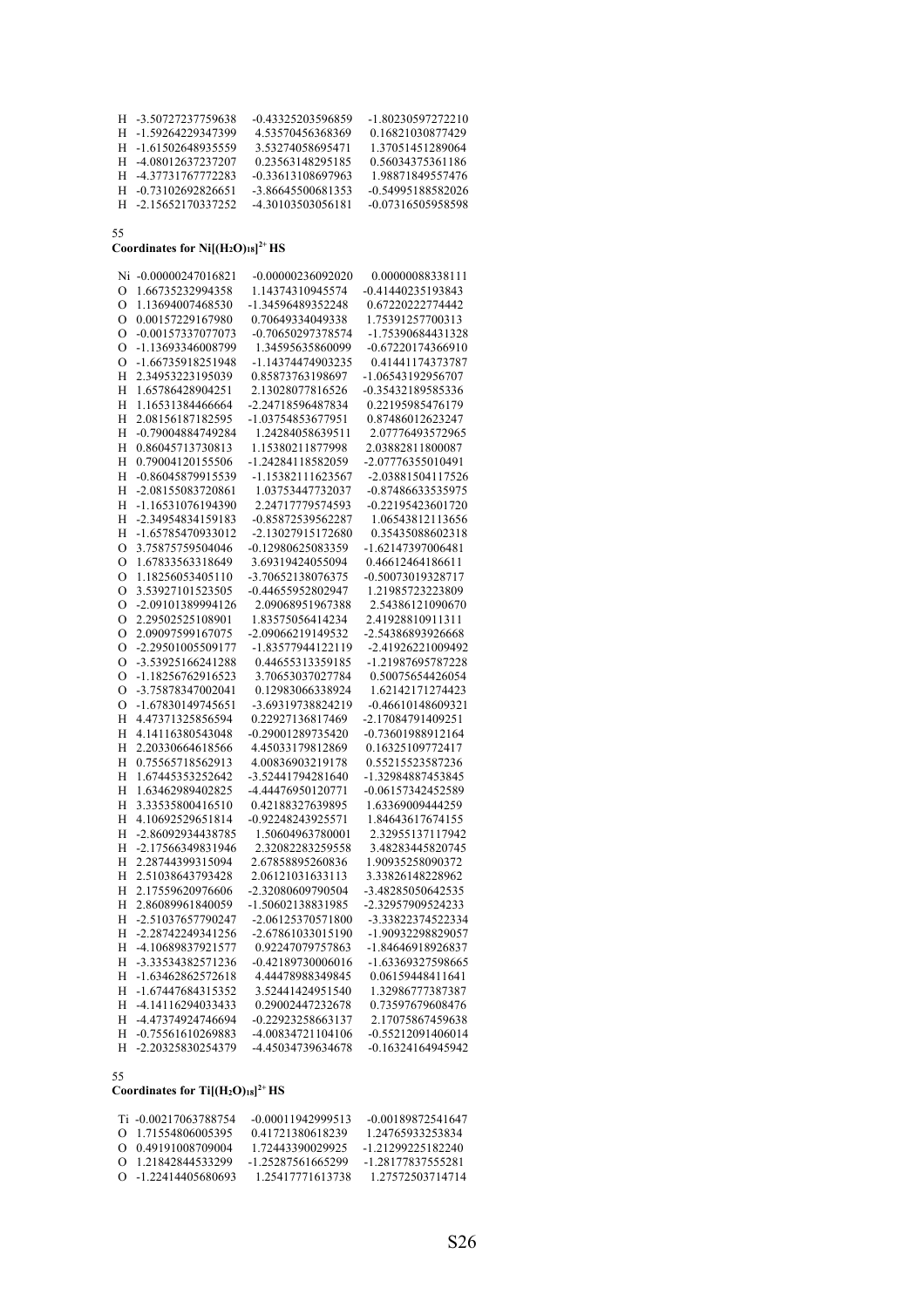| H -3.50727237759638 | -0.43325203596859 | -1.80230597272210 |
|---------------------|-------------------|-------------------|
| H -1.59264229347399 | 4.53570456368369  | 0.16821030877429  |
| H -1.61502648935559 | 3.53274058695471  | 1.37051451289064  |
| H -4.08012637237207 | 0.23563148295185  | 0.56034375361186  |
| H -4.37731767772283 | -0.33613108697963 | 1.98871849557476  |
| H -0.73102692826651 | -3.86645500681353 | -0.54995188582026 |
| H -2.15652170337252 | -4.30103503056181 | -0.07316505958598 |
|                     |                   |                   |

**Coordinates for Ni[(H2O)18] 2+ HS**

| Ni           | $-0.00000247016821$ | -0.00000236092020 | 0.00000088338111  |
|--------------|---------------------|-------------------|-------------------|
| $\circ$      | 1.66735232994358    | 1.14374310945574  | -0.41440235193843 |
| $\mathbf O$  | 1.13694007468530    | -1.34596489352248 | 0.67220222774442  |
| $\circ$      | 0.00157229167980    | 0.70649334049338  | 1.75391257700313  |
| $\mathbf O$  | -0.00157337077073   | -0.70650297378574 | -1.75390684431328 |
| $\mathbf O$  | -1.13693346008799   | 1.34595635860099  | -0.67220174366910 |
| $\circ$      | -1.66735918251948   | -1.14374474903235 | 0.41441174373787  |
| Η            | 2.34953223195039    | 0.85873763198697  | -1.06543192956707 |
| Η            | 1.65786428904251    | 2.13028077816526  | -0.35432189585336 |
| H            | 1.16531384466664    | -2.24718596487834 | 0.22195985476179  |
| H            | 2.08156187182595    | -1.03754853677951 | 0.87486012623247  |
| Η            | -0.79004884749284   | 1.24284058639511  | 2.07776493572965  |
| H            | 0.86045713730813    | 1.15380211877998  | 2.03882811800087  |
| H            | 0.79004120155506    | -1.24284118582059 | -2.07776355010491 |
| Η            | -0.86045879915539   | -1.15382111623567 | -2.03881504117526 |
| Η            | -2.08155083720861   | 1.03753447732037  | -0.87486633535975 |
| H            | -1.16531076194390   | 2.24717779574593  | -0.22195423601720 |
| Η            | -2.34954834159183   | -0.85872539562287 | 1.06543812113656  |
| H            | -1.65785470933012   | -2.13027915172680 | 0.35435088602318  |
| $\mathbf{O}$ | 3.75875759504046    | -0.12980625083359 | -1.62147397006481 |
| O            | 1.67833563318649    | 3.69319424055094  | 0.46612464186611  |
| O            | 1.18256053405110    | -3.70652138076375 | -0.50073019328717 |
| $\mathbf O$  | 3.53927101523505    | -0.44655952802947 | 1.21985723223809  |
| $\mathbf O$  | -2.09101389994126   | 2.09068951967388  | 2.54386121090670  |
| O            | 2.29502525108901    | 1.83575056414234  | 2.41928810911311  |
| $\mathbf O$  | 2.09097599167075    | -2.09066219149532 | -2.54386893926668 |
| $\mathbf O$  | -2.29501005509177   | -1.83577944122119 | -2.41926221009492 |
| O            | -3.53925166241288   | 0.44655313359185  | -1.21987695787228 |
| $\mathbf O$  | -1.18256762916523   | 3.70653037027784  | 0.50075654426054  |
| $\mathbf O$  | -3.75878347002041   | 0.12983066338924  | 1.62142171274423  |
| O            | -1.67830149745651   | -3.69319738824219 | -0.46610148609321 |
| H            | 4.47371325856594    | 0.22927136817469  | -2.17084791409251 |
| Η            | 4.14116380543048    | -0.29001289735420 | -0.73601988912164 |
| H            | 2.20330664618566    | 4.45033179812869  | 0.16325109772417  |
| H            | 0.75565718562913    | 4.00836903219178  | 0.55215523587236  |
| H            | 1.67445353252642    | -3.52441794281640 | -1.32984887453845 |
| Н            | 1.63462989402825    | -4.44476950120771 | -0.06157342452589 |
| H            | 3.33535800416510    | 0.42188327639895  | 1.63369009444259  |
| H            | 4.10692529651814    | -0.92248243925571 | 1.84643617674155  |
| Н            | -2.86092934438785   | 1.50604963780001  | 2.32955137117942  |
| H            | -2.17566349831946   | 2.32082283259558  | 3.48283445820745  |
| Η            | 2.28744399315094    | 2.67858895260836  | 1.90935258090372  |
| H            | 2.51038643793428    | 2.06121031633113  | 3.33826148228962  |
| H            | 2.17559620976606    | -2.32080609790504 | -3.48285050642535 |
| H            | 2.86089961840059    | -1.50602138831985 | -2.32957909524233 |
| H            | -2.51037657790247   | -2.06125370571800 | -3.33822374522334 |
| H            | -2.28742249341256   | -2.67861033015190 | -1.90932298829057 |
| Η            | -4.10689837921577   | 0.92247079757863  | -1.84646918926837 |
| H            | -3.33534382571236   | -0.42189730006016 | -1.63369327598665 |
| Η            | -1.63462862572618   | 4.44478988349845  | 0.06159448411641  |
| Η            | -1.67447684315352   | 3.52441424951540  | 1.32986777387387  |
| H            | -4.14116294033433   | 0.29002447232678  | 0.73597679608476  |
| Η            | -4.47374924746694   | -0.22923258663137 | 2.17075867459638  |
| H            | -0.75561610269883   | -4.00834721104106 | -0.55212091406014 |
| Н            | -2.20325830254379   | -4.45034739634678 | -0.16324164945942 |

### 55

Coordinates for  $Ti[(H_2O)_{18}]^{2+}HS$ 

| Ti -0.00217063788754  | $-0.00011942999513$ | -0.00189872541647 |
|-----------------------|---------------------|-------------------|
| 0 1.71554806005395    | 0.41721380618239    | 1.24765933253834  |
| 0 0.49191008709004    | 1.72443390029925    | -1.21299225182240 |
| 0 1.21842844533299    | -1.25287561665299   | -1.28177837555281 |
| $O$ -1.22414405680693 | 1.25417771613738    | 1.27572503714714  |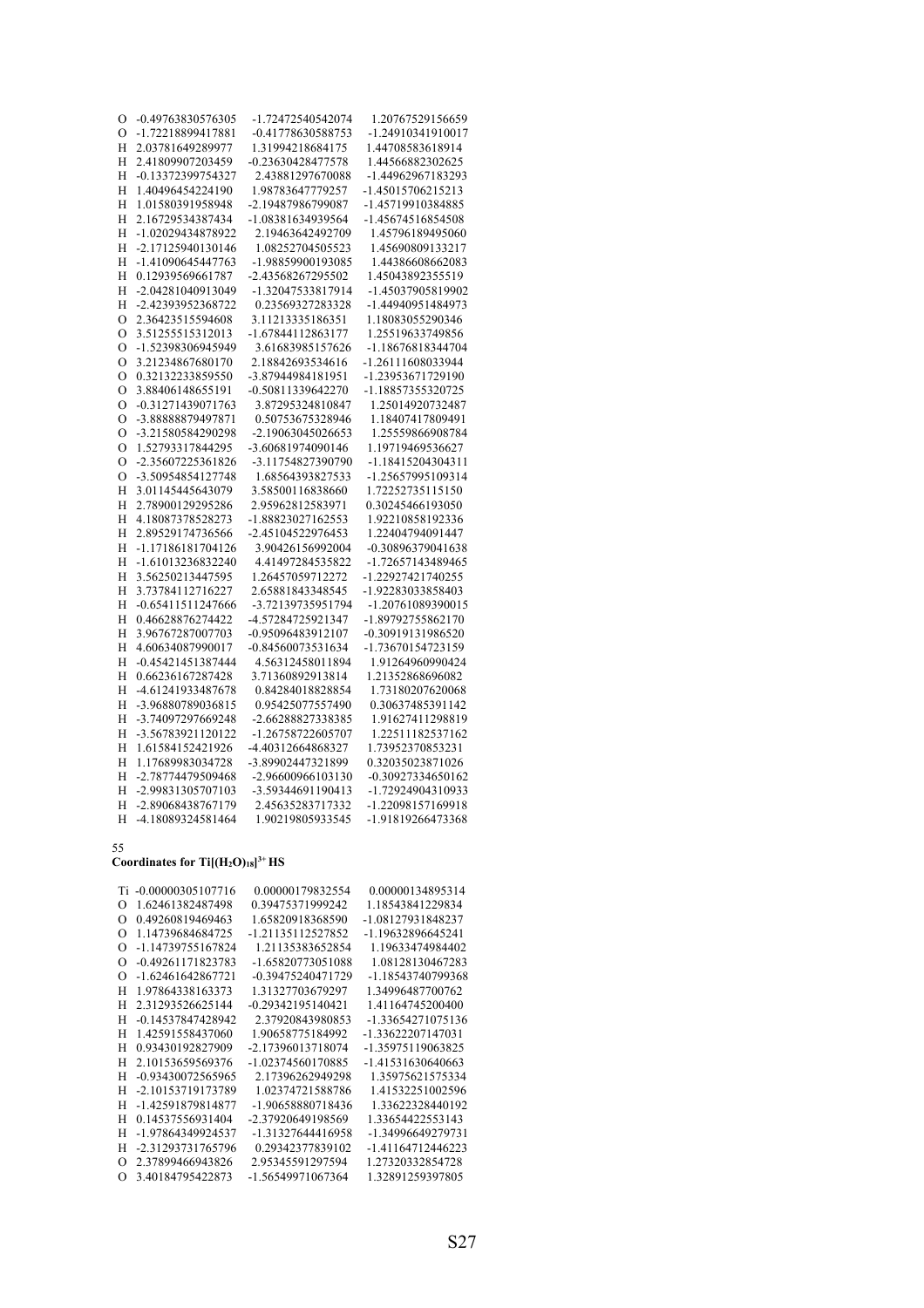| O           | -0.49763830576305 | -1.72472540542074 | 1.20767529156659  |
|-------------|-------------------|-------------------|-------------------|
| O           | -1.72218899417881 | -0.41778630588753 | -1.24910341910017 |
| Н           | 2.03781649289977  | 1.31994218684175  | 1.44708583618914  |
| H           | 2.41809907203459  | -0.23630428477578 | 1.44566882302625  |
| H           | -0.13372399754327 | 2.43881297670088  | -1.44962967183293 |
| H           | 1.40496454224190  | 1.98783647779257  | -1.45015706215213 |
| H           | 1.01580391958948  | -2.19487986799087 | -1.45719910384885 |
| H           | 2.16729534387434  | -1.08381634939564 | -1.45674516854508 |
| H           | -1.02029434878922 | 2.19463642492709  | 1.45796189495060  |
| H           | -2.17125940130146 | 1.08252704505523  | 1.45690809133217  |
| H           | -1.41090645447763 | -1.98859900193085 | 1.44386608662083  |
| H           | 0.12939569661787  | -2.43568267295502 | 1.45043892355519  |
| H           | -2.04281040913049 | -1.32047533817914 | -1.45037905819902 |
| H           | -2.42393952368722 | 0.23569327283328  | -1.44940951484973 |
| $\circ$     | 2.36423515594608  | 3.11213335186351  | 1.18083055290346  |
| O           | 3.51255515312013  | -1.67844112863177 | 1.25519633749856  |
| $\mathbf O$ | -1.52398306945949 | 3.61683985157626  | -1.18676818344704 |
| O           | 3.21234867680170  | 2.18842693534616  | -1.26111608033944 |
| $\mathbf O$ | 0.32132233859550  | -3.87944984181951 | -1.23953671729190 |
| O           | 3.88406148655191  | -0.50811339642270 | -1.18857355320725 |
| $\Omega$    | -0.31271439071763 | 3.87295324810847  | 1.25014920732487  |
| O           | -3.88888879497871 | 0.50753675328946  | 1.18407417809491  |
| $\circ$     | -3.21580584290298 | -2.19063045026653 | 1.25559866908784  |
| $\mathbf O$ | 1.52793317844295  | -3.60681974090146 | 1.19719469536627  |
| $\circ$     | -2.35607225361826 | -3.11754827390790 | -1.18415204304311 |
| O           | -3.50954854127748 | 1.68564393827533  | -1.25657995109314 |
| H           | 3.01145445643079  | 3.58500116838660  | 1.72252735115150  |
| Η           | 2.78900129295286  | 2.95962812583971  | 0.30245466193050  |
| H           | 4.18087378528273  | -1.88823027162553 | 1.92210858192336  |
| H           | 2.89529174736566  | -2.45104522976453 | 1.22404794091447  |
| H           | -1.17186181704126 | 3.90426156992004  | -0.30896379041638 |
| H           | -1.61013236832240 | 4.41497284535822  | -1.72657143489465 |
| H           | 3.56250213447595  | 1.26457059712272  | -1.22927421740255 |
| H           | 3.73784112716227  | 2.65881843348545  | -1.92283033858403 |
| Η           | -0.65411511247666 | -3.72139735951794 | -1.20761089390015 |
| H           | 0.46628876274422  | -4.57284725921347 | -1.89792755862170 |
| H           | 3.96767287007703  | -0.95096483912107 | -0.30919131986520 |
| H           | 4.60634087990017  | -0.84560073531634 | -1.73670154723159 |
| H           | -0.45421451387444 | 4.56312458011894  | 1.91264960990424  |
| H           | 0.66236167287428  | 3.71360892913814  | 1.21352868696082  |
| Η           | -4.61241933487678 | 0.84284018828854  | 1.73180207620068  |
| H           | -3.96880789036815 | 0.95425077557490  | 0.30637485391142  |
| H           | -3.74097297669248 | -2.66288827338385 | 1.91627411298819  |
| H           | -3.56783921120122 | -1.26758722605707 | 1.22511182537162  |
| Н           | 1.61584152421926  | -4.40312664868327 | 1.73952370853231  |
| H           | 1.17689983034728  | -3.89902447321899 | 0.32035023871026  |
| Н           | -2.78774479509468 | -2.96600966103130 | -0.30927334650162 |
| H           | -2.99831305707103 | -3.59344691190413 | -1.72924904310933 |
| Н           | -2.89068438767179 | 2.45635283717332  | -1.22098157169918 |
| H           | -4.18089324581464 | 1.90219805933545  | -1.91819266473368 |

### **Coordinates for Ti[(H2O)18] 3+ HS**

|          | Ti -0.00000305107716 | 0.00000179832554    | 0.00000134895314  |
|----------|----------------------|---------------------|-------------------|
| $\Omega$ | 1.62461382487498     | 0.39475371999242    | 1.18543841229834  |
| $\Omega$ | 0.49260819469463     | 1.65820918368590    | -1.08127931848237 |
| $\Omega$ | 1.14739684684725     | -1.21135112527852   | -1.19632896645241 |
| $\Omega$ | -1.14739755167824    | 1.21135383652854    | 1.19633474984402  |
| $\Omega$ | -0.49261171823783    | -1.65820773051088   | 1.08128130467283  |
| $\Omega$ | -1.62461642867721    | -0.39475240471729   | -1.18543740799368 |
| H        | 1.97864338163373     | 1.31327703679297    | 1.34996487700762  |
| Н        | 2.31293526625144     | $-0.29342195140421$ | 1.41164745200400  |
| H        | -0.14537847428942    | 2.37920843980853    | -1.33654271075136 |
| Н        | 1.42591558437060     | 1.90658775184992    | -1.33622207147031 |
| H        | 0.93430192827909     | -2.17396013718074   | -1.35975119063825 |
| H        | 2.10153659569376     | -1.02374560170885   | -1.41531630640663 |
| H        | -0.93430072565965    | 2.17396262949298    | 1.35975621575334  |
| H        | -2.10153719173789    | 1.02374721588786    | 1.41532251002596  |
| Н        | -1.42591879814877    | -1.90658880718436   | 1.33622328440192  |
| H        | 0.14537556931404     | -2.37920649198569   | 1.33654422553143  |
| H        | -1.97864349924537    | -1.31327644416958   | -1.34996649279731 |
| н        | -2.31293731765796    | 0.29342377839102    | -1.41164712446223 |
| $\Omega$ | 2.37899466943826     | 2.95345591297594    | 1.27320332854728  |
| O        | 3.40184795422873     | -1.56549971067364   | 1.32891259397805  |
|          |                      |                     |                   |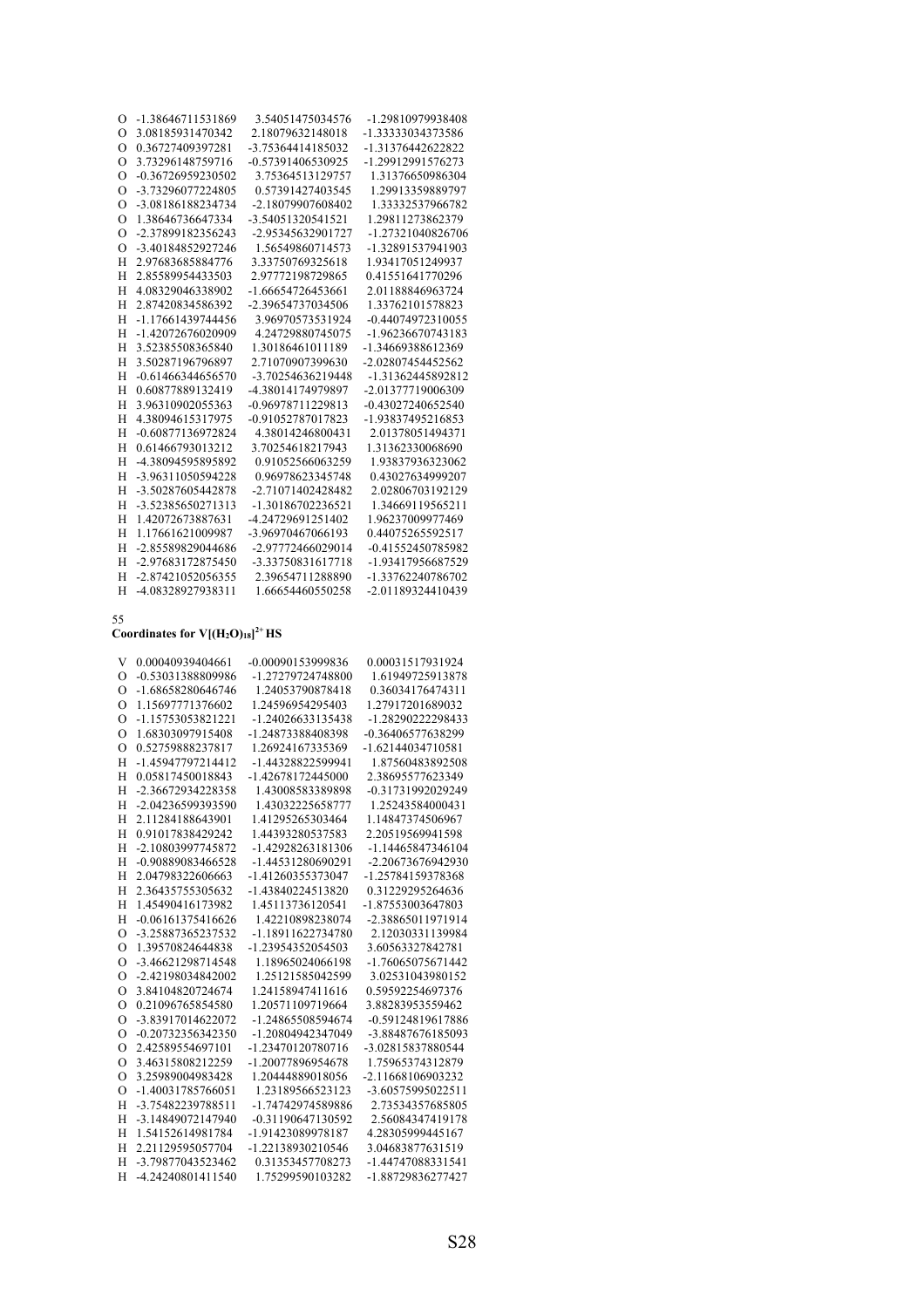| $\Omega$ | -1.38646711531869   | 3.54051475034576  | -1.29810979938408 |
|----------|---------------------|-------------------|-------------------|
| $\Omega$ | 3.08185931470342    | 2.18079632148018  | -1.33333034373586 |
| $\Omega$ | 0.36727409397281    | -3.75364414185032 | -1.31376442622822 |
| $\Omega$ | 3.73296148759716    | -0.57391406530925 | -1.29912991576273 |
| $\Omega$ | -0.36726959230502   | 3.75364513129757  | 1.31376650986304  |
| $\Omega$ | -3.73296077224805   | 0.57391427403545  | 1.29913359889797  |
| $\Omega$ | -3.08186188234734   | -2.18079907608402 | 1.33332537966782  |
| $\Omega$ | 1.38646736647334    | -3.54051320541521 | 1.29811273862379  |
| $\Omega$ | -2.37899182356243   | -2.95345632901727 | -1.27321040826706 |
| $\Omega$ | -3.40184852927246   | 1.56549860714573  | -1.32891537941903 |
| H        | 2.97683685884776    | 3.33750769325618  | 1.93417051249937  |
| H        | 2.85589954433503    | 2.97772198729865  | 0.41551641770296  |
| H        | 4.08329046338902    | -1.66654726453661 | 2.01188846963724  |
| H        | 2.87420834586392    | -2.39654737034506 | 1.33762101578823  |
| H        | -1.17661439744456   | 3.96970573531924  | -0.44074972310055 |
| H        | -1.42072676020909   | 4.24729880745075  | -1.96236670743183 |
| H        | 3.52385508365840    | 1.30186461011189  | -1.34669388612369 |
| H        | 3.50287196796897    | 2.71070907399630  | -2.02807454452562 |
| H        | $-0.61466344656570$ | -3.70254636219448 | -1.31362445892812 |
| H        | 0.60877889132419    | -4.38014174979897 | -2.01377719006309 |
| H        | 3.96310902055363    | -0.96978711229813 | -0.43027240652540 |
| H        | 4.38094615317975    | -0.91052787017823 | -1.93837495216853 |
| H        | -0.60877136972824   | 4.38014246800431  | 2.01378051494371  |
| H        | 0.61466793013212    | 3.70254618217943  | 1.31362330068690  |
| H        | -4.38094595895892   | 0.91052566063259  | 1.93837936323062  |
| H        | -3.96311050594228   | 0.96978623345748  | 0.43027634999207  |
| H        | -3.50287605442878   | -2.71071402428482 | 2.02806703192129  |
| H        | -3.52385650271313   | -1.30186702236521 | 1.34669119565211  |
| H        | 1.42072673887631    | -4.24729691251402 | 1.96237009977469  |
| H        | 1.17661621009987    | -3.96970467066193 | 0.44075265592517  |
| H        | -2.85589829044686   | -2.97772466029014 | -0.41552450785982 |
| H        | -2.97683172875450   | -3.33750831617718 | -1.93417956687529 |
| H        | -2.87421052056355   | 2.39654711288890  | -1.33762240786702 |
| H        | -4.08328927938311   | 1.66654460550258  | -2.01189324410439 |

### Coordinates for  $V[(H_2O)_{18}]^{2+}HS$

| V              | 0.00040939404661  | -0.00090153999836 | 0.00031517931924  |
|----------------|-------------------|-------------------|-------------------|
| $\Omega$       | -0.53031388809986 | -1.27279724748800 | 1.61949725913878  |
| $\Omega$       | -1.68658280646746 | 1.24053790878418  | 0.36034176474311  |
| $\overline{O}$ | 1.15697771376602  | 1.24596954295403  | 1.27917201689032  |
| $\overline{O}$ | -1.15753053821221 | -1.24026633135438 | -1.28290222298433 |
| $\Omega$       | 1.68303097915408  | -1.24873388408398 | -0.36406577638299 |
| $\Omega$       | 0.52759888237817  | 1.26924167335369  | -1.62144034710581 |
| H              | -1.45947797214412 | -1.44328822599941 | 1.87560483892508  |
| H              | 0.05817450018843  | -1.42678172445000 | 2.38695577623349  |
| H              | -2.36672934228358 | 1.43008583389898  | -0.31731992029249 |
| H              | -2.04236599393590 | 1.43032225658777  | 1.25243584000431  |
| H              | 2.11284188643901  | 1.41295265303464  | 1.14847374506967  |
| H              | 0.91017838429242  | 1.44393280537583  | 2.20519569941598  |
| H              | -2.10803997745872 | -1.42928263181306 | -1.14465847346104 |
| H              | -0.90889083466528 | -1.44531280690291 | -2.20673676942930 |
| H              | 2.04798322606663  | -1.41260355373047 | -1.25784159378368 |
| H              | 2.36435755305632  | -1.43840224513820 | 0.31229295264636  |
| H              | 1.45490416173982  | 1.45113736120541  | -1.87553003647803 |
| H              | -0.06161375416626 | 1.42210898238074  | -2.38865011971914 |
| $\Omega$       | -3.25887365237532 | -1.18911622734780 | 2.12030331139984  |
| $\Omega$       | 1.39570824644838  | -1.23954352054503 | 3.60563327842781  |
| $\Omega$       | -3.46621298714548 | 1.18965024066198  | -1.76065075671442 |
| $\Omega$       | -2.42198034842002 | 1.25121585042599  | 3.02531043980152  |
| $\Omega$       | 3.84104820724674  | 1.24158947411616  | 0.59592254697376  |
| $\Omega$       | 0.21096765854580  | 1.20571109719664  | 3.88283953559462  |
| $\Omega$       | -3.83917014622072 | -1.24865508594674 | -0.59124819617886 |
| $\Omega$       | -0.20732356342350 | -1.20804942347049 | -3.88487676185093 |
| $\Omega$       | 2.42589554697101  | -1.23470120780716 | -3.02815837880544 |
| $\Omega$       | 3.46315808212259  | -1.20077896954678 | 1.75965374312879  |
| $\Omega$       | 3.25989004983428  | 1.20444889018056  | -2.11668106903232 |
| $\Omega$       | -1.40031785766051 | 1.23189566523123  | -3.60575995022511 |
| H              | -3.75482239788511 | -1.74742974589886 | 2.73534357685805  |
| H              | -3.14849072147940 | -0.31190647130592 | 2.56084347419178  |
| H              | 1.54152614981784  | -1.91423089978187 | 4.28305999445167  |
| H              | 2.21129595057704  | -1.22138930210546 | 3.04683877631519  |
| H              | -3.79877043523462 | 0.31353457708273  | -1.44747088331541 |
| H              | -4.24240801411540 | 1.75299590103282  | -1.88729836277427 |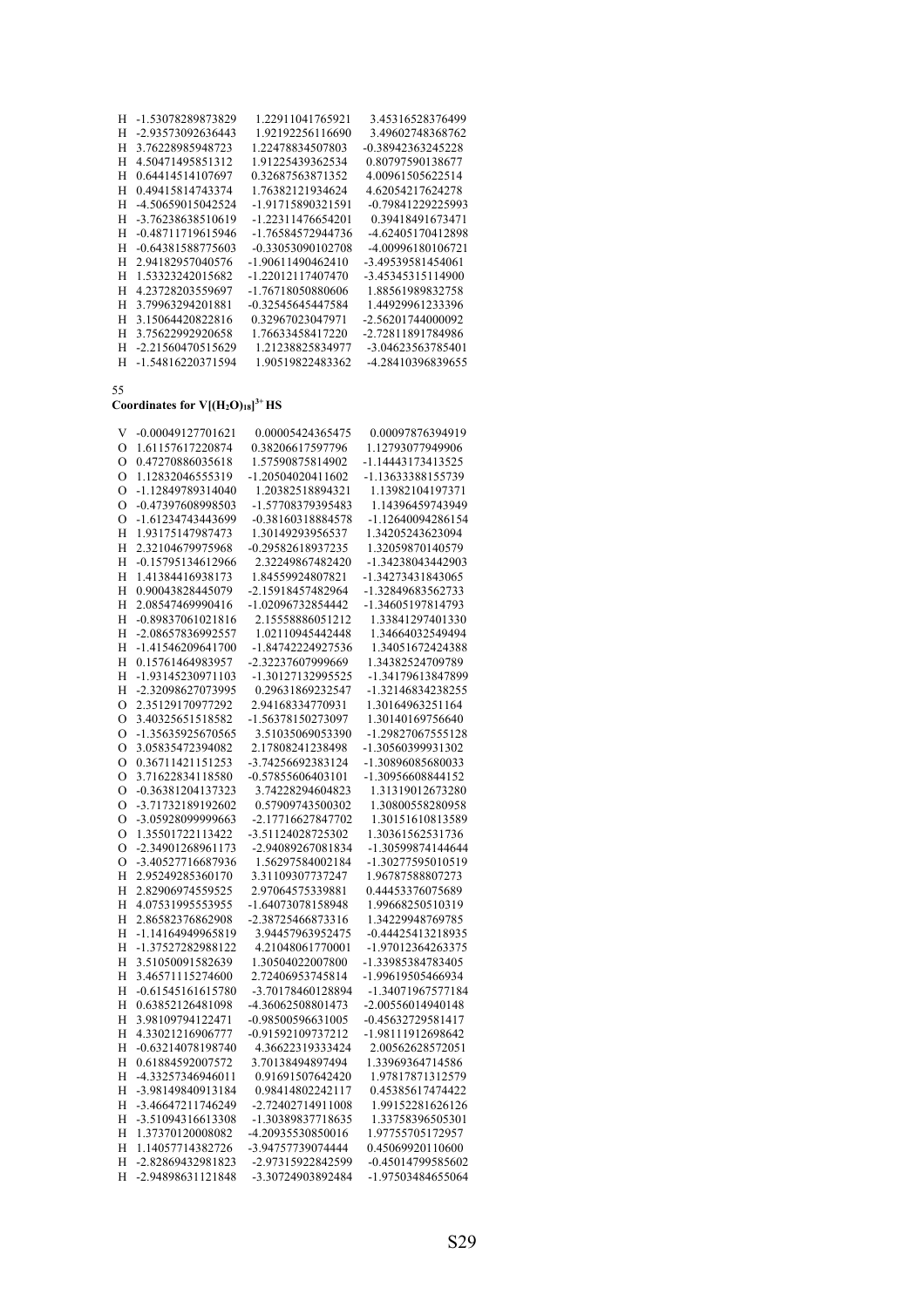| н | -1.53078289873829 | 1.22911041765921  | 3.45316528376499  |
|---|-------------------|-------------------|-------------------|
| Н | -2.93573092636443 | 1.92192256116690  | 3.49602748368762  |
| H | 3.76228985948723  | 1.22478834507803  | -0.38942363245228 |
| H | 4.50471495851312  | 1.91225439362534  | 0.80797590138677  |
| H | 0.64414514107697  | 0.32687563871352  | 4.00961505622514  |
| H | 0.49415814743374  | 1.76382121934624  | 4.62054217624278  |
| H | -4.50659015042524 | -1.91715890321591 | -0.79841229225993 |
| Н | -3.76238638510619 | -1.22311476654201 | 0.39418491673471  |
| Н | -0.48711719615946 | -1.76584572944736 | -4.62405170412898 |
| H | -0.64381588775603 | -0.33053090102708 | -4.00996180106721 |
| Н | 2.94182957040576  | -1.90611490462410 | -3.49539581454061 |
| Н | 1.53323242015682  | -1.22012117407470 | -3.45345315114900 |
| Н | 4.23728203559697  | -1.76718050880606 | 1.88561989832758  |
| H | 3.79963294201881  | -0.32545645447584 | 1.44929961233396  |
| Н | 3.15064420822816  | 0.32967023047971  | -2.56201744000092 |
| H | 3.75622992920658  | 1.76633458417220  | -2.72811891784986 |
| Н | -2.21560470515629 | 1.21238825834977  | -3.04623563785401 |
| H | -1.54816220371594 | 1.90519822483362  | -4.28410396839655 |

### **Coordinates for V[(H2O)18] 3+ HS**

| V           | $-0.00049127701621$ | 0.00005424365475  | 0.00097876394919  |
|-------------|---------------------|-------------------|-------------------|
| $\circ$     | 1.61157617220874    | 0.38206617597796  | 1.12793077949906  |
| O           | 0.47270886035618    | 1.57590875814902  | -1.14443173413525 |
| O           | 1.12832046555319    | -1.20504020411602 | -1.13633388155739 |
| O           | -1.12849789314040   | 1.20382518894321  | 1.13982104197371  |
| O           | -0.47397608998503   | -1.57708379395483 | 1.14396459743949  |
| $\mathbf O$ | -1.61234743443699   | -0.38160318884578 | -1.12640094286154 |
| H           | 1.93175147987473    | 1.30149293956537  | 1.34205243623094  |
| Η           | 2.32104679975968    | -0.29582618937235 | 1.32059870140579  |
| Н           | -0.15795134612966   | 2.32249867482420  | -1.34238043442903 |
| Η           | 1.41384416938173    | 1.84559924807821  | -1.34273431843065 |
| H           | 0.90043828445079    | -2.15918457482964 | -1.32849683562733 |
| Н           | 2.08547469990416    | -1.02096732854442 | -1.34605197814793 |
| Η           | -0.89837061021816   | 2.15558886051212  | 1.33841297401330  |
| Н           | -2.08657836992557   | 1.02110945442448  | 1.34664032549494  |
| Η           | -1.41546209641700   | -1.84742224927536 | 1.34051672424388  |
| H           | 0.15761464983957    | -2.32237607999669 | 1.34382524709789  |
| H           | -1.93145230971103   | -1.30127132995525 | -1.34179613847899 |
| Η           | -2.32098627073995   | 0.29631869232547  | -1.32146834238255 |
| O           | 2.35129170977292    | 2.94168334770931  | 1.30164963251164  |
| $\circ$     | 3.40325651518582    | -1.56378150273097 | 1.30140169756640  |
| O           | -1.35635925670565   | 3.51035069053390  | -1.29827067555128 |
| $\Omega$    | 3.05835472394082    | 2.17808241238498  | -1.30560399931302 |
| $\circ$     | 0.36711421151253    | -3.74256692383124 | -1.30896085680033 |
| O           | 3.71622834118580    | -0.57855606403101 | -1.30956608844152 |
| $\circ$     | -0.36381204137323   | 3.74228294604823  | 1.31319012673280  |
| O           | -3.71732189192602   | 0.57909743500302  | 1.30800558280958  |
| O           | -3.05928099999663   | -2.17716627847702 | 1.30151610813589  |
| $\circ$     | 1.35501722113422    | -3.51124028725302 | 1.30361562531736  |
| O           | -2.34901268961173   | -2.94089267081834 | -1.30599874144644 |
| $\circ$     | -3.40527716687936   | 1.56297584002184  | -1.30277595010519 |
| Н           | 2.95249285360170    | 3.31109307737247  | 1.96787588807273  |
| Η           | 2.82906974559525    | 2.97064575339881  | 0.44453376075689  |
| Η           | 4.07531995553955    | -1.64073078158948 | 1.99668250510319  |
| Н           | 2.86582376862908    | -2.38725466873316 | 1.34229948769785  |
| H           | -1.14164949965819   | 3.94457963952475  | -0.44425413218935 |
| Н           | -1.37527282988122   | 4.21048061770001  | -1.97012364263375 |
| Η           | 3.51050091582639    | 1.30504022007800  | -1.33985384783405 |
| Н           | 3.46571115274600    | 2.72406953745814  | -1.99619505466934 |
| H           | -0.61545161615780   | -3.70178460128894 | -1.34071967577184 |
| Η           | 0.63852126481098    | -4.36062508801473 | -2.00556014940148 |
| H           | 3.98109794122471    | -0.98500596631005 | -0.45632729581417 |
| Н           | 4.33021216906777    | -0.91592109737212 | -1.98111912698642 |
| Н           | -0.63214078198740   | 4.36622319333424  | 2.00562628572051  |
| Η           | 0.61884592007572    | 3.70138494897494  | 1.33969364714586  |
| Н           | -4.33257346946011   | 0.91691507642420  | 1.97817871312579  |
| Н           | -3.98149840913184   | 0.98414802242117  | 0.45385617474422  |
| Η           | -3.46647211746249   | -2.72402714911008 | 1.99152281626126  |
| H           | -3.51094316613308   | -1.30389837718635 | 1.33758396505301  |
| Η           | 1.37370120008082    | -4.20935530850016 | 1.97755705172957  |
| Н           | 1.14057714382726    | -3.94757739074444 | 0.45069920110600  |
| Н           | -2.82869432981823   | -2.97315922842599 | -0.45014799585602 |
| H           | -2.94898631121848   | -3.30724903892484 | -1.97503484655064 |
|             |                     |                   |                   |